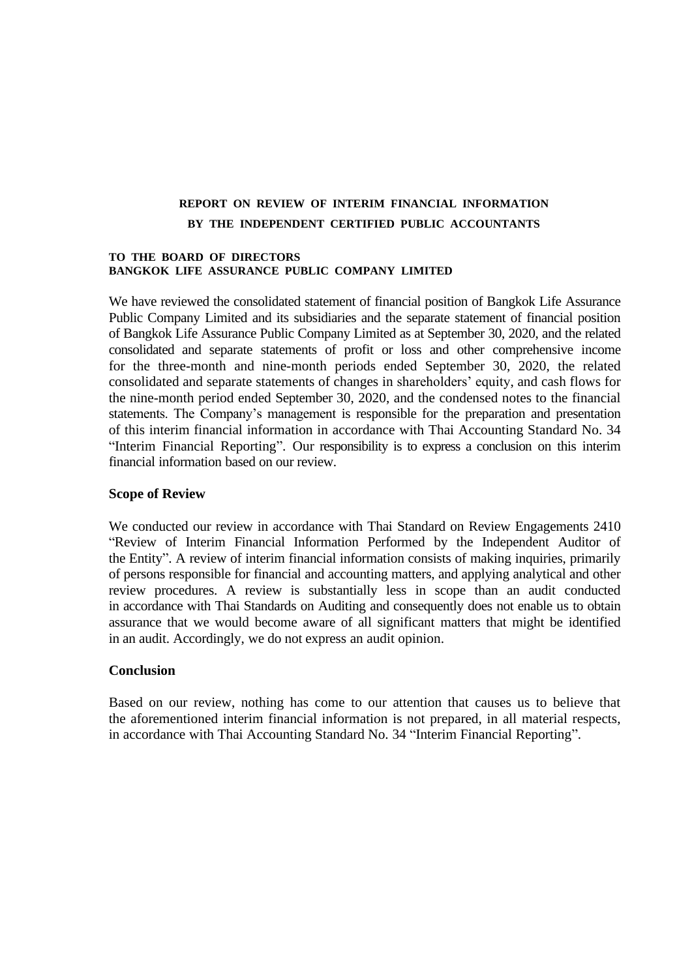# **REPORT ON REVIEW OF INTERIM FINANCIAL INFORMATION BY THE INDEPENDENT CERTIFIED PUBLIC ACCOUNTANTS**

#### **TO THE BOARD OF DIRECTORS BANGKOK LIFE ASSURANCE PUBLIC COMPANY LIMITED**

We have reviewed the consolidated statement of financial position of Bangkok Life Assurance Public Company Limited and its subsidiaries and the separate statement of financial position of Bangkok Life Assurance Public Company Limited as at September 30, 2020, and the related consolidated and separate statements of profit or loss and other comprehensive income for the three-month and nine-month periods ended September 30, 2020, the related consolidated and separate statements of changes in shareholders' equity, and cash flows for the nine-month period ended September 30, 2020, and the condensed notes to the financial statements. The Company's management is responsible for the preparation and presentation of this interim financial information in accordance with Thai Accounting Standard No. 34 "Interim Financial Reporting". Our responsibility is to express a conclusion on this interim financial information based on our review.

### **Scope of Review**

We conducted our review in accordance with Thai Standard on Review Engagements 2410 "Review of Interim Financial Information Performed by the Independent Auditor of the Entity". A review of interim financial information consists of making inquiries, primarily of persons responsible for financial and accounting matters, and applying analytical and other review procedures. A review is substantially less in scope than an audit conducted in accordance with Thai Standards on Auditing and consequently does not enable us to obtain assurance that we would become aware of all significant matters that might be identified in an audit. Accordingly, we do not express an audit opinion.

# **Conclusion**

Based on our review, nothing has come to our attention that causes us to believe that the aforementioned interim financial information is not prepared, in all material respects, in accordance with Thai Accounting Standard No. 34 "Interim Financial Reporting".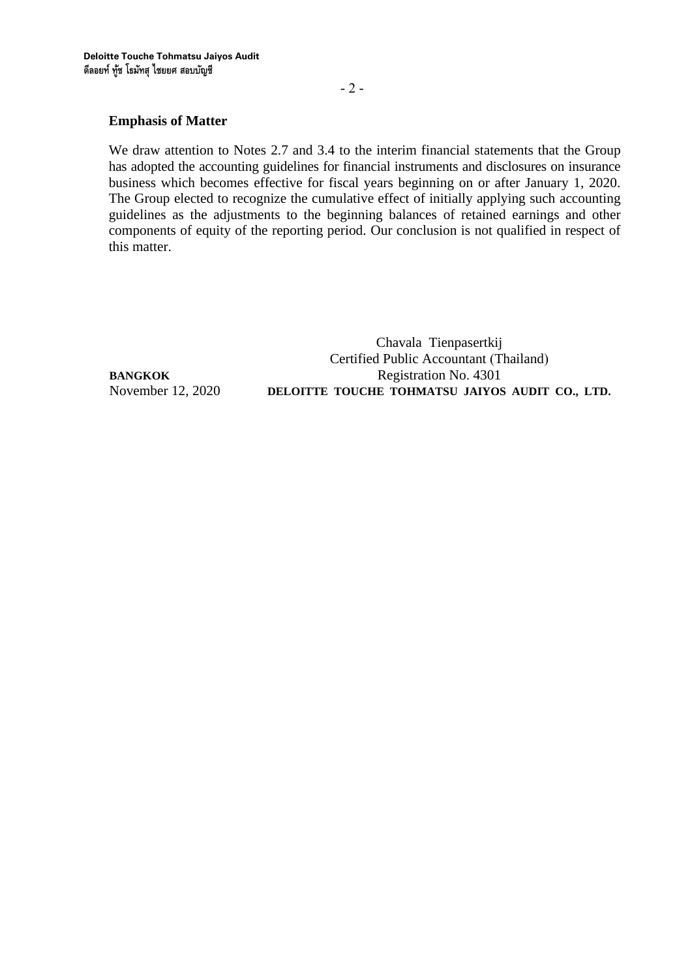# **Emphasis of Matter**

We draw attention to Notes 2.7 and 3.4 to the interim financial statements that the Group has adopted the accounting guidelines for financial instruments and disclosures on insurance business which becomes effective for fiscal years beginning on or after January 1, 2020. The Group elected to recognize the cumulative effect of initially applying such accounting guidelines as the adjustments to the beginning balances of retained earnings and other components of equity of the reporting period. Our conclusion is not qualified in respect of this matter.

Chavala Tienpasertkij Certified Public Accountant (Thailand) **BANGKOK** Registration No. 4301 November 12, 2020 **DELOITTE TOUCHE TOHMATSU JAIYOS AUDIT CO., LTD.**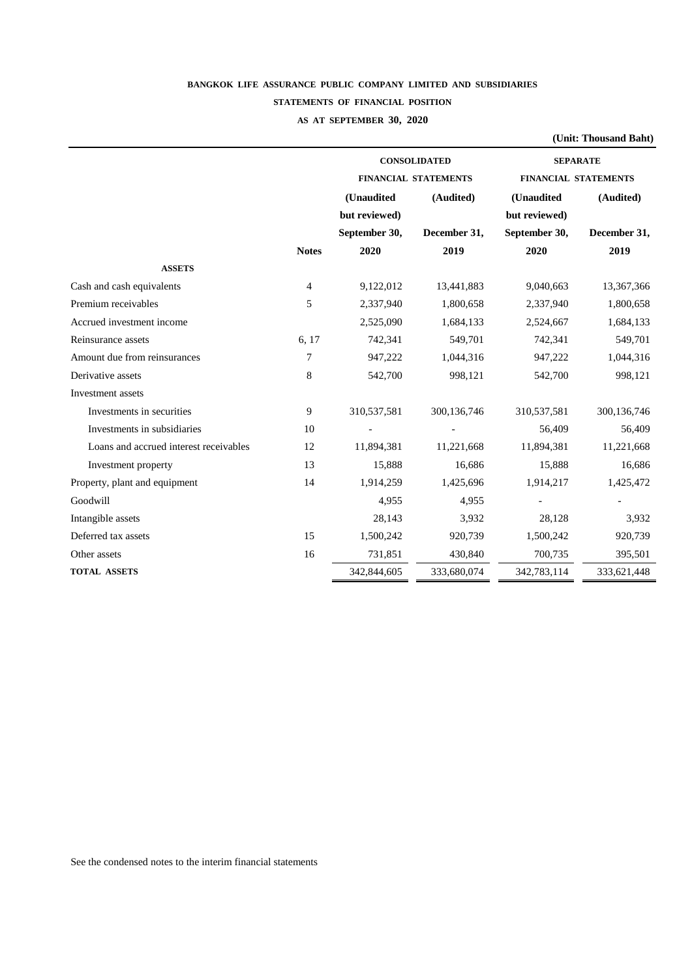# **BANGKOK LIFE ASSURANCE PUBLIC COMPANY LIMITED AND SUBSIDIARIES STATEMENTS OF FINANCIAL POSITION**

# **AS AT SEPTEMBER 30, 2020**

|                                        |                |               |                             |                             | (Unit: Thousand Baht) |  |
|----------------------------------------|----------------|---------------|-----------------------------|-----------------------------|-----------------------|--|
|                                        |                |               | <b>CONSOLIDATED</b>         | <b>SEPARATE</b>             |                       |  |
|                                        |                |               | <b>FINANCIAL STATEMENTS</b> | <b>FINANCIAL STATEMENTS</b> |                       |  |
|                                        |                | (Unaudited    | (Audited)                   | (Unaudited                  | (Audited)             |  |
|                                        |                | but reviewed) |                             | but reviewed)               |                       |  |
|                                        |                | September 30, | December 31,                | September 30,               | December 31,          |  |
|                                        | <b>Notes</b>   | 2020          | 2019                        | 2020                        | 2019                  |  |
| <b>ASSETS</b>                          |                |               |                             |                             |                       |  |
| Cash and cash equivalents              | $\overline{4}$ | 9,122,012     | 13,441,883                  | 9,040,663                   | 13,367,366            |  |
| Premium receivables                    | 5              | 2,337,940     | 1,800,658                   | 2,337,940                   | 1,800,658             |  |
| Accrued investment income              |                | 2,525,090     | 1,684,133                   | 2,524,667                   | 1,684,133             |  |
| Reinsurance assets                     | 6, 17          | 742,341       | 549,701                     | 742,341                     | 549,701               |  |
| Amount due from reinsurances           | 7              | 947,222       | 1,044,316                   | 947,222                     | 1,044,316             |  |
| Derivative assets                      | 8              | 542,700       | 998,121                     | 542,700                     | 998,121               |  |
| Investment assets                      |                |               |                             |                             |                       |  |
| Investments in securities              | 9              | 310,537,581   | 300,136,746                 | 310,537,581                 | 300,136,746           |  |
| Investments in subsidiaries            | 10             |               |                             | 56,409                      | 56,409                |  |
| Loans and accrued interest receivables | 12             | 11,894,381    | 11,221,668                  | 11,894,381                  | 11,221,668            |  |
| Investment property                    | 13             | 15,888        | 16,686                      | 15,888                      | 16,686                |  |
| Property, plant and equipment          | 14             | 1,914,259     | 1,425,696                   | 1,914,217                   | 1,425,472             |  |
| Goodwill                               |                | 4,955         | 4,955                       |                             |                       |  |
| Intangible assets                      |                | 28,143        | 3,932                       | 28,128                      | 3,932                 |  |
| Deferred tax assets                    | 15             | 1,500,242     | 920,739                     | 1,500,242                   | 920,739               |  |
| Other assets                           | 16             | 731,851       | 430,840                     | 700,735                     | 395,501               |  |
| <b>TOTAL ASSETS</b>                    |                | 342,844,605   | 333,680,074                 | 342,783,114                 | 333,621,448           |  |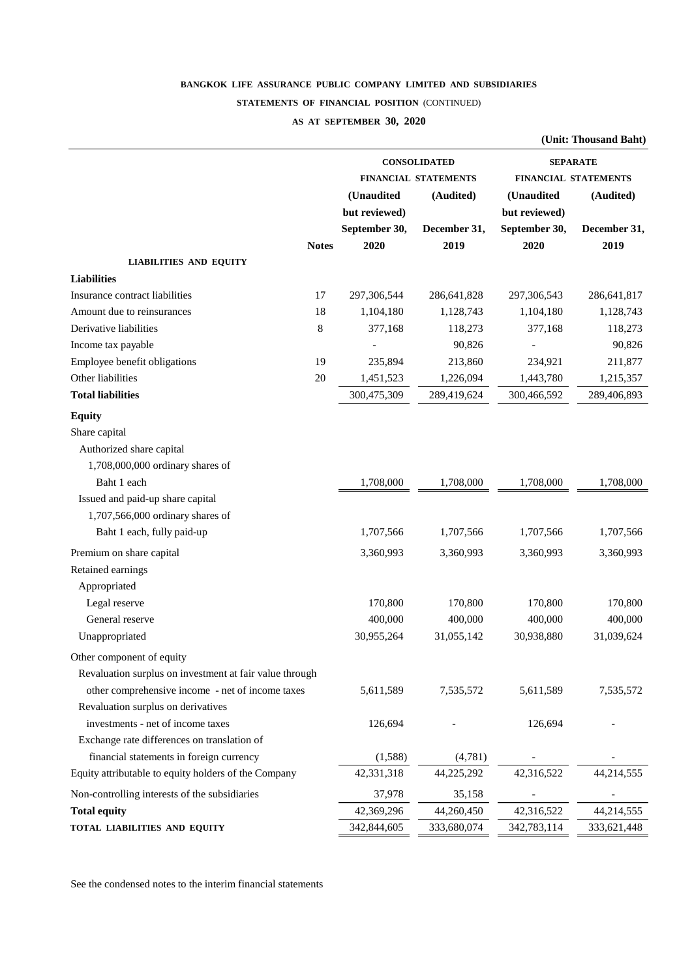#### **STATEMENTS OF FINANCIAL POSITION** (CONTINUED)

#### **AS AT SEPTEMBER 30, 2020**

|                                                         |              |               |                             |               | (Unit: Thousand Baht)       |
|---------------------------------------------------------|--------------|---------------|-----------------------------|---------------|-----------------------------|
|                                                         |              |               | <b>CONSOLIDATED</b>         |               | <b>SEPARATE</b>             |
|                                                         |              |               | <b>FINANCIAL STATEMENTS</b> |               | <b>FINANCIAL STATEMENTS</b> |
|                                                         |              | (Unaudited    | (Audited)                   | (Unaudited    | (Audited)                   |
|                                                         |              | but reviewed) |                             | but reviewed) |                             |
|                                                         |              | September 30, | December 31,                | September 30, | December 31,                |
|                                                         | <b>Notes</b> | 2020          | 2019                        | 2020          | 2019                        |
| <b>LIABILITIES AND EQUITY</b>                           |              |               |                             |               |                             |
| <b>Liabilities</b>                                      |              |               |                             |               |                             |
| Insurance contract liabilities                          | 17           | 297,306,544   | 286,641,828                 | 297,306,543   | 286,641,817                 |
| Amount due to reinsurances                              | 18           | 1,104,180     | 1,128,743                   | 1,104,180     | 1,128,743                   |
| Derivative liabilities                                  | 8            | 377,168       | 118,273                     | 377,168       | 118,273                     |
| Income tax payable                                      |              |               | 90,826                      |               | 90,826                      |
| Employee benefit obligations                            | 19           | 235,894       | 213,860                     | 234,921       | 211,877                     |
| Other liabilities                                       | 20           | 1,451,523     | 1,226,094                   | 1,443,780     | 1,215,357                   |
| <b>Total liabilities</b>                                |              | 300,475,309   | 289,419,624                 | 300,466,592   | 289,406,893                 |
| <b>Equity</b>                                           |              |               |                             |               |                             |
| Share capital                                           |              |               |                             |               |                             |
| Authorized share capital                                |              |               |                             |               |                             |
| 1,708,000,000 ordinary shares of                        |              |               |                             |               |                             |
| Baht 1 each                                             |              | 1,708,000     | 1,708,000                   | 1,708,000     | 1,708,000                   |
| Issued and paid-up share capital                        |              |               |                             |               |                             |
| 1,707,566,000 ordinary shares of                        |              |               |                             |               |                             |
| Baht 1 each, fully paid-up                              |              | 1,707,566     | 1,707,566                   | 1,707,566     | 1,707,566                   |
| Premium on share capital                                |              | 3,360,993     | 3,360,993                   | 3,360,993     | 3,360,993                   |
| Retained earnings                                       |              |               |                             |               |                             |
| Appropriated                                            |              |               |                             |               |                             |
| Legal reserve                                           |              | 170,800       | 170,800                     | 170,800       | 170,800                     |
| General reserve                                         |              | 400,000       | 400,000                     | 400,000       | 400,000                     |
| Unappropriated                                          |              | 30,955,264    | 31,055,142                  | 30,938,880    | 31,039,624                  |
| Other component of equity                               |              |               |                             |               |                             |
| Revaluation surplus on investment at fair value through |              |               |                             |               |                             |
| other comprehensive income - net of income taxes        |              | 5,611,589     | 7,535,572                   | 5,611,589     | 7,535,572                   |
| Revaluation surplus on derivatives                      |              |               |                             |               |                             |
| investments - net of income taxes                       |              | 126,694       |                             | 126,694       |                             |
| Exchange rate differences on translation of             |              |               |                             |               |                             |
| financial statements in foreign currency                |              | (1,588)       | (4,781)                     |               |                             |
| Equity attributable to equity holders of the Company    |              | 42,331,318    | 44,225,292                  | 42,316,522    | 44,214,555                  |
| Non-controlling interests of the subsidiaries           |              | 37,978        | 35,158                      |               |                             |
| <b>Total equity</b>                                     |              | 42,369,296    | 44,260,450                  | 42,316,522    | 44,214,555                  |
| TOTAL LIABILITIES AND EQUITY                            |              | 342,844,605   | 333,680,074                 | 342,783,114   | 333,621,448                 |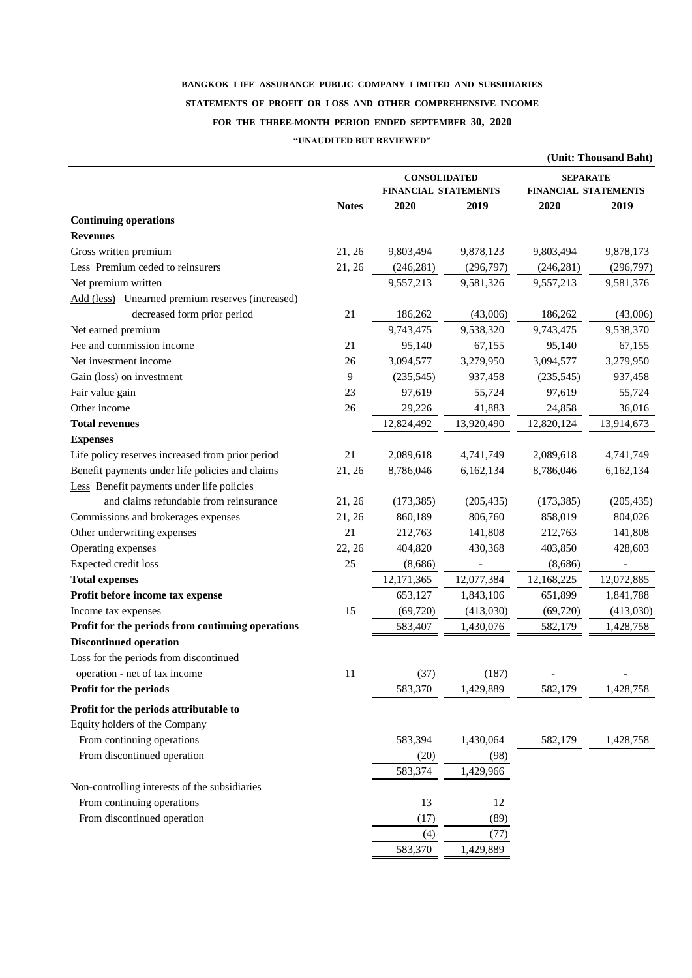# **BANGKOK LIFE ASSURANCE PUBLIC COMPANY LIMITED AND SUBSIDIARIES STATEMENTS OF PROFIT OR LOSS AND OTHER COMPREHENSIVE INCOME FOR THE THREE-MONTH PERIOD ENDED SEPTEMBER 30, 2020**

#### **"UNAUDITED BUT REVIEWED"**

|                                                   |              |                             |            |                             | (Unit: Thousand Baht) |  |
|---------------------------------------------------|--------------|-----------------------------|------------|-----------------------------|-----------------------|--|
|                                                   |              | <b>CONSOLIDATED</b>         |            | <b>SEPARATE</b>             |                       |  |
|                                                   |              | <b>FINANCIAL STATEMENTS</b> |            | <b>FINANCIAL STATEMENTS</b> |                       |  |
|                                                   | <b>Notes</b> | 2020                        | 2019       | 2020                        | 2019                  |  |
| <b>Continuing operations</b>                      |              |                             |            |                             |                       |  |
| <b>Revenues</b>                                   |              |                             |            |                             |                       |  |
| Gross written premium                             | 21, 26       | 9,803,494                   | 9,878,123  | 9,803,494                   | 9,878,173             |  |
| Less Premium ceded to reinsurers                  | 21, 26       | (246, 281)                  | (296,797)  | (246, 281)                  | (296,797)             |  |
| Net premium written                               |              | 9,557,213                   | 9,581,326  | 9,557,213                   | 9,581,376             |  |
| Add (less) Unearned premium reserves (increased)  |              |                             |            |                             |                       |  |
| decreased form prior period                       | 21           | 186,262                     | (43,006)   | 186,262                     | (43,006)              |  |
| Net earned premium                                |              | 9,743,475                   | 9,538,320  | 9,743,475                   | 9,538,370             |  |
| Fee and commission income                         | 21           | 95,140                      | 67,155     | 95,140                      | 67,155                |  |
| Net investment income                             | 26           | 3,094,577                   | 3,279,950  | 3,094,577                   | 3,279,950             |  |
| Gain (loss) on investment                         | 9            | (235,545)                   | 937,458    | (235,545)                   | 937,458               |  |
| Fair value gain                                   | 23           | 97,619                      | 55,724     | 97,619                      | 55,724                |  |
| Other income                                      | 26           | 29,226                      | 41,883     | 24,858                      | 36,016                |  |
| <b>Total revenues</b>                             |              | 12,824,492                  | 13,920,490 | 12,820,124                  | 13,914,673            |  |
| <b>Expenses</b>                                   |              |                             |            |                             |                       |  |
| Life policy reserves increased from prior period  | 21           | 2,089,618                   | 4,741,749  | 2,089,618                   | 4,741,749             |  |
| Benefit payments under life policies and claims   | 21, 26       | 8,786,046                   | 6,162,134  | 8,786,046                   | 6,162,134             |  |
| Less Benefit payments under life policies         |              |                             |            |                             |                       |  |
| and claims refundable from reinsurance            | 21, 26       | (173, 385)                  | (205, 435) | (173, 385)                  | (205, 435)            |  |
| Commissions and brokerages expenses               | 21, 26       | 860,189                     | 806,760    | 858,019                     | 804,026               |  |
| Other underwriting expenses                       | 21           | 212,763                     | 141,808    | 212,763                     | 141,808               |  |
| Operating expenses                                | 22, 26       | 404,820                     | 430,368    | 403,850                     | 428,603               |  |
| Expected credit loss                              | 25           | (8,686)                     |            | (8,686)                     |                       |  |
| <b>Total expenses</b>                             |              | 12,171,365                  | 12,077,384 | 12,168,225                  | 12,072,885            |  |
| Profit before income tax expense                  |              | 653,127                     | 1,843,106  | 651,899                     | 1,841,788             |  |
| Income tax expenses                               | 15           | (69, 720)                   | (413,030)  | (69, 720)                   | (413,030)             |  |
| Profit for the periods from continuing operations |              | 583,407                     | 1,430,076  | 582,179                     | 1,428,758             |  |
| <b>Discontinued operation</b>                     |              |                             |            |                             |                       |  |
| Loss for the periods from discontinued            |              |                             |            |                             |                       |  |
| operation - net of tax income                     | 11           | (37)                        | (187)      |                             |                       |  |
| Profit for the periods                            |              | 583,370                     | 1,429,889  | 582,179                     | 1,428,758             |  |
|                                                   |              |                             |            |                             |                       |  |
| Profit for the periods attributable to            |              |                             |            |                             |                       |  |
| Equity holders of the Company                     |              |                             |            |                             |                       |  |
| From continuing operations                        |              | 583,394                     | 1,430,064  | 582,179                     | 1,428,758             |  |
| From discontinued operation                       |              | (20)                        | (98)       |                             |                       |  |
|                                                   |              | 583,374                     | 1,429,966  |                             |                       |  |
| Non-controlling interests of the subsidiaries     |              |                             |            |                             |                       |  |
| From continuing operations                        |              | 13                          | 12         |                             |                       |  |
| From discontinued operation                       |              | (17)                        | (89)       |                             |                       |  |
|                                                   |              | (4)                         | (77)       |                             |                       |  |
|                                                   |              | 583,370                     | 1,429,889  |                             |                       |  |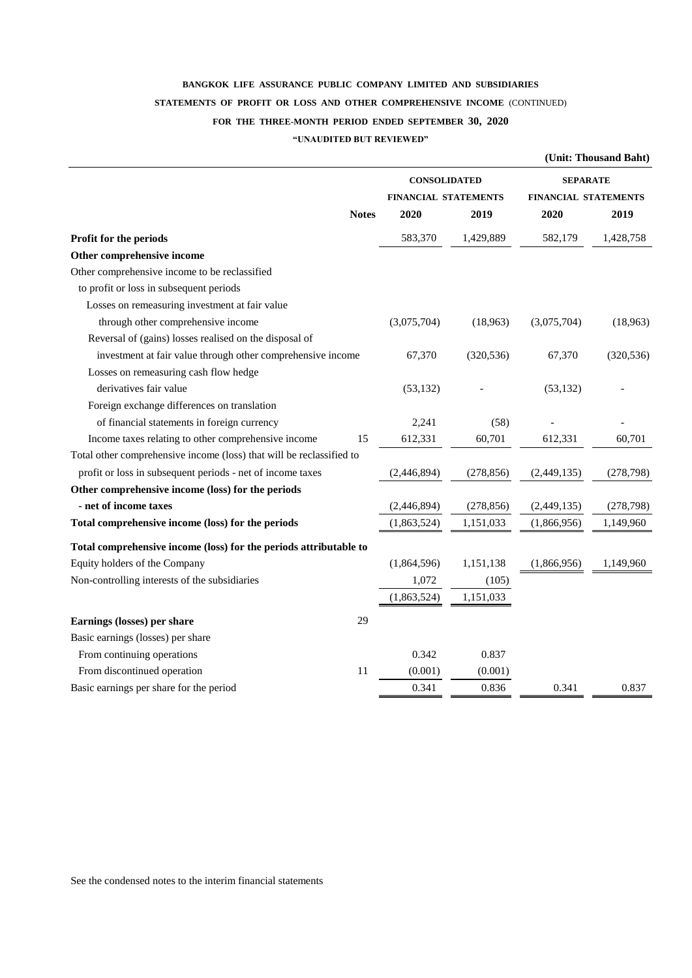# **BANGKOK LIFE ASSURANCE PUBLIC COMPANY LIMITED AND SUBSIDIARIES STATEMENTS OF PROFIT OR LOSS AND OTHER COMPREHENSIVE INCOME** (CONTINUED) **FOR THE THREE-MONTH PERIOD ENDED SEPTEMBER 30, 2020**

#### **"UNAUDITED BUT REVIEWED"**

|                                                                      |                             |            |                             | (Unit: Thousand Baht) |
|----------------------------------------------------------------------|-----------------------------|------------|-----------------------------|-----------------------|
|                                                                      | <b>CONSOLIDATED</b>         |            | <b>SEPARATE</b>             |                       |
|                                                                      | <b>FINANCIAL STATEMENTS</b> |            | <b>FINANCIAL STATEMENTS</b> |                       |
| <b>Notes</b>                                                         | 2020                        | 2019       | 2020                        | 2019                  |
| Profit for the periods                                               | 583,370                     | 1,429,889  | 582,179                     | 1,428,758             |
| Other comprehensive income                                           |                             |            |                             |                       |
| Other comprehensive income to be reclassified                        |                             |            |                             |                       |
| to profit or loss in subsequent periods                              |                             |            |                             |                       |
| Losses on remeasuring investment at fair value                       |                             |            |                             |                       |
| through other comprehensive income                                   | (3,075,704)                 | (18,963)   | (3,075,704)                 | (18,963)              |
| Reversal of (gains) losses realised on the disposal of               |                             |            |                             |                       |
| investment at fair value through other comprehensive income          | 67,370                      | (320, 536) | 67,370                      | (320, 536)            |
| Losses on remeasuring cash flow hedge                                |                             |            |                             |                       |
| derivatives fair value                                               | (53, 132)                   |            | (53, 132)                   |                       |
| Foreign exchange differences on translation                          |                             |            |                             |                       |
| of financial statements in foreign currency                          | 2,241                       | (58)       |                             |                       |
| Income taxes relating to other comprehensive income<br>15            | 612,331                     | 60,701     | 612,331                     | 60,701                |
| Total other comprehensive income (loss) that will be reclassified to |                             |            |                             |                       |
| profit or loss in subsequent periods - net of income taxes           | (2,446,894)                 | (278, 856) | (2,449,135)                 | (278, 798)            |
| Other comprehensive income (loss) for the periods                    |                             |            |                             |                       |
| - net of income taxes                                                | (2,446,894)                 | (278, 856) | (2,449,135)                 | (278, 798)            |
| Total comprehensive income (loss) for the periods                    | (1,863,524)                 | 1,151,033  | (1,866,956)                 | 1,149,960             |
| Total comprehensive income (loss) for the periods attributable to    |                             |            |                             |                       |
| Equity holders of the Company                                        | (1,864,596)                 | 1,151,138  | (1,866,956)                 | 1,149,960             |
| Non-controlling interests of the subsidiaries                        | 1,072                       | (105)      |                             |                       |
|                                                                      | (1,863,524)                 | 1,151,033  |                             |                       |
| Earnings (losses) per share<br>29                                    |                             |            |                             |                       |
| Basic earnings (losses) per share                                    |                             |            |                             |                       |
| From continuing operations                                           | 0.342                       | 0.837      |                             |                       |
| From discontinued operation<br>11                                    | (0.001)                     | (0.001)    |                             |                       |
| Basic earnings per share for the period                              | 0.341                       | 0.836      | 0.341                       | 0.837                 |
|                                                                      |                             |            |                             |                       |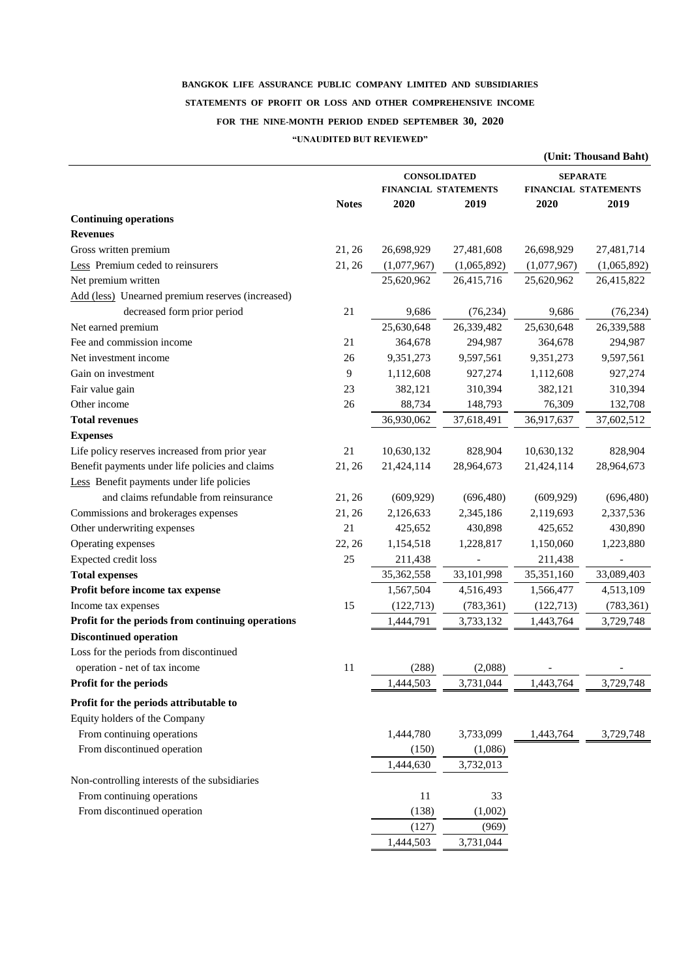# **BANGKOK LIFE ASSURANCE PUBLIC COMPANY LIMITED AND SUBSIDIARIES STATEMENTS OF PROFIT OR LOSS AND OTHER COMPREHENSIVE INCOME FOR THE NINE-MONTH PERIOD ENDED SEPTEMBER 30, 2020 "UNAUDITED BUT REVIEWED"**

| <b>CONSOLIDATED</b><br><b>SEPARATE</b><br>FINANCIAL STATEMENTS<br>FINANCIAL STATEMENTS<br><b>Notes</b><br>2020<br>2019<br>2020<br>2019<br><b>Continuing operations</b><br><b>Revenues</b><br>Gross written premium<br>21, 26<br>26,698,929<br>27,481,608<br>26,698,929<br>27,481,714<br>Less Premium ceded to reinsurers<br>21, 26<br>(1,077,967)<br>(1,065,892)<br>(1,077,967)<br>(1,065,892)<br>Net premium written<br>25,620,962<br>26,415,716<br>25,620,962<br>26,415,822<br>Add (less) Unearned premium reserves (increased)<br>decreased form prior period<br>21<br>9,686<br>(76, 234)<br>9,686<br>(76, 234)<br>25,630,648<br>25,630,648<br>26,339,482<br>26,339,588<br>Net earned premium<br>Fee and commission income<br>21<br>364,678<br>294,987<br>364,678<br>294,987<br>Net investment income<br>9,351,273<br>9,597,561<br>9,351,273<br>26<br>9,597,561<br>Gain on investment<br>9<br>1,112,608<br>927,274<br>1,112,608<br>927,274<br>Fair value gain<br>23<br>310,394<br>310,394<br>382,121<br>382,121<br>Other income<br>26<br>88,734<br>76,309<br>132,708<br>148,793<br>36,930,062<br>37,618,491<br>36,917,637<br>37,602,512<br><b>Total revenues</b><br><b>Expenses</b><br>Life policy reserves increased from prior year<br>21<br>10,630,132<br>828,904<br>10,630,132<br>828,904<br>Benefit payments under life policies and claims<br>21,424,114<br>21, 26<br>28,964,673<br>21,424,114<br>28,964,673<br>Less Benefit payments under life policies<br>and claims refundable from reinsurance<br>21, 26<br>(609, 929)<br>(696, 480)<br>(609, 929)<br>(696, 480)<br>Commissions and brokerages expenses<br>21, 26<br>2,126,633<br>2,345,186<br>2,119,693<br>2,337,536<br>Other underwriting expenses<br>21<br>430,890<br>425,652<br>430,898<br>425,652<br>Operating expenses<br>22, 26<br>1,223,880<br>1,154,518<br>1,228,817<br>1,150,060<br>Expected credit loss<br>25<br>211,438<br>211,438<br>33,089,403<br><b>Total expenses</b><br>35,362,558<br>33,101,998<br>35,351,160<br>Profit before income tax expense<br>1,567,504<br>4,516,493<br>1,566,477<br>4,513,109<br>15<br>(122, 713)<br>(783, 361)<br>(122, 713)<br>(783, 361)<br>Income tax expenses<br>Profit for the periods from continuing operations<br>1,444,791<br>3,733,132<br>1,443,764<br>3,729,748<br><b>Discontinued operation</b><br>Loss for the periods from discontinued<br>(288)<br>(2,088)<br>operation - net of tax income<br>11<br>3,731,044<br>1,443,764<br>3,729,748<br>Profit for the periods<br>1,444,503<br>Profit for the periods attributable to<br>Equity holders of the Company<br>From continuing operations<br>1,444,780<br>3,733,099<br>1,443,764<br>3,729,748<br>From discontinued operation<br>(1,086)<br>(150)<br>3,732,013<br>1,444,630<br>Non-controlling interests of the subsidiaries<br>From continuing operations<br>11<br>33<br>From discontinued operation<br>(138)<br>(1,002)<br>(127)<br>(969) |  |           |           | (Unit: Thousand Baht) |
|-------------------------------------------------------------------------------------------------------------------------------------------------------------------------------------------------------------------------------------------------------------------------------------------------------------------------------------------------------------------------------------------------------------------------------------------------------------------------------------------------------------------------------------------------------------------------------------------------------------------------------------------------------------------------------------------------------------------------------------------------------------------------------------------------------------------------------------------------------------------------------------------------------------------------------------------------------------------------------------------------------------------------------------------------------------------------------------------------------------------------------------------------------------------------------------------------------------------------------------------------------------------------------------------------------------------------------------------------------------------------------------------------------------------------------------------------------------------------------------------------------------------------------------------------------------------------------------------------------------------------------------------------------------------------------------------------------------------------------------------------------------------------------------------------------------------------------------------------------------------------------------------------------------------------------------------------------------------------------------------------------------------------------------------------------------------------------------------------------------------------------------------------------------------------------------------------------------------------------------------------------------------------------------------------------------------------------------------------------------------------------------------------------------------------------------------------------------------------------------------------------------------------------------------------------------------------------------------------------------------------------------------------------------------------------------------------------------------------------------------------------------------------------------------------------------------------------------------------------------------------------------------------------------------|--|-----------|-----------|-----------------------|
|                                                                                                                                                                                                                                                                                                                                                                                                                                                                                                                                                                                                                                                                                                                                                                                                                                                                                                                                                                                                                                                                                                                                                                                                                                                                                                                                                                                                                                                                                                                                                                                                                                                                                                                                                                                                                                                                                                                                                                                                                                                                                                                                                                                                                                                                                                                                                                                                                                                                                                                                                                                                                                                                                                                                                                                                                                                                                                                   |  |           |           |                       |
|                                                                                                                                                                                                                                                                                                                                                                                                                                                                                                                                                                                                                                                                                                                                                                                                                                                                                                                                                                                                                                                                                                                                                                                                                                                                                                                                                                                                                                                                                                                                                                                                                                                                                                                                                                                                                                                                                                                                                                                                                                                                                                                                                                                                                                                                                                                                                                                                                                                                                                                                                                                                                                                                                                                                                                                                                                                                                                                   |  |           |           |                       |
|                                                                                                                                                                                                                                                                                                                                                                                                                                                                                                                                                                                                                                                                                                                                                                                                                                                                                                                                                                                                                                                                                                                                                                                                                                                                                                                                                                                                                                                                                                                                                                                                                                                                                                                                                                                                                                                                                                                                                                                                                                                                                                                                                                                                                                                                                                                                                                                                                                                                                                                                                                                                                                                                                                                                                                                                                                                                                                                   |  |           |           |                       |
|                                                                                                                                                                                                                                                                                                                                                                                                                                                                                                                                                                                                                                                                                                                                                                                                                                                                                                                                                                                                                                                                                                                                                                                                                                                                                                                                                                                                                                                                                                                                                                                                                                                                                                                                                                                                                                                                                                                                                                                                                                                                                                                                                                                                                                                                                                                                                                                                                                                                                                                                                                                                                                                                                                                                                                                                                                                                                                                   |  |           |           |                       |
|                                                                                                                                                                                                                                                                                                                                                                                                                                                                                                                                                                                                                                                                                                                                                                                                                                                                                                                                                                                                                                                                                                                                                                                                                                                                                                                                                                                                                                                                                                                                                                                                                                                                                                                                                                                                                                                                                                                                                                                                                                                                                                                                                                                                                                                                                                                                                                                                                                                                                                                                                                                                                                                                                                                                                                                                                                                                                                                   |  |           |           |                       |
|                                                                                                                                                                                                                                                                                                                                                                                                                                                                                                                                                                                                                                                                                                                                                                                                                                                                                                                                                                                                                                                                                                                                                                                                                                                                                                                                                                                                                                                                                                                                                                                                                                                                                                                                                                                                                                                                                                                                                                                                                                                                                                                                                                                                                                                                                                                                                                                                                                                                                                                                                                                                                                                                                                                                                                                                                                                                                                                   |  |           |           |                       |
|                                                                                                                                                                                                                                                                                                                                                                                                                                                                                                                                                                                                                                                                                                                                                                                                                                                                                                                                                                                                                                                                                                                                                                                                                                                                                                                                                                                                                                                                                                                                                                                                                                                                                                                                                                                                                                                                                                                                                                                                                                                                                                                                                                                                                                                                                                                                                                                                                                                                                                                                                                                                                                                                                                                                                                                                                                                                                                                   |  |           |           |                       |
|                                                                                                                                                                                                                                                                                                                                                                                                                                                                                                                                                                                                                                                                                                                                                                                                                                                                                                                                                                                                                                                                                                                                                                                                                                                                                                                                                                                                                                                                                                                                                                                                                                                                                                                                                                                                                                                                                                                                                                                                                                                                                                                                                                                                                                                                                                                                                                                                                                                                                                                                                                                                                                                                                                                                                                                                                                                                                                                   |  |           |           |                       |
|                                                                                                                                                                                                                                                                                                                                                                                                                                                                                                                                                                                                                                                                                                                                                                                                                                                                                                                                                                                                                                                                                                                                                                                                                                                                                                                                                                                                                                                                                                                                                                                                                                                                                                                                                                                                                                                                                                                                                                                                                                                                                                                                                                                                                                                                                                                                                                                                                                                                                                                                                                                                                                                                                                                                                                                                                                                                                                                   |  |           |           |                       |
|                                                                                                                                                                                                                                                                                                                                                                                                                                                                                                                                                                                                                                                                                                                                                                                                                                                                                                                                                                                                                                                                                                                                                                                                                                                                                                                                                                                                                                                                                                                                                                                                                                                                                                                                                                                                                                                                                                                                                                                                                                                                                                                                                                                                                                                                                                                                                                                                                                                                                                                                                                                                                                                                                                                                                                                                                                                                                                                   |  |           |           |                       |
|                                                                                                                                                                                                                                                                                                                                                                                                                                                                                                                                                                                                                                                                                                                                                                                                                                                                                                                                                                                                                                                                                                                                                                                                                                                                                                                                                                                                                                                                                                                                                                                                                                                                                                                                                                                                                                                                                                                                                                                                                                                                                                                                                                                                                                                                                                                                                                                                                                                                                                                                                                                                                                                                                                                                                                                                                                                                                                                   |  |           |           |                       |
|                                                                                                                                                                                                                                                                                                                                                                                                                                                                                                                                                                                                                                                                                                                                                                                                                                                                                                                                                                                                                                                                                                                                                                                                                                                                                                                                                                                                                                                                                                                                                                                                                                                                                                                                                                                                                                                                                                                                                                                                                                                                                                                                                                                                                                                                                                                                                                                                                                                                                                                                                                                                                                                                                                                                                                                                                                                                                                                   |  |           |           |                       |
|                                                                                                                                                                                                                                                                                                                                                                                                                                                                                                                                                                                                                                                                                                                                                                                                                                                                                                                                                                                                                                                                                                                                                                                                                                                                                                                                                                                                                                                                                                                                                                                                                                                                                                                                                                                                                                                                                                                                                                                                                                                                                                                                                                                                                                                                                                                                                                                                                                                                                                                                                                                                                                                                                                                                                                                                                                                                                                                   |  |           |           |                       |
|                                                                                                                                                                                                                                                                                                                                                                                                                                                                                                                                                                                                                                                                                                                                                                                                                                                                                                                                                                                                                                                                                                                                                                                                                                                                                                                                                                                                                                                                                                                                                                                                                                                                                                                                                                                                                                                                                                                                                                                                                                                                                                                                                                                                                                                                                                                                                                                                                                                                                                                                                                                                                                                                                                                                                                                                                                                                                                                   |  |           |           |                       |
|                                                                                                                                                                                                                                                                                                                                                                                                                                                                                                                                                                                                                                                                                                                                                                                                                                                                                                                                                                                                                                                                                                                                                                                                                                                                                                                                                                                                                                                                                                                                                                                                                                                                                                                                                                                                                                                                                                                                                                                                                                                                                                                                                                                                                                                                                                                                                                                                                                                                                                                                                                                                                                                                                                                                                                                                                                                                                                                   |  |           |           |                       |
|                                                                                                                                                                                                                                                                                                                                                                                                                                                                                                                                                                                                                                                                                                                                                                                                                                                                                                                                                                                                                                                                                                                                                                                                                                                                                                                                                                                                                                                                                                                                                                                                                                                                                                                                                                                                                                                                                                                                                                                                                                                                                                                                                                                                                                                                                                                                                                                                                                                                                                                                                                                                                                                                                                                                                                                                                                                                                                                   |  |           |           |                       |
|                                                                                                                                                                                                                                                                                                                                                                                                                                                                                                                                                                                                                                                                                                                                                                                                                                                                                                                                                                                                                                                                                                                                                                                                                                                                                                                                                                                                                                                                                                                                                                                                                                                                                                                                                                                                                                                                                                                                                                                                                                                                                                                                                                                                                                                                                                                                                                                                                                                                                                                                                                                                                                                                                                                                                                                                                                                                                                                   |  |           |           |                       |
|                                                                                                                                                                                                                                                                                                                                                                                                                                                                                                                                                                                                                                                                                                                                                                                                                                                                                                                                                                                                                                                                                                                                                                                                                                                                                                                                                                                                                                                                                                                                                                                                                                                                                                                                                                                                                                                                                                                                                                                                                                                                                                                                                                                                                                                                                                                                                                                                                                                                                                                                                                                                                                                                                                                                                                                                                                                                                                                   |  |           |           |                       |
|                                                                                                                                                                                                                                                                                                                                                                                                                                                                                                                                                                                                                                                                                                                                                                                                                                                                                                                                                                                                                                                                                                                                                                                                                                                                                                                                                                                                                                                                                                                                                                                                                                                                                                                                                                                                                                                                                                                                                                                                                                                                                                                                                                                                                                                                                                                                                                                                                                                                                                                                                                                                                                                                                                                                                                                                                                                                                                                   |  |           |           |                       |
|                                                                                                                                                                                                                                                                                                                                                                                                                                                                                                                                                                                                                                                                                                                                                                                                                                                                                                                                                                                                                                                                                                                                                                                                                                                                                                                                                                                                                                                                                                                                                                                                                                                                                                                                                                                                                                                                                                                                                                                                                                                                                                                                                                                                                                                                                                                                                                                                                                                                                                                                                                                                                                                                                                                                                                                                                                                                                                                   |  |           |           |                       |
|                                                                                                                                                                                                                                                                                                                                                                                                                                                                                                                                                                                                                                                                                                                                                                                                                                                                                                                                                                                                                                                                                                                                                                                                                                                                                                                                                                                                                                                                                                                                                                                                                                                                                                                                                                                                                                                                                                                                                                                                                                                                                                                                                                                                                                                                                                                                                                                                                                                                                                                                                                                                                                                                                                                                                                                                                                                                                                                   |  |           |           |                       |
|                                                                                                                                                                                                                                                                                                                                                                                                                                                                                                                                                                                                                                                                                                                                                                                                                                                                                                                                                                                                                                                                                                                                                                                                                                                                                                                                                                                                                                                                                                                                                                                                                                                                                                                                                                                                                                                                                                                                                                                                                                                                                                                                                                                                                                                                                                                                                                                                                                                                                                                                                                                                                                                                                                                                                                                                                                                                                                                   |  |           |           |                       |
|                                                                                                                                                                                                                                                                                                                                                                                                                                                                                                                                                                                                                                                                                                                                                                                                                                                                                                                                                                                                                                                                                                                                                                                                                                                                                                                                                                                                                                                                                                                                                                                                                                                                                                                                                                                                                                                                                                                                                                                                                                                                                                                                                                                                                                                                                                                                                                                                                                                                                                                                                                                                                                                                                                                                                                                                                                                                                                                   |  |           |           |                       |
|                                                                                                                                                                                                                                                                                                                                                                                                                                                                                                                                                                                                                                                                                                                                                                                                                                                                                                                                                                                                                                                                                                                                                                                                                                                                                                                                                                                                                                                                                                                                                                                                                                                                                                                                                                                                                                                                                                                                                                                                                                                                                                                                                                                                                                                                                                                                                                                                                                                                                                                                                                                                                                                                                                                                                                                                                                                                                                                   |  |           |           |                       |
|                                                                                                                                                                                                                                                                                                                                                                                                                                                                                                                                                                                                                                                                                                                                                                                                                                                                                                                                                                                                                                                                                                                                                                                                                                                                                                                                                                                                                                                                                                                                                                                                                                                                                                                                                                                                                                                                                                                                                                                                                                                                                                                                                                                                                                                                                                                                                                                                                                                                                                                                                                                                                                                                                                                                                                                                                                                                                                                   |  |           |           |                       |
|                                                                                                                                                                                                                                                                                                                                                                                                                                                                                                                                                                                                                                                                                                                                                                                                                                                                                                                                                                                                                                                                                                                                                                                                                                                                                                                                                                                                                                                                                                                                                                                                                                                                                                                                                                                                                                                                                                                                                                                                                                                                                                                                                                                                                                                                                                                                                                                                                                                                                                                                                                                                                                                                                                                                                                                                                                                                                                                   |  |           |           |                       |
|                                                                                                                                                                                                                                                                                                                                                                                                                                                                                                                                                                                                                                                                                                                                                                                                                                                                                                                                                                                                                                                                                                                                                                                                                                                                                                                                                                                                                                                                                                                                                                                                                                                                                                                                                                                                                                                                                                                                                                                                                                                                                                                                                                                                                                                                                                                                                                                                                                                                                                                                                                                                                                                                                                                                                                                                                                                                                                                   |  |           |           |                       |
|                                                                                                                                                                                                                                                                                                                                                                                                                                                                                                                                                                                                                                                                                                                                                                                                                                                                                                                                                                                                                                                                                                                                                                                                                                                                                                                                                                                                                                                                                                                                                                                                                                                                                                                                                                                                                                                                                                                                                                                                                                                                                                                                                                                                                                                                                                                                                                                                                                                                                                                                                                                                                                                                                                                                                                                                                                                                                                                   |  |           |           |                       |
|                                                                                                                                                                                                                                                                                                                                                                                                                                                                                                                                                                                                                                                                                                                                                                                                                                                                                                                                                                                                                                                                                                                                                                                                                                                                                                                                                                                                                                                                                                                                                                                                                                                                                                                                                                                                                                                                                                                                                                                                                                                                                                                                                                                                                                                                                                                                                                                                                                                                                                                                                                                                                                                                                                                                                                                                                                                                                                                   |  |           |           |                       |
|                                                                                                                                                                                                                                                                                                                                                                                                                                                                                                                                                                                                                                                                                                                                                                                                                                                                                                                                                                                                                                                                                                                                                                                                                                                                                                                                                                                                                                                                                                                                                                                                                                                                                                                                                                                                                                                                                                                                                                                                                                                                                                                                                                                                                                                                                                                                                                                                                                                                                                                                                                                                                                                                                                                                                                                                                                                                                                                   |  |           |           |                       |
|                                                                                                                                                                                                                                                                                                                                                                                                                                                                                                                                                                                                                                                                                                                                                                                                                                                                                                                                                                                                                                                                                                                                                                                                                                                                                                                                                                                                                                                                                                                                                                                                                                                                                                                                                                                                                                                                                                                                                                                                                                                                                                                                                                                                                                                                                                                                                                                                                                                                                                                                                                                                                                                                                                                                                                                                                                                                                                                   |  |           |           |                       |
|                                                                                                                                                                                                                                                                                                                                                                                                                                                                                                                                                                                                                                                                                                                                                                                                                                                                                                                                                                                                                                                                                                                                                                                                                                                                                                                                                                                                                                                                                                                                                                                                                                                                                                                                                                                                                                                                                                                                                                                                                                                                                                                                                                                                                                                                                                                                                                                                                                                                                                                                                                                                                                                                                                                                                                                                                                                                                                                   |  |           |           |                       |
|                                                                                                                                                                                                                                                                                                                                                                                                                                                                                                                                                                                                                                                                                                                                                                                                                                                                                                                                                                                                                                                                                                                                                                                                                                                                                                                                                                                                                                                                                                                                                                                                                                                                                                                                                                                                                                                                                                                                                                                                                                                                                                                                                                                                                                                                                                                                                                                                                                                                                                                                                                                                                                                                                                                                                                                                                                                                                                                   |  |           |           |                       |
|                                                                                                                                                                                                                                                                                                                                                                                                                                                                                                                                                                                                                                                                                                                                                                                                                                                                                                                                                                                                                                                                                                                                                                                                                                                                                                                                                                                                                                                                                                                                                                                                                                                                                                                                                                                                                                                                                                                                                                                                                                                                                                                                                                                                                                                                                                                                                                                                                                                                                                                                                                                                                                                                                                                                                                                                                                                                                                                   |  |           |           |                       |
|                                                                                                                                                                                                                                                                                                                                                                                                                                                                                                                                                                                                                                                                                                                                                                                                                                                                                                                                                                                                                                                                                                                                                                                                                                                                                                                                                                                                                                                                                                                                                                                                                                                                                                                                                                                                                                                                                                                                                                                                                                                                                                                                                                                                                                                                                                                                                                                                                                                                                                                                                                                                                                                                                                                                                                                                                                                                                                                   |  |           |           |                       |
|                                                                                                                                                                                                                                                                                                                                                                                                                                                                                                                                                                                                                                                                                                                                                                                                                                                                                                                                                                                                                                                                                                                                                                                                                                                                                                                                                                                                                                                                                                                                                                                                                                                                                                                                                                                                                                                                                                                                                                                                                                                                                                                                                                                                                                                                                                                                                                                                                                                                                                                                                                                                                                                                                                                                                                                                                                                                                                                   |  |           |           |                       |
|                                                                                                                                                                                                                                                                                                                                                                                                                                                                                                                                                                                                                                                                                                                                                                                                                                                                                                                                                                                                                                                                                                                                                                                                                                                                                                                                                                                                                                                                                                                                                                                                                                                                                                                                                                                                                                                                                                                                                                                                                                                                                                                                                                                                                                                                                                                                                                                                                                                                                                                                                                                                                                                                                                                                                                                                                                                                                                                   |  |           |           |                       |
|                                                                                                                                                                                                                                                                                                                                                                                                                                                                                                                                                                                                                                                                                                                                                                                                                                                                                                                                                                                                                                                                                                                                                                                                                                                                                                                                                                                                                                                                                                                                                                                                                                                                                                                                                                                                                                                                                                                                                                                                                                                                                                                                                                                                                                                                                                                                                                                                                                                                                                                                                                                                                                                                                                                                                                                                                                                                                                                   |  |           |           |                       |
|                                                                                                                                                                                                                                                                                                                                                                                                                                                                                                                                                                                                                                                                                                                                                                                                                                                                                                                                                                                                                                                                                                                                                                                                                                                                                                                                                                                                                                                                                                                                                                                                                                                                                                                                                                                                                                                                                                                                                                                                                                                                                                                                                                                                                                                                                                                                                                                                                                                                                                                                                                                                                                                                                                                                                                                                                                                                                                                   |  |           |           |                       |
|                                                                                                                                                                                                                                                                                                                                                                                                                                                                                                                                                                                                                                                                                                                                                                                                                                                                                                                                                                                                                                                                                                                                                                                                                                                                                                                                                                                                                                                                                                                                                                                                                                                                                                                                                                                                                                                                                                                                                                                                                                                                                                                                                                                                                                                                                                                                                                                                                                                                                                                                                                                                                                                                                                                                                                                                                                                                                                                   |  |           |           |                       |
|                                                                                                                                                                                                                                                                                                                                                                                                                                                                                                                                                                                                                                                                                                                                                                                                                                                                                                                                                                                                                                                                                                                                                                                                                                                                                                                                                                                                                                                                                                                                                                                                                                                                                                                                                                                                                                                                                                                                                                                                                                                                                                                                                                                                                                                                                                                                                                                                                                                                                                                                                                                                                                                                                                                                                                                                                                                                                                                   |  |           |           |                       |
|                                                                                                                                                                                                                                                                                                                                                                                                                                                                                                                                                                                                                                                                                                                                                                                                                                                                                                                                                                                                                                                                                                                                                                                                                                                                                                                                                                                                                                                                                                                                                                                                                                                                                                                                                                                                                                                                                                                                                                                                                                                                                                                                                                                                                                                                                                                                                                                                                                                                                                                                                                                                                                                                                                                                                                                                                                                                                                                   |  |           |           |                       |
|                                                                                                                                                                                                                                                                                                                                                                                                                                                                                                                                                                                                                                                                                                                                                                                                                                                                                                                                                                                                                                                                                                                                                                                                                                                                                                                                                                                                                                                                                                                                                                                                                                                                                                                                                                                                                                                                                                                                                                                                                                                                                                                                                                                                                                                                                                                                                                                                                                                                                                                                                                                                                                                                                                                                                                                                                                                                                                                   |  |           |           |                       |
|                                                                                                                                                                                                                                                                                                                                                                                                                                                                                                                                                                                                                                                                                                                                                                                                                                                                                                                                                                                                                                                                                                                                                                                                                                                                                                                                                                                                                                                                                                                                                                                                                                                                                                                                                                                                                                                                                                                                                                                                                                                                                                                                                                                                                                                                                                                                                                                                                                                                                                                                                                                                                                                                                                                                                                                                                                                                                                                   |  | 1,444,503 | 3,731,044 |                       |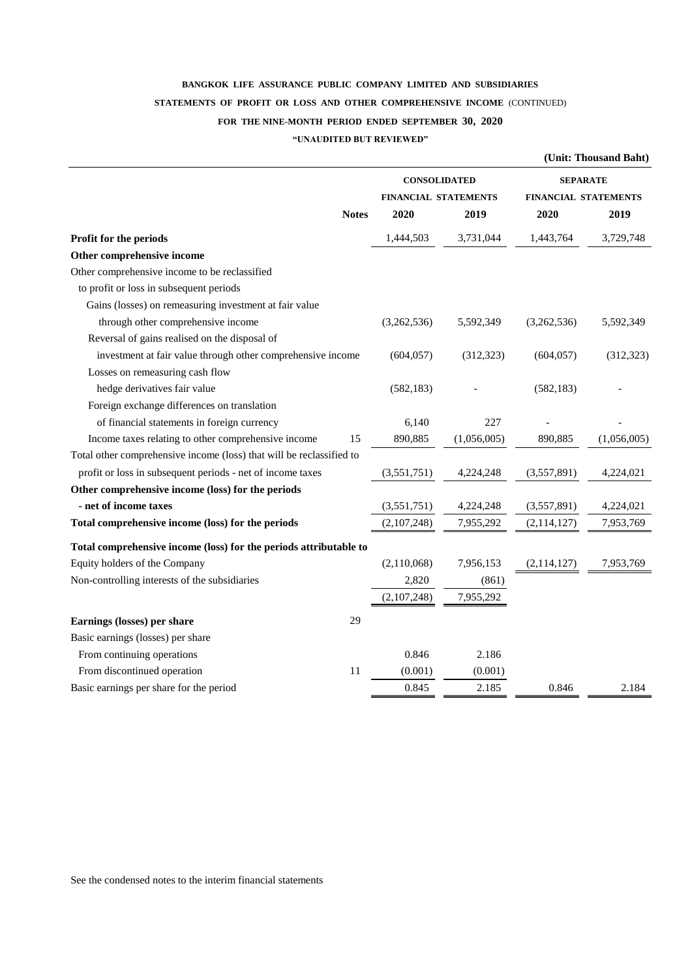# **BANGKOK LIFE ASSURANCE PUBLIC COMPANY LIMITED AND SUBSIDIARIES STATEMENTS OF PROFIT OR LOSS AND OTHER COMPREHENSIVE INCOME** (CONTINUED) **FOR THE NINE-MONTH PERIOD ENDED SEPTEMBER 30, 2020 "UNAUDITED BUT REVIEWED"**

|                                                                      |                      |             |                             | (Unit: Thousand Baht) |  |
|----------------------------------------------------------------------|----------------------|-------------|-----------------------------|-----------------------|--|
|                                                                      | <b>CONSOLIDATED</b>  |             | <b>SEPARATE</b>             |                       |  |
|                                                                      | FINANCIAL STATEMENTS |             | <b>FINANCIAL STATEMENTS</b> |                       |  |
| <b>Notes</b>                                                         | 2020                 | 2019        | 2020                        | 2019                  |  |
| Profit for the periods                                               | 1,444,503            | 3,731,044   | 1,443,764                   | 3,729,748             |  |
| Other comprehensive income                                           |                      |             |                             |                       |  |
| Other comprehensive income to be reclassified                        |                      |             |                             |                       |  |
| to profit or loss in subsequent periods                              |                      |             |                             |                       |  |
| Gains (losses) on remeasuring investment at fair value               |                      |             |                             |                       |  |
| through other comprehensive income                                   | (3,262,536)          | 5,592,349   | (3,262,536)                 | 5,592,349             |  |
| Reversal of gains realised on the disposal of                        |                      |             |                             |                       |  |
| investment at fair value through other comprehensive income          | (604, 057)           | (312, 323)  | (604, 057)                  | (312, 323)            |  |
| Losses on remeasuring cash flow                                      |                      |             |                             |                       |  |
| hedge derivatives fair value                                         | (582, 183)           |             | (582, 183)                  |                       |  |
| Foreign exchange differences on translation                          |                      |             |                             |                       |  |
| of financial statements in foreign currency                          | 6,140                | 227         |                             |                       |  |
| Income taxes relating to other comprehensive income<br>15            | 890,885              | (1,056,005) | 890,885                     | (1,056,005)           |  |
| Total other comprehensive income (loss) that will be reclassified to |                      |             |                             |                       |  |
| profit or loss in subsequent periods - net of income taxes           | (3,551,751)          | 4,224,248   | (3,557,891)                 | 4,224,021             |  |
| Other comprehensive income (loss) for the periods                    |                      |             |                             |                       |  |
| - net of income taxes                                                | (3,551,751)          | 4,224,248   | (3,557,891)                 | 4,224,021             |  |
| Total comprehensive income (loss) for the periods                    | (2,107,248)          | 7,955,292   | (2, 114, 127)               | 7,953,769             |  |
| Total comprehensive income (loss) for the periods attributable to    |                      |             |                             |                       |  |
| Equity holders of the Company                                        | (2,110,068)          | 7,956,153   | (2, 114, 127)               | 7,953,769             |  |
| Non-controlling interests of the subsidiaries                        | 2,820                | (861)       |                             |                       |  |
|                                                                      | (2,107,248)          | 7,955,292   |                             |                       |  |
| Earnings (losses) per share<br>29                                    |                      |             |                             |                       |  |
| Basic earnings (losses) per share                                    |                      |             |                             |                       |  |
| From continuing operations                                           | 0.846                | 2.186       |                             |                       |  |
| From discontinued operation<br>11                                    | (0.001)              | (0.001)     |                             |                       |  |
| Basic earnings per share for the period                              | 0.845                | 2.185       | 0.846                       | 2.184                 |  |
|                                                                      |                      |             |                             |                       |  |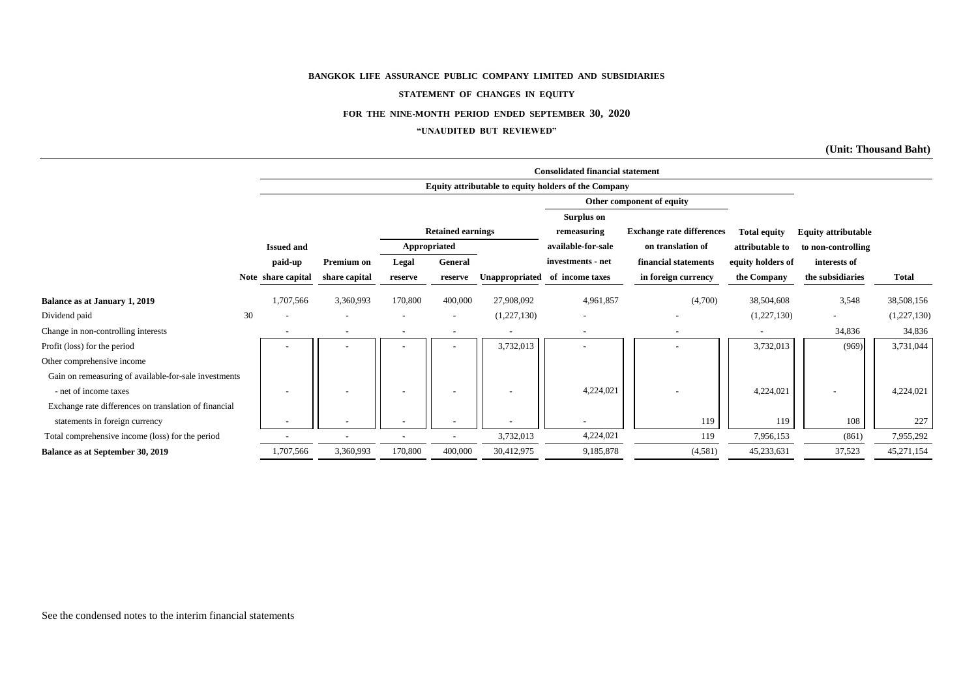#### **STATEMENT OF CHANGES IN EQUITY**

#### **FOR THE NINE-MONTH PERIOD ENDED SEPTEMBER 30, 2020**

#### **"UNAUDITED BUT REVIEWED"**

**(Unit: Thousand Baht)**

|                                                       |    |                    | <b>Consolidated financial statement</b> |                          |                          |                |                                                      |                                  |                     |                            |              |  |  |  |
|-------------------------------------------------------|----|--------------------|-----------------------------------------|--------------------------|--------------------------|----------------|------------------------------------------------------|----------------------------------|---------------------|----------------------------|--------------|--|--|--|
|                                                       |    |                    |                                         |                          |                          |                | Equity attributable to equity holders of the Company |                                  |                     |                            |              |  |  |  |
|                                                       |    |                    |                                         |                          |                          |                |                                                      | Other component of equity        |                     |                            |              |  |  |  |
|                                                       |    |                    |                                         |                          |                          |                | Surplus on                                           |                                  |                     |                            |              |  |  |  |
|                                                       |    |                    |                                         |                          | <b>Retained earnings</b> |                | remeasuring                                          | <b>Exchange rate differences</b> | <b>Total equity</b> | <b>Equity attributable</b> |              |  |  |  |
|                                                       |    | <b>Issued and</b>  |                                         | Appropriated             |                          |                | available-for-sale                                   | on translation of                | attributable to     | to non-controlling         |              |  |  |  |
|                                                       |    | paid-up            | Premium on                              | Legal                    | General                  |                | investments - net                                    | financial statements             | equity holders of   | interests of               |              |  |  |  |
|                                                       |    | Note share capital | share capital                           | reserve                  | reserve                  | Unappropriated | of income taxes                                      | in foreign currency              | the Company         | the subsidiaries           | <b>Total</b> |  |  |  |
| Balance as at January 1, 2019                         |    | 1,707,566          | 3,360,993                               | 170,800                  | 400,000                  | 27,908,092     | 4,961,857                                            | (4,700)                          | 38,504,608          | 3,548                      | 38,508,156   |  |  |  |
| Dividend paid                                         | 30 |                    |                                         | $\overline{\phantom{a}}$ |                          | (1,227,130)    | $\overline{\phantom{a}}$                             |                                  | (1,227,130)         | $\overline{\phantom{a}}$   | (1,227,130)  |  |  |  |
| Change in non-controlling interests                   |    |                    |                                         |                          |                          |                |                                                      |                                  |                     | 34,836                     | 34,836       |  |  |  |
| Profit (loss) for the period                          |    |                    |                                         |                          |                          | 3,732,013      |                                                      |                                  | 3,732,013           | (969)                      | 3,731,044    |  |  |  |
| Other comprehensive income                            |    |                    |                                         |                          |                          |                |                                                      |                                  |                     |                            |              |  |  |  |
| Gain on remeasuring of available-for-sale investments |    |                    |                                         |                          |                          |                |                                                      |                                  |                     |                            |              |  |  |  |
| - net of income taxes                                 |    |                    |                                         | $\overline{\phantom{a}}$ | $\overline{\phantom{0}}$ |                | 4,224,021                                            |                                  | 4,224,021           |                            | 4,224,021    |  |  |  |
| Exchange rate differences on translation of financial |    |                    |                                         |                          |                          |                |                                                      |                                  |                     |                            |              |  |  |  |
| statements in foreign currency                        |    |                    |                                         |                          |                          |                |                                                      | 119                              | 119                 | 108                        | 227          |  |  |  |
| Total comprehensive income (loss) for the period      |    |                    |                                         |                          |                          | 3,732,013      | 4,224,021                                            | 119                              | 7,956,153           | (861)                      | 7,955,292    |  |  |  |
| Balance as at September 30, 2019                      |    | 1,707,566          | 3,360,993                               | 170,800                  | 400,000                  | 30,412,975     | 9,185,878                                            | (4,581)                          | 45,233,631          | 37,523                     | 45,271,154   |  |  |  |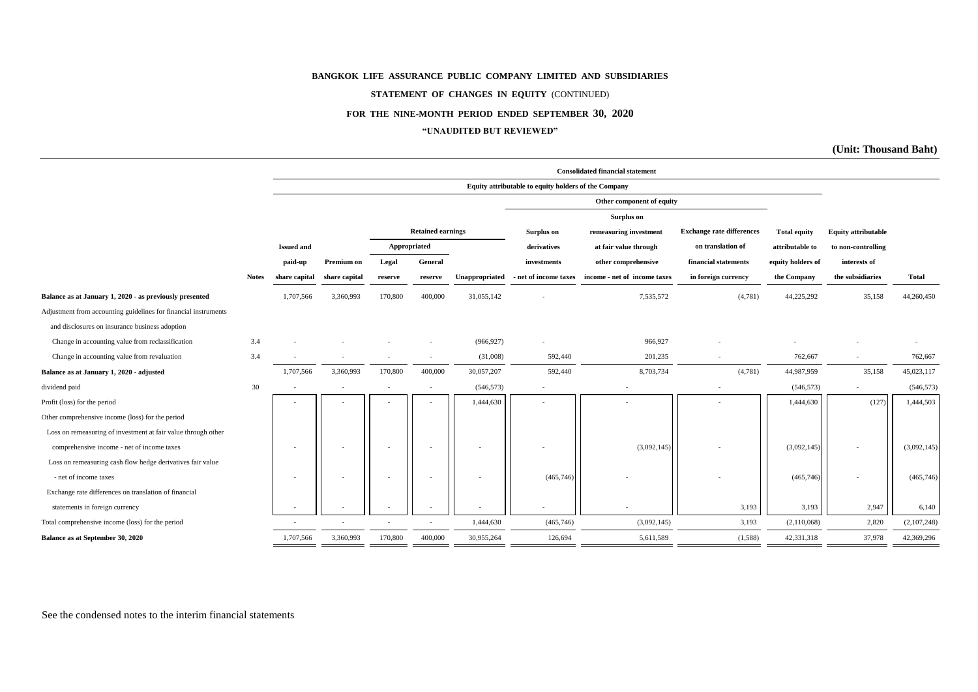#### **STATEMENT OF CHANGES IN EQUITY** (CONTINUED)

#### **FOR THE NINE-MONTH PERIOD ENDED SEPTEMBER 30, 2020**

#### **"UNAUDITED BUT REVIEWED"**

**(Unit: Thousand Baht)**

|                                                                 |              |                   | <b>Consolidated financial statement</b> |         |                          |                |                                                      |                              |                                  |                     |                            |             |  |
|-----------------------------------------------------------------|--------------|-------------------|-----------------------------------------|---------|--------------------------|----------------|------------------------------------------------------|------------------------------|----------------------------------|---------------------|----------------------------|-------------|--|
|                                                                 |              |                   |                                         |         |                          |                | Equity attributable to equity holders of the Company |                              |                                  |                     |                            |             |  |
|                                                                 |              |                   |                                         |         |                          |                |                                                      | Other component of equity    |                                  |                     |                            |             |  |
|                                                                 |              |                   | Surplus on                              |         |                          |                |                                                      |                              |                                  |                     |                            |             |  |
|                                                                 |              |                   |                                         |         | <b>Retained earnings</b> |                | Surplus on                                           | remeasuring investment       | <b>Exchange rate differences</b> | <b>Total equity</b> | <b>Equity attributable</b> |             |  |
|                                                                 |              | <b>Issued and</b> |                                         |         | Appropriated             |                | derivatives                                          | at fair value through        | on translation of                | attributable to     | to non-controlling         |             |  |
|                                                                 |              | paid-up           | Premium on                              | Legal   | General                  |                | investments                                          | other comprehensive          | financial statements             | equity holders of   | interests of               |             |  |
|                                                                 | <b>Notes</b> | share capital     | share capital                           | reserve | reserve                  | Unappropriated | - net of income taxes                                | income - net of income taxes | in foreign currency              | the Company         | the subsidiaries           | Total       |  |
| Balance as at January 1, 2020 - as previously presented         |              | 1,707,566         | 3,360,993                               | 170,800 | 400,000                  | 31,055,142     |                                                      | 7,535,572                    | (4,781)                          | 44,225,292          | 35,158                     | 44,260,450  |  |
| Adjustment from accounting guidelines for financial instruments |              |                   |                                         |         |                          |                |                                                      |                              |                                  |                     |                            |             |  |
| and disclosures on insurance business adoption                  |              |                   |                                         |         |                          |                |                                                      |                              |                                  |                     |                            |             |  |
| Change in accounting value from reclassification                | 3.4          |                   |                                         |         |                          | (966, 927)     |                                                      | 966,927                      |                                  |                     |                            |             |  |
| Change in accounting value from revaluation                     | 3.4          |                   |                                         |         |                          | (31,008)       | 592,440                                              | 201,235                      |                                  | 762,667             | $\sim$                     | 762,667     |  |
| Balance as at January 1, 2020 - adjusted                        |              | 1,707,566         | 3,360,993                               | 170,800 | 400,000                  | 30,057,207     | 592,440                                              | 8,703,734                    | (4,781)                          | 44,987,959          | 35,158                     | 45,023,117  |  |
| dividend paid                                                   | 30           |                   |                                         |         |                          | (546, 573)     | ٠                                                    |                              |                                  | (546, 573)          |                            | (546, 573)  |  |
| Profit (loss) for the period                                    |              |                   |                                         |         |                          | 1,444,630      |                                                      |                              |                                  | 1,444,630           | (127)                      | 1,444,503   |  |
| Other comprehensive income (loss) for the period                |              |                   |                                         |         |                          |                |                                                      |                              |                                  |                     |                            |             |  |
| Loss on remeasuring of investment at fair value through other   |              |                   |                                         |         |                          |                |                                                      |                              |                                  |                     |                            |             |  |
| comprehensive income - net of income taxes                      |              |                   |                                         |         |                          |                |                                                      | (3,092,145)                  |                                  | (3,092,145)         |                            | (3,092,145) |  |
| Loss on remeasuring cash flow hedge derivatives fair value      |              |                   |                                         |         |                          |                |                                                      |                              |                                  |                     |                            |             |  |
| - net of income taxes                                           |              |                   |                                         |         |                          |                | (465, 746)                                           |                              |                                  | (465, 746)          |                            | (465, 746)  |  |
| Exchange rate differences on translation of financial           |              |                   |                                         |         |                          |                |                                                      |                              |                                  |                     |                            |             |  |
| statements in foreign currency                                  |              |                   |                                         |         |                          |                |                                                      |                              | 3,193                            | 3,193               | 2,947                      | 6,140       |  |
| Total comprehensive income (loss) for the period                |              |                   |                                         |         |                          | 1,444,630      | (465, 746)                                           | (3,092,145)                  | 3,193                            | (2,110,068)         | 2,820                      | (2,107,248) |  |
| Balance as at September 30, 2020                                |              | 1,707,566         | 3,360,993                               | 170,800 | 400,000                  | 30,955,264     | 126,694                                              | 5,611,589                    | (1,588)                          | 42,331,318          | 37,978                     | 42,369,296  |  |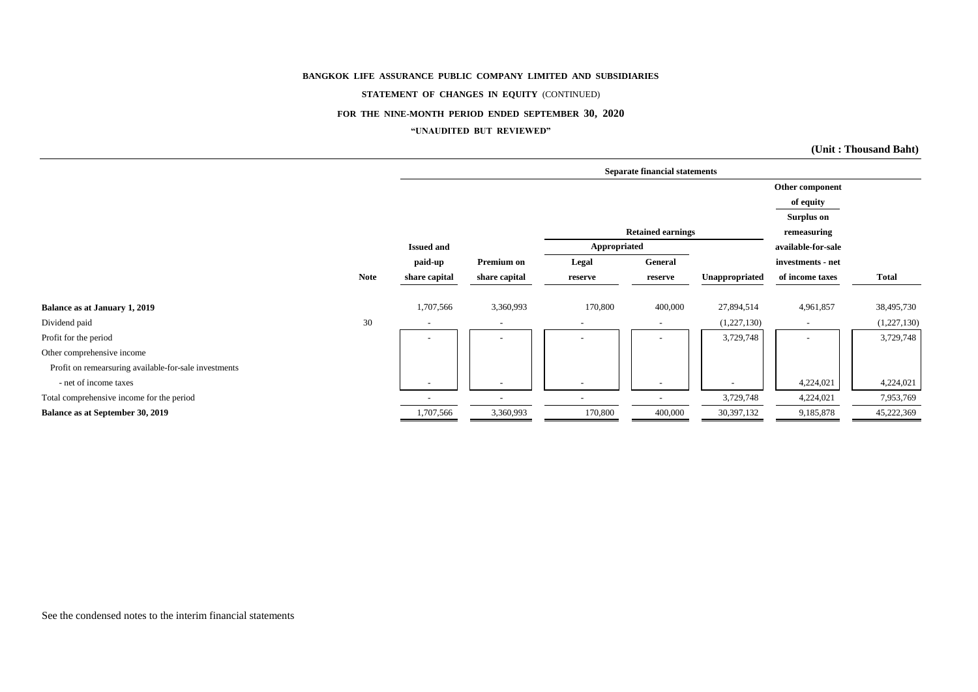#### **STATEMENT OF CHANGES IN EQUITY** (CONTINUED)

#### **FOR THE NINE-MONTH PERIOD ENDED SEPTEMBER 30, 2020**

#### **"UNAUDITED BUT REVIEWED"**

**(Unit : Thousand Baht)**

|                                                       |             | <b>Separate financial statements</b> |               |                          |                          |                          |                          |              |  |  |  |
|-------------------------------------------------------|-------------|--------------------------------------|---------------|--------------------------|--------------------------|--------------------------|--------------------------|--------------|--|--|--|
|                                                       |             |                                      |               |                          |                          |                          | Other component          |              |  |  |  |
|                                                       |             |                                      |               |                          |                          |                          | of equity                |              |  |  |  |
|                                                       |             |                                      |               |                          |                          |                          | Surplus on               |              |  |  |  |
|                                                       |             |                                      |               |                          | <b>Retained earnings</b> |                          | remeasuring              |              |  |  |  |
|                                                       |             | <b>Issued and</b>                    |               | Appropriated             |                          |                          | available-for-sale       |              |  |  |  |
|                                                       |             | paid-up                              | Premium on    | Legal                    | General                  |                          | investments - net        |              |  |  |  |
|                                                       | <b>Note</b> | share capital                        | share capital | reserve                  | reserve                  | Unappropriated           | of income taxes          | <b>Total</b> |  |  |  |
| Balance as at January 1, 2019                         |             | 1,707,566                            | 3,360,993     | 170,800                  | 400,000                  | 27,894,514               | 4,961,857                | 38,495,730   |  |  |  |
| Dividend paid                                         | 30          | $\overline{\phantom{a}}$             | $\sim$        | $\overline{\phantom{a}}$ | $\overline{\phantom{0}}$ | (1,227,130)              | $\overline{\phantom{a}}$ | (1,227,130)  |  |  |  |
| Profit for the period                                 |             |                                      |               |                          |                          | 3,729,748                |                          | 3,729,748    |  |  |  |
| Other comprehensive income                            |             |                                      |               |                          |                          |                          |                          |              |  |  |  |
| Profit on remearsuring available-for-sale investments |             |                                      |               |                          |                          |                          |                          |              |  |  |  |
| - net of income taxes                                 |             |                                      |               |                          |                          | $\overline{\phantom{0}}$ | 4,224,021                | 4,224,021    |  |  |  |
| Total comprehensive income for the period             |             |                                      |               |                          |                          | 3,729,748                | 4,224,021                | 7,953,769    |  |  |  |
| Balance as at September 30, 2019                      |             | 1,707,566                            | 3,360,993     | 170,800                  | 400,000                  | 30,397,132               | 9,185,878                | 45,222,369   |  |  |  |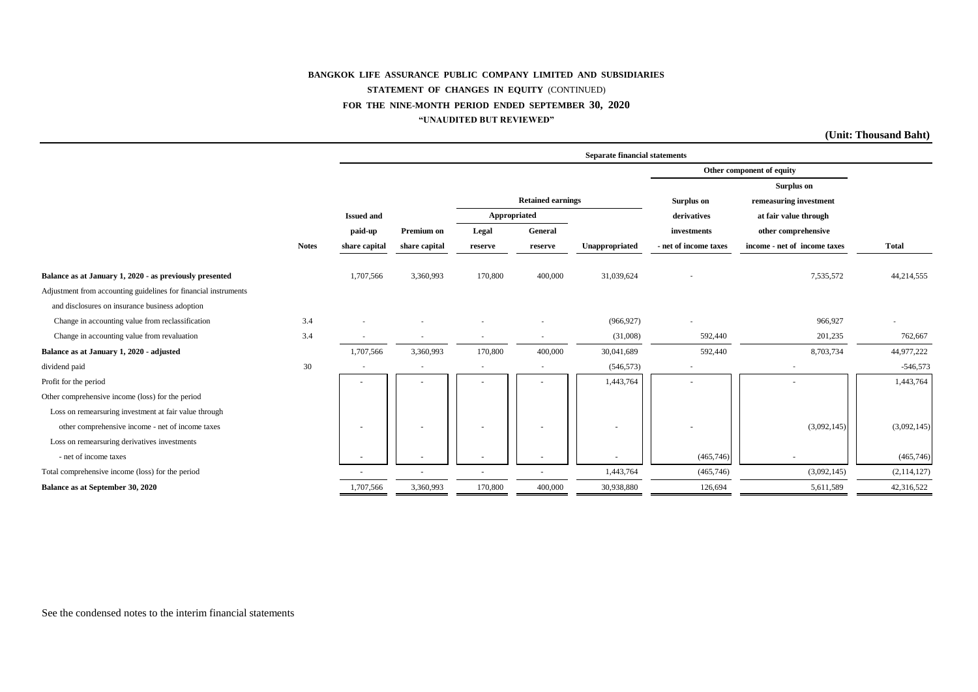#### **BANGKOK LIFE ASSURANCE PUBLIC COMPANY LIMITED AND SUBSIDIARIES STATEMENT OF CHANGES IN EQUITY** (CONTINUED) **FOR THE NINE-MONTH PERIOD ENDED SEPTEMBER 30, 2020 "UNAUDITED BUT REVIEWED"**

**(Unit: Thousand Baht)**

|                                                                 |              | <b>Separate financial statements</b> |               |              |                          |                |                       |                              |              |  |  |
|-----------------------------------------------------------------|--------------|--------------------------------------|---------------|--------------|--------------------------|----------------|-----------------------|------------------------------|--------------|--|--|
|                                                                 |              |                                      |               |              |                          |                |                       | Other component of equity    |              |  |  |
|                                                                 |              |                                      |               |              |                          |                |                       | <b>Surplus on</b>            |              |  |  |
|                                                                 |              |                                      |               |              | <b>Retained earnings</b> |                | <b>Surplus on</b>     | remeasuring investment       |              |  |  |
|                                                                 |              | <b>Issued and</b>                    |               | Appropriated |                          |                | derivatives           | at fair value through        |              |  |  |
|                                                                 |              | paid-up                              | Premium on    | Legal        | General                  |                | investments           | other comprehensive          |              |  |  |
|                                                                 | <b>Notes</b> | share capital                        | share capital | reserve      | reserve                  | Unappropriated | - net of income taxes | income - net of income taxes | <b>Total</b> |  |  |
| Balance as at January 1, 2020 - as previously presented         |              | 1,707,566                            | 3,360,993     | 170,800      | 400,000                  | 31,039,624     |                       | 7,535,572                    | 44,214,555   |  |  |
| Adjustment from accounting guidelines for financial instruments |              |                                      |               |              |                          |                |                       |                              |              |  |  |
| and disclosures on insurance business adoption                  |              |                                      |               |              |                          |                |                       |                              |              |  |  |
| Change in accounting value from reclassification                | 3.4          |                                      |               |              |                          | (966, 927)     |                       | 966,927                      |              |  |  |
| Change in accounting value from revaluation                     | 3.4          |                                      |               |              | $\sim$                   | (31,008)       | 592,440               | 201,235                      | 762,667      |  |  |
| Balance as at January 1, 2020 - adjusted                        |              | 1,707,566                            | 3,360,993     | 170,800      | 400,000                  | 30,041,689     | 592,440               | 8,703,734                    | 44,977,222   |  |  |
| dividend paid                                                   | 30           |                                      |               |              | $\sim$                   | (546, 573)     |                       |                              | $-546,573$   |  |  |
| Profit for the period                                           |              |                                      |               |              |                          | 1,443,764      |                       |                              | 1,443,764    |  |  |
| Other comprehensive income (loss) for the period                |              |                                      |               |              |                          |                |                       |                              |              |  |  |
| Loss on remearsuring investment at fair value through           |              |                                      |               |              |                          |                |                       |                              |              |  |  |
| other comprehensive income - net of income taxes                |              | ٠                                    |               |              |                          |                |                       | (3,092,145)                  | (3,092,145)  |  |  |
| Loss on remearsuring derivatives investments                    |              |                                      |               |              |                          |                |                       |                              |              |  |  |
| - net of income taxes                                           |              |                                      |               |              |                          |                | (465,746)             |                              | (465,746)    |  |  |
| Total comprehensive income (loss) for the period                |              |                                      |               |              |                          | 1,443,764      | (465,746)             | (3,092,145)                  | (2,114,127)  |  |  |
| Balance as at September 30, 2020                                |              | 1,707,566                            | 3,360,993     | 170,800      | 400,000                  | 30,938,880     | 126,694               | 5,611,589                    | 42,316,522   |  |  |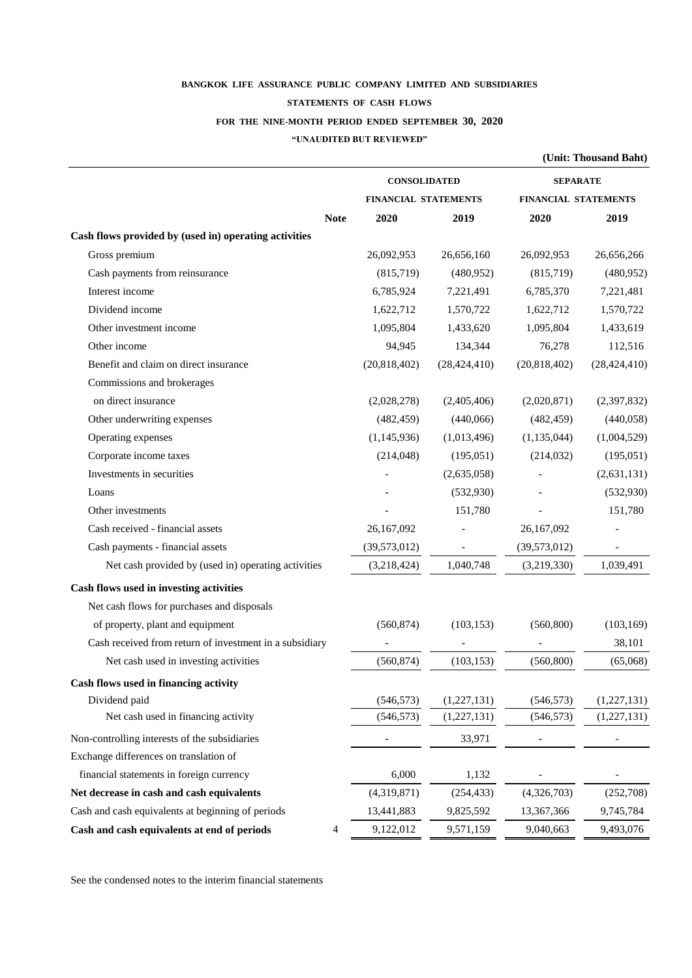# **BANGKOK LIFE ASSURANCE PUBLIC COMPANY LIMITED AND SUBSIDIARIES STATEMENTS OF CASH FLOWS FOR THE NINE-MONTH PERIOD ENDED SEPTEMBER 30, 2020**

#### **"UNAUDITED BUT REVIEWED"**

**(Unit: Thousand Baht)**

|                                                         | <b>CONSOLIDATED</b>         |                | <b>SEPARATE</b>             |                |  |  |
|---------------------------------------------------------|-----------------------------|----------------|-----------------------------|----------------|--|--|
|                                                         | <b>FINANCIAL STATEMENTS</b> |                | <b>FINANCIAL STATEMENTS</b> |                |  |  |
| <b>Note</b>                                             | 2020                        | 2019           | 2020                        | 2019           |  |  |
| Cash flows provided by (used in) operating activities   |                             |                |                             |                |  |  |
| Gross premium                                           | 26,092,953                  | 26,656,160     | 26,092,953                  | 26,656,266     |  |  |
| Cash payments from reinsurance                          | (815,719)                   | (480,952)      | (815,719)                   | (480,952)      |  |  |
| Interest income                                         | 6,785,924                   | 7,221,491      | 6,785,370                   | 7,221,481      |  |  |
| Dividend income                                         | 1,622,712                   | 1,570,722      | 1,622,712                   | 1,570,722      |  |  |
| Other investment income                                 | 1,095,804                   | 1,433,620      | 1,095,804                   | 1,433,619      |  |  |
| Other income                                            | 94,945                      | 134,344        | 76,278                      | 112,516        |  |  |
| Benefit and claim on direct insurance                   | (20,818,402)                | (28, 424, 410) | (20,818,402)                | (28, 424, 410) |  |  |
| Commissions and brokerages                              |                             |                |                             |                |  |  |
| on direct insurance                                     | (2,028,278)                 | (2,405,406)    | (2,020,871)                 | (2,397,832)    |  |  |
| Other underwriting expenses                             | (482, 459)                  | (440,066)      | (482, 459)                  | (440,058)      |  |  |
| Operating expenses                                      | (1,145,936)                 | (1,013,496)    | (1,135,044)                 | (1,004,529)    |  |  |
| Corporate income taxes                                  | (214, 048)                  | (195,051)      | (214, 032)                  | (195,051)      |  |  |
| Investments in securities                               |                             | (2,635,058)    |                             | (2,631,131)    |  |  |
| Loans                                                   |                             | (532,930)      |                             | (532,930)      |  |  |
| Other investments                                       |                             | 151,780        |                             | 151,780        |  |  |
| Cash received - financial assets                        | 26,167,092                  |                | 26,167,092                  |                |  |  |
| Cash payments - financial assets                        | (39,573,012)                |                | (39,573,012)                |                |  |  |
| Net cash provided by (used in) operating activities     | (3,218,424)                 | 1,040,748      | (3,219,330)                 | 1,039,491      |  |  |
| Cash flows used in investing activities                 |                             |                |                             |                |  |  |
| Net cash flows for purchases and disposals              |                             |                |                             |                |  |  |
| of property, plant and equipment                        | (560, 874)                  | (103, 153)     | (560, 800)                  | (103, 169)     |  |  |
| Cash received from return of investment in a subsidiary |                             |                |                             | 38,101         |  |  |
| Net cash used in investing activities                   | (560, 874)                  | (103, 153)     | (560, 800)                  | (65,068)       |  |  |
| Cash flows used in financing activity                   |                             |                |                             |                |  |  |
| Dividend paid                                           | (546, 573)                  | (1,227,131)    | (546, 573)                  | (1,227,131)    |  |  |
| Net cash used in financing activity                     | (546, 573)                  | (1,227,131)    | (546, 573)                  | (1,227,131)    |  |  |
| Non-controlling interests of the subsidiaries           |                             | 33,971         |                             |                |  |  |
| Exchange differences on translation of                  |                             |                |                             |                |  |  |
| financial statements in foreign currency                | 6,000                       | 1,132          |                             |                |  |  |
| Net decrease in cash and cash equivalents               | (4,319,871)                 | (254, 433)     | (4,326,703)                 | (252,708)      |  |  |
| Cash and cash equivalents at beginning of periods       | 13,441,883                  | 9,825,592      | 13,367,366                  | 9,745,784      |  |  |
| Cash and cash equivalents at end of periods<br>4        | 9,122,012                   | 9,571,159      | 9,040,663                   | 9,493,076      |  |  |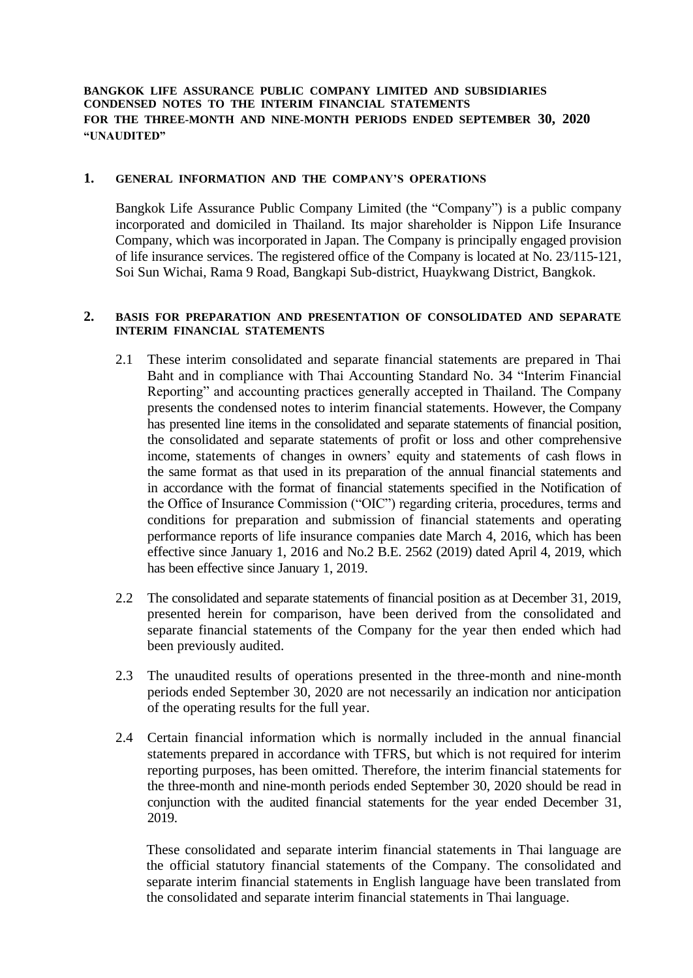**BANGKOK LIFE ASSURANCE PUBLIC COMPANY LIMITED AND SUBSIDIARIES CONDENSED NOTES TO THE INTERIM FINANCIAL STATEMENTS FOR THE THREE-MONTH AND NINE-MONTH PERIODS ENDED SEPTEMBER 30, 2020 "UNAUDITED"**

# **1. GENERAL INFORMATION AND THE COMPANY'S OPERATIONS**

Bangkok Life Assurance Public Company Limited (the "Company") is a public company incorporated and domiciled in Thailand. Its major shareholder is Nippon Life Insurance Company, which was incorporated in Japan. The Company is principally engaged provision of life insurance services. The registered office of the Company is located at No. 23/115-121, Soi Sun Wichai, Rama 9 Road, Bangkapi Sub-district, Huaykwang District, Bangkok.

### **2. BASIS FOR PREPARATION AND PRESENTATION OF CONSOLIDATED AND SEPARATE INTERIM FINANCIAL STATEMENTS**

- 2.1 These interim consolidated and separate financial statements are prepared in Thai Baht and in compliance with Thai Accounting Standard No. 34 "Interim Financial Reporting" and accounting practices generally accepted in Thailand. The Company presents the condensed notes to interim financial statements. However, the Company has presented line items in the consolidated and separate statements of financial position, the consolidated and separate statements of profit or loss and other comprehensive income, statements of changes in owners' equity and statements of cash flows in the same format as that used in its preparation of the annual financial statements and in accordance with the format of financial statements specified in the Notification of the Office of Insurance Commission ("OIC") regarding criteria, procedures, terms and conditions for preparation and submission of financial statements and operating performance reports of life insurance companies date March 4, 2016, which has been effective since January 1, 2016 and No.2 B.E. 2562 (2019) dated April 4, 2019, which has been effective since January 1, 2019.
- 2.2 The consolidated and separate statements of financial position as at December 31, 2019, presented herein for comparison, have been derived from the consolidated and separate financial statements of the Company for the year then ended which had been previously audited.
- 2.3 The unaudited results of operations presented in the three-month and nine-month periods ended September 30, 2020 are not necessarily an indication nor anticipation of the operating results for the full year.
- 2.4 Certain financial information which is normally included in the annual financial statements prepared in accordance with TFRS, but which is not required for interim reporting purposes, has been omitted. Therefore, the interim financial statements for the three-month and nine-month periods ended September 30, 2020 should be read in conjunction with the audited financial statements for the year ended December 31, 2019.

These consolidated and separate interim financial statements in Thai language are the official statutory financial statements of the Company. The consolidated and separate interim financial statements in English language have been translated from the consolidated and separate interim financial statements in Thai language.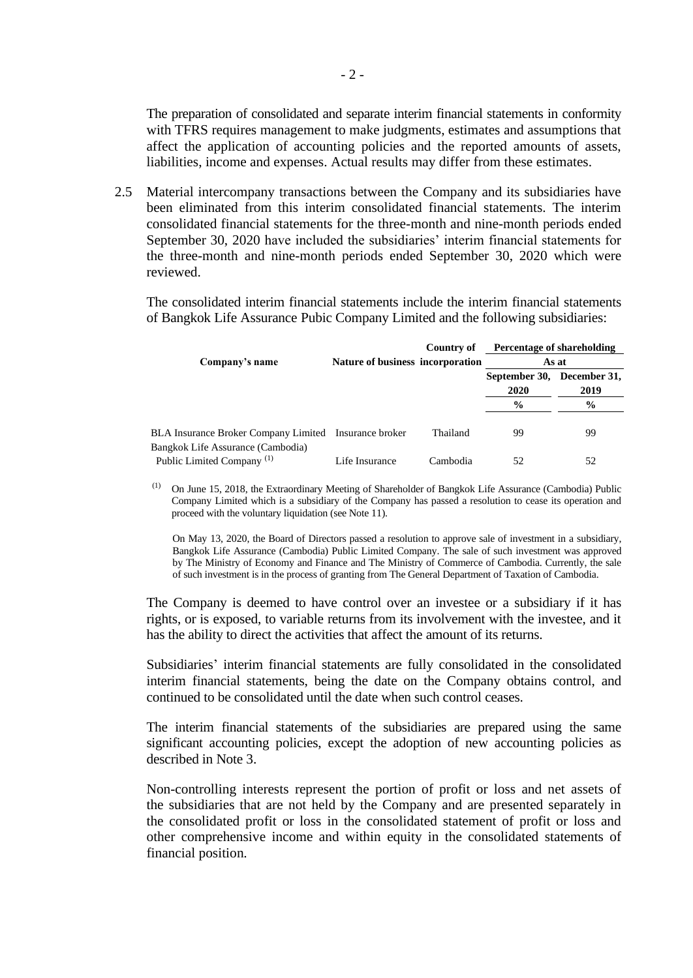The preparation of consolidated and separate interim financial statements in conformity with TFRS requires management to make judgments, estimates and assumptions that affect the application of accounting policies and the reported amounts of assets, liabilities, income and expenses. Actual results may differ from these estimates.

2.5 Material intercompany transactions between the Company and its subsidiaries have been eliminated from this interim consolidated financial statements. The interim consolidated financial statements for the three-month and nine-month periods ended September 30, 2020 have included the subsidiaries' interim financial statements for the three-month and nine-month periods ended September 30, 2020 which were reviewed.

The consolidated interim financial statements include the interim financial statements of Bangkok Life Assurance Pubic Company Limited and the following subsidiaries:

|                                                                            |                                  | Country of | Percentage of shareholding         |      |  |
|----------------------------------------------------------------------------|----------------------------------|------------|------------------------------------|------|--|
| Company's name                                                             | Nature of business incorporation |            | As at                              |      |  |
|                                                                            |                                  |            | September 30, December 31,<br>2020 | 2019 |  |
|                                                                            |                                  |            | $\frac{6}{9}$                      | $\%$ |  |
| <b>BLA Insurance Broker Company Limited Insurance broker</b>               |                                  | Thailand   | 99                                 | 99   |  |
| Bangkok Life Assurance (Cambodia)<br>Public Limited Company <sup>(1)</sup> | Life Insurance                   | Cambodia   | 52                                 | 52   |  |

(1) On June 15, 2018, the Extraordinary Meeting of Shareholder of Bangkok Life Assurance (Cambodia) Public Company Limited which is a subsidiary of the Company has passed a resolution to cease its operation and proceed with the voluntary liquidation (see Note 11).

On May 13, 2020, the Board of Directors passed a resolution to approve sale of investment in a subsidiary, Bangkok Life Assurance (Cambodia) Public Limited Company. The sale of such investment was approved by The Ministry of Economy and Finance and The Ministry of Commerce of Cambodia. Currently, the sale of such investment is in the process of granting from The General Department of Taxation of Cambodia.

The Company is deemed to have control over an investee or a subsidiary if it has rights, or is exposed, to variable returns from its involvement with the investee, and it has the ability to direct the activities that affect the amount of its returns.

Subsidiaries' interim financial statements are fully consolidated in the consolidated interim financial statements, being the date on the Company obtains control, and continued to be consolidated until the date when such control ceases.

The interim financial statements of the subsidiaries are prepared using the same significant accounting policies, except the adoption of new accounting policies as described in Note 3.

Non-controlling interests represent the portion of profit or loss and net assets of the subsidiaries that are not held by the Company and are presented separately in the consolidated profit or loss in the consolidated statement of profit or loss and other comprehensive income and within equity in the consolidated statements of financial position.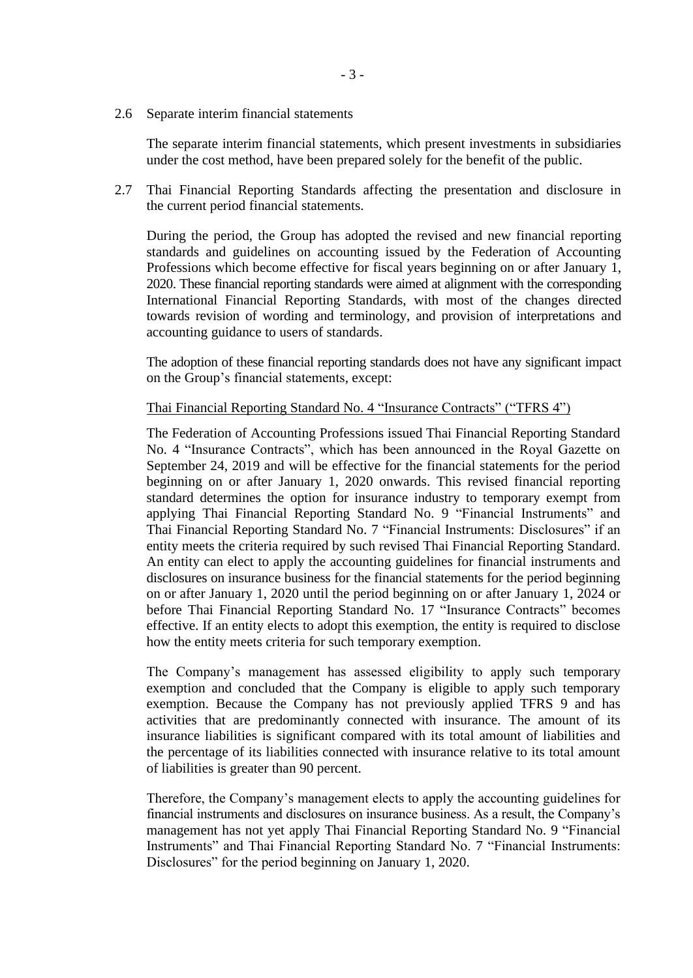2.6 Separate interim financial statements

The separate interim financial statements, which present investments in subsidiaries under the cost method, have been prepared solely for the benefit of the public.

2.7 Thai Financial Reporting Standards affecting the presentation and disclosure in the current period financial statements.

During the period, the Group has adopted the revised and new financial reporting standards and guidelines on accounting issued by the Federation of Accounting Professions which become effective for fiscal years beginning on or after January 1, 2020. These financial reporting standards were aimed at alignment with the corresponding International Financial Reporting Standards, with most of the changes directed towards revision of wording and terminology, and provision of interpretations and accounting guidance to users of standards.

The adoption of these financial reporting standards does not have any significant impact on the Group's financial statements, except:

# Thai Financial Reporting Standard No. 4 "Insurance Contracts" ("TFRS 4")

The Federation of Accounting Professions issued Thai Financial Reporting Standard No. 4 "Insurance Contracts", which has been announced in the Royal Gazette on September 24, 2019 and will be effective for the financial statements for the period beginning on or after January 1, 2020 onwards. This revised financial reporting standard determines the option for insurance industry to temporary exempt from applying Thai Financial Reporting Standard No. 9 "Financial Instruments" and Thai Financial Reporting Standard No. 7 "Financial Instruments: Disclosures" if an entity meets the criteria required by such revised Thai Financial Reporting Standard. An entity can elect to apply the accounting guidelines for financial instruments and disclosures on insurance business for the financial statements for the period beginning on or after January 1, 2020 until the period beginning on or after January 1, 2024 or before Thai Financial Reporting Standard No. 17 "Insurance Contracts" becomes effective. If an entity elects to adopt this exemption, the entity is required to disclose how the entity meets criteria for such temporary exemption.

The Company's management has assessed eligibility to apply such temporary exemption and concluded that the Company is eligible to apply such temporary exemption. Because the Company has not previously applied TFRS 9 and has activities that are predominantly connected with insurance. The amount of its insurance liabilities is significant compared with its total amount of liabilities and the percentage of its liabilities connected with insurance relative to its total amount of liabilities is greater than 90 percent.

Therefore, the Company's management elects to apply the accounting guidelines for financial instruments and disclosures on insurance business. As a result, the Company's management has not yet apply Thai Financial Reporting Standard No. 9 "Financial Instruments" and Thai Financial Reporting Standard No. 7 "Financial Instruments: Disclosures" for the period beginning on January 1, 2020.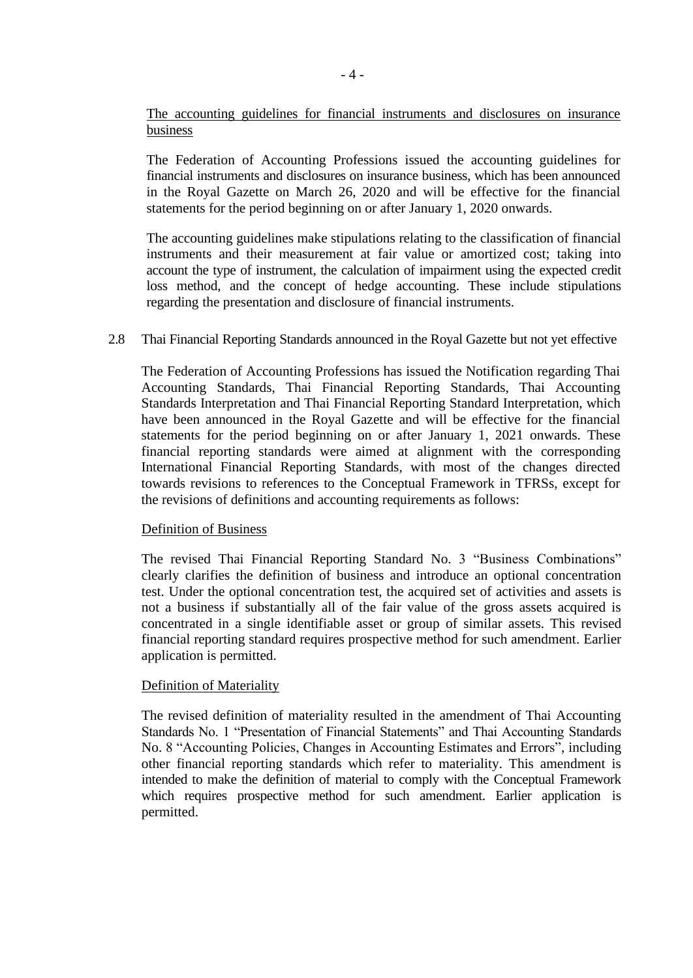The accounting guidelines for financial instruments and disclosures on insurance business

The Federation of Accounting Professions issued the accounting guidelines for financial instruments and disclosures on insurance business, which has been announced in the Royal Gazette on March 26, 2020 and will be effective for the financial statements for the period beginning on or after January 1, 2020 onwards.

The accounting guidelines make stipulations relating to the classification of financial instruments and their measurement at fair value or amortized cost; taking into account the type of instrument, the calculation of impairment using the expected credit loss method, and the concept of hedge accounting. These include stipulations regarding the presentation and disclosure of financial instruments.

## 2.8 Thai Financial Reporting Standards announced in the Royal Gazette but not yet effective

The Federation of Accounting Professions has issued the Notification regarding Thai Accounting Standards, Thai Financial Reporting Standards, Thai Accounting Standards Interpretation and Thai Financial Reporting Standard Interpretation, which have been announced in the Royal Gazette and will be effective for the financial statements for the period beginning on or after January 1, 2021 onwards. These financial reporting standards were aimed at alignment with the corresponding International Financial Reporting Standards, with most of the changes directed towards revisions to references to the Conceptual Framework in TFRSs, except for the revisions of definitions and accounting requirements as follows:

### Definition of Business

The revised Thai Financial Reporting Standard No. 3 "Business Combinations" clearly clarifies the definition of business and introduce an optional concentration test. Under the optional concentration test, the acquired set of activities and assets is not a business if substantially all of the fair value of the gross assets acquired is concentrated in a single identifiable asset or group of similar assets. This revised financial reporting standard requires prospective method for such amendment. Earlier application is permitted.

### Definition of Materiality

The revised definition of materiality resulted in the amendment of Thai Accounting Standards No. 1 "Presentation of Financial Statements" and Thai Accounting Standards No. 8 "Accounting Policies, Changes in Accounting Estimates and Errors", including other financial reporting standards which refer to materiality. This amendment is intended to make the definition of material to comply with the Conceptual Framework which requires prospective method for such amendment. Earlier application is permitted.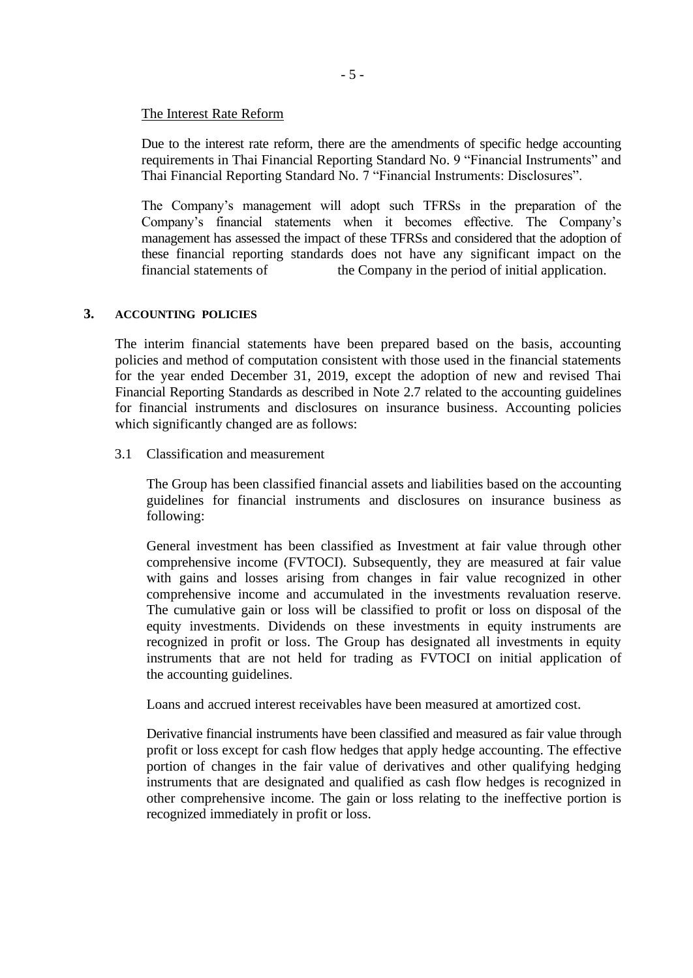## The Interest Rate Reform

Due to the interest rate reform, there are the amendments of specific hedge accounting requirements in Thai Financial Reporting Standard No. 9 "Financial Instruments" and Thai Financial Reporting Standard No. 7 "Financial Instruments: Disclosures".

The Company's management will adopt such TFRSs in the preparation of the Company's financial statements when it becomes effective. The Company's management has assessed the impact of these TFRSs and considered that the adoption of these financial reporting standards does not have any significant impact on the financial statements of the Company in the period of initial application.

# **3. ACCOUNTING POLICIES**

The interim financial statements have been prepared based on the basis, accounting policies and method of computation consistent with those used in the financial statements for the year ended December 31, 2019, except the adoption of new and revised Thai Financial Reporting Standards as described in Note 2.7 related to the accounting guidelines for financial instruments and disclosures on insurance business. Accounting policies which significantly changed are as follows:

## 3.1 Classification and measurement

The Group has been classified financial assets and liabilities based on the accounting guidelines for financial instruments and disclosures on insurance business as following:

General investment has been classified as Investment at fair value through other comprehensive income (FVTOCI). Subsequently, they are measured at fair value with gains and losses arising from changes in fair value recognized in other comprehensive income and accumulated in the investments revaluation reserve. The cumulative gain or loss will be classified to profit or loss on disposal of the equity investments. Dividends on these investments in equity instruments are recognized in profit or loss. The Group has designated all investments in equity instruments that are not held for trading as FVTOCI on initial application of the accounting guidelines.

Loans and accrued interest receivables have been measured at amortized cost.

Derivative financial instruments have been classified and measured as fair value through profit or loss except for cash flow hedges that apply hedge accounting. The effective portion of changes in the fair value of derivatives and other qualifying hedging instruments that are designated and qualified as cash flow hedges is recognized in other comprehensive income. The gain or loss relating to the ineffective portion is recognized immediately in profit or loss.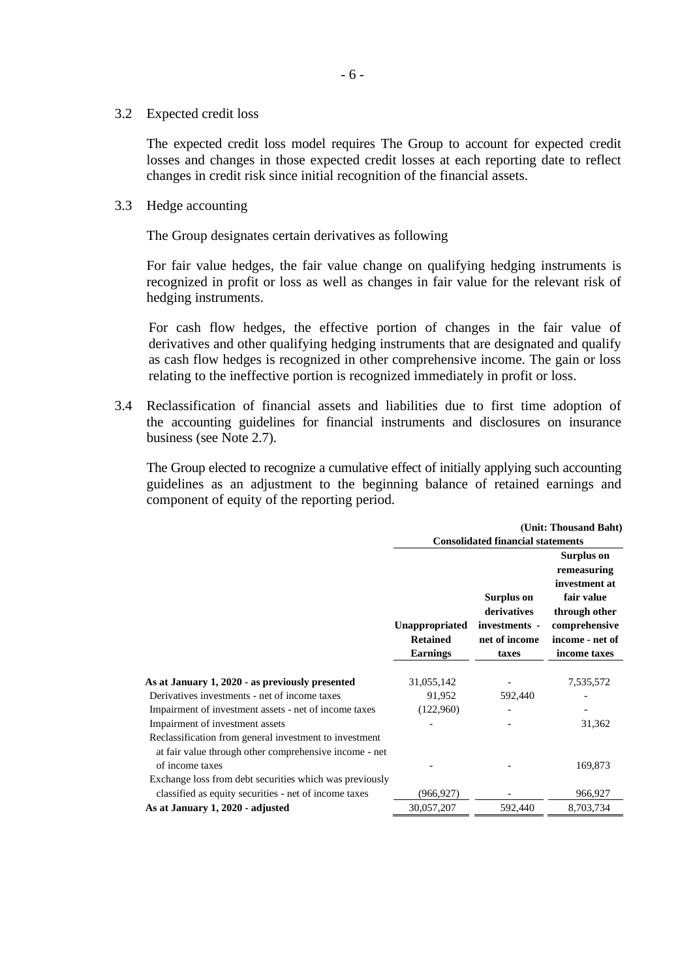3.2 Expected credit loss

The expected credit loss model requires The Group to account for expected credit losses and changes in those expected credit losses at each reporting date to reflect changes in credit risk since initial recognition of the financial assets.

3.3 Hedge accounting

The Group designates certain derivatives as following

For fair value hedges, the fair value change on qualifying hedging instruments is recognized in profit or loss as well as changes in fair value for the relevant risk of hedging instruments.

For cash flow hedges, the effective portion of changes in the fair value of derivatives and other qualifying hedging instruments that are designated and qualify as cash flow hedges is recognized in other comprehensive income. The gain or loss relating to the ineffective portion is recognized immediately in profit or loss.

3.4 Reclassification of financial assets and liabilities due to first time adoption of the accounting guidelines for financial instruments and disclosures on insurance business (see Note 2.7).

The Group elected to recognize a cumulative effect of initially applying such accounting guidelines as an adjustment to the beginning balance of retained earnings and component of equity of the reporting period.

|                                                                                                                  | (Unit: Thousand Baht)<br><b>Consolidated financial statements</b> |                                                                      |                                                                                                                               |  |
|------------------------------------------------------------------------------------------------------------------|-------------------------------------------------------------------|----------------------------------------------------------------------|-------------------------------------------------------------------------------------------------------------------------------|--|
|                                                                                                                  | Unappropriated<br><b>Retained</b><br><b>Earnings</b>              | Surplus on<br>derivatives<br>investments -<br>net of income<br>taxes | Surplus on<br>remeasuring<br>investment at<br>fair value<br>through other<br>comprehensive<br>income - net of<br>income taxes |  |
|                                                                                                                  |                                                                   |                                                                      |                                                                                                                               |  |
| As at January 1, 2020 - as previously presented                                                                  | 31,055,142                                                        |                                                                      | 7,535,572                                                                                                                     |  |
| Derivatives investments - net of income taxes                                                                    | 91,952                                                            | 592,440                                                              |                                                                                                                               |  |
| Impairment of investment assets - net of income taxes                                                            | (122,960)                                                         |                                                                      |                                                                                                                               |  |
| Impairment of investment assets                                                                                  |                                                                   |                                                                      | 31,362                                                                                                                        |  |
| Reclassification from general investment to investment<br>at fair value through other comprehensive income - net |                                                                   |                                                                      |                                                                                                                               |  |
| of income taxes                                                                                                  |                                                                   |                                                                      | 169,873                                                                                                                       |  |
| Exchange loss from debt securities which was previously                                                          |                                                                   |                                                                      |                                                                                                                               |  |
| classified as equity securities - net of income taxes                                                            | (966, 927)                                                        |                                                                      | 966,927                                                                                                                       |  |
| As at January 1, 2020 - adjusted                                                                                 | 30,057,207                                                        | 592,440                                                              | 8,703,734                                                                                                                     |  |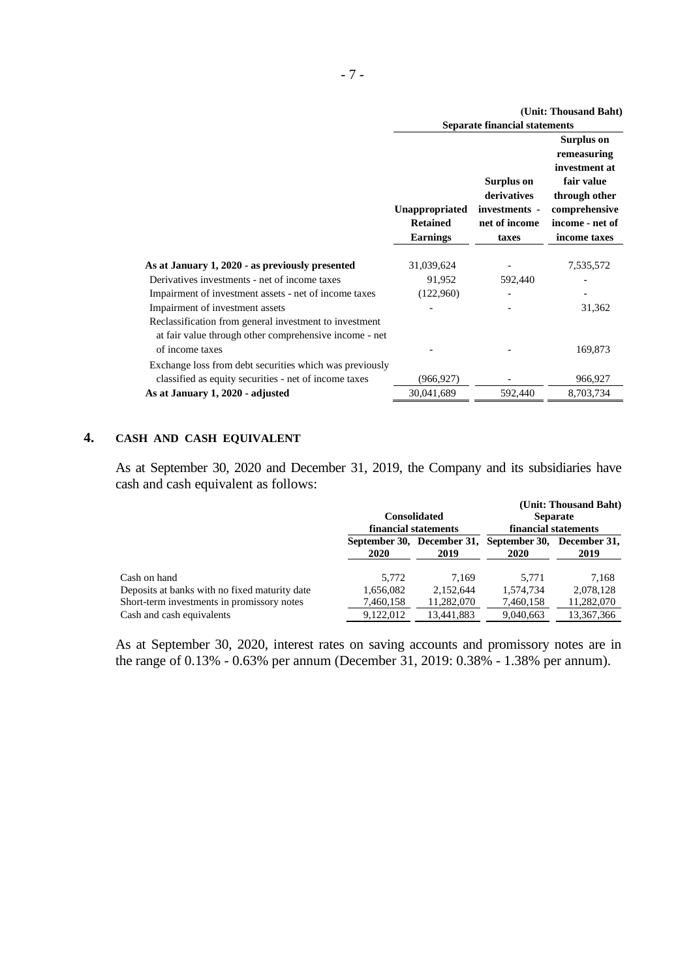|                                                                                                                                     | (Unit: Thousand Baht)                                |                                                                      |                                                                                                                                      |  |
|-------------------------------------------------------------------------------------------------------------------------------------|------------------------------------------------------|----------------------------------------------------------------------|--------------------------------------------------------------------------------------------------------------------------------------|--|
|                                                                                                                                     | <b>Separate financial statements</b>                 |                                                                      |                                                                                                                                      |  |
|                                                                                                                                     | Unappropriated<br><b>Retained</b><br><b>Earnings</b> | Surplus on<br>derivatives<br>investments -<br>net of income<br>taxes | <b>Surplus on</b><br>remeasuring<br>investment at<br>fair value<br>through other<br>comprehensive<br>income - net of<br>income taxes |  |
|                                                                                                                                     |                                                      |                                                                      |                                                                                                                                      |  |
| As at January 1, 2020 - as previously presented                                                                                     | 31,039,624                                           |                                                                      | 7,535,572                                                                                                                            |  |
| Derivatives investments - net of income taxes                                                                                       | 91,952                                               | 592,440                                                              |                                                                                                                                      |  |
| Impairment of investment assets - net of income taxes                                                                               | (122,960)                                            |                                                                      |                                                                                                                                      |  |
| Impairment of investment assets                                                                                                     |                                                      |                                                                      | 31,362                                                                                                                               |  |
| Reclassification from general investment to investment<br>at fair value through other comprehensive income - net<br>of income taxes |                                                      |                                                                      | 169,873                                                                                                                              |  |
|                                                                                                                                     |                                                      |                                                                      |                                                                                                                                      |  |
| Exchange loss from debt securities which was previously                                                                             |                                                      |                                                                      |                                                                                                                                      |  |
| classified as equity securities - net of income taxes                                                                               | (966,927)                                            |                                                                      | 966,927                                                                                                                              |  |
| As at January 1, 2020 - adjusted                                                                                                    | 30,041,689                                           | 592,440                                                              | 8,703,734                                                                                                                            |  |

## **4. CASH AND CASH EQUIVALENT**

As at September 30, 2020 and December 31, 2019, the Company and its subsidiaries have cash and cash equivalent as follows:

|                                               |           |                                    |                                           | (Unit: Thousand Baht) |  |  |
|-----------------------------------------------|-----------|------------------------------------|-------------------------------------------|-----------------------|--|--|
|                                               |           | <b>Consolidated</b>                |                                           | <b>Separate</b>       |  |  |
|                                               |           | financial statements               | financial statements                      |                       |  |  |
|                                               | 2020      | September 30, December 31,<br>2019 | September 30, December 31,<br><b>2020</b> | 2019                  |  |  |
| Cash on hand                                  | 5,772     | 7.169                              | 5.771                                     | 7.168                 |  |  |
| Deposits at banks with no fixed maturity date | 1,656,082 | 2.152.644                          | 1,574,734                                 | 2,078,128             |  |  |
| Short-term investments in promissory notes    | 7,460,158 | 11,282,070                         | 7,460,158                                 | 11,282,070            |  |  |
| Cash and cash equivalents                     | 9.122.012 | 13.441.883                         | 9,040,663                                 | 13,367,366            |  |  |

As at September 30, 2020, interest rates on saving accounts and promissory notes are in the range of 0.13% - 0.63% per annum (December 31, 2019: 0.38% - 1.38% per annum).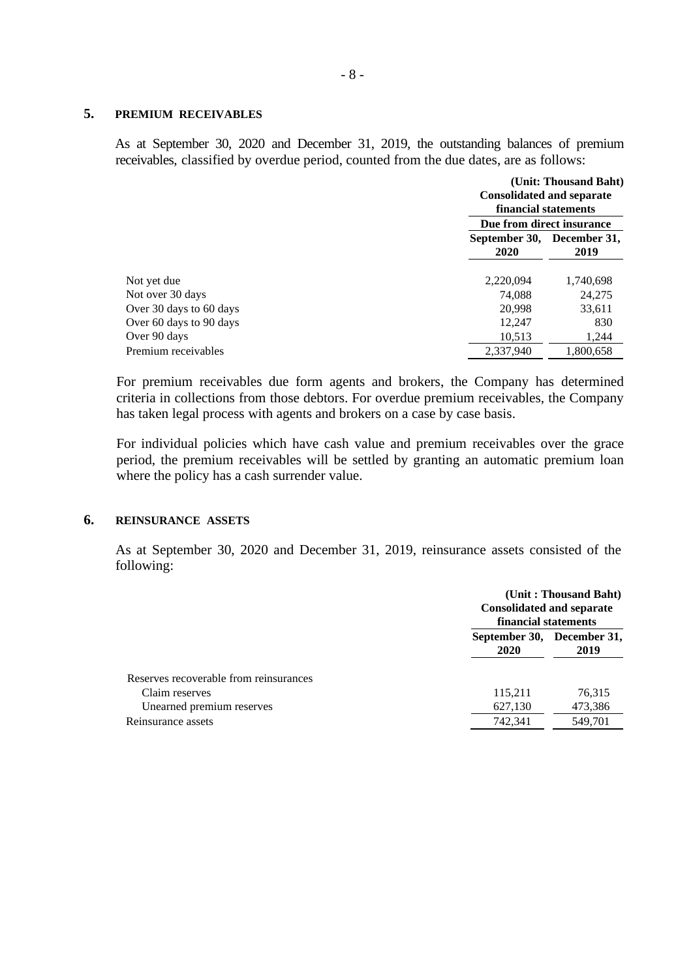## **5. PREMIUM RECEIVABLES**

As at September 30, 2020 and December 31, 2019, the outstanding balances of premium receivables, classified by overdue period, counted from the due dates, are as follows:

|                         | (Unit: Thousand Baht)<br><b>Consolidated and separate</b><br>financial statements<br>Due from direct insurance |           |  |
|-------------------------|----------------------------------------------------------------------------------------------------------------|-----------|--|
|                         | September 30, December 31,<br>2020                                                                             | 2019      |  |
| Not yet due             | 2,220,094                                                                                                      | 1,740,698 |  |
| Not over 30 days        | 74.088                                                                                                         | 24,275    |  |
| Over 30 days to 60 days | 20,998                                                                                                         | 33,611    |  |
| Over 60 days to 90 days | 12,247                                                                                                         | 830       |  |
| Over 90 days            | 10,513                                                                                                         | 1,244     |  |
| Premium receivables     | 2.337.940                                                                                                      | 1.800.658 |  |

For premium receivables due form agents and brokers, the Company has determined criteria in collections from those debtors. For overdue premium receivables, the Company has taken legal process with agents and brokers on a case by case basis.

For individual policies which have cash value and premium receivables over the grace period, the premium receivables will be settled by granting an automatic premium loan where the policy has a cash surrender value.

# **6. REINSURANCE ASSETS**

As at September 30, 2020 and December 31, 2019, reinsurance assets consisted of the following:

|                                        | (Unit: Thousand Baht)<br><b>Consolidated and separate</b><br>financial statements |         |  |
|----------------------------------------|-----------------------------------------------------------------------------------|---------|--|
|                                        | September 30, December 31,<br>2020                                                | 2019    |  |
| Reserves recoverable from reinsurances |                                                                                   |         |  |
| Claim reserves                         | 115,211                                                                           | 76,315  |  |
| Unearned premium reserves              | 627,130                                                                           | 473,386 |  |
| Reinsurance assets                     | 742,341                                                                           | 549,701 |  |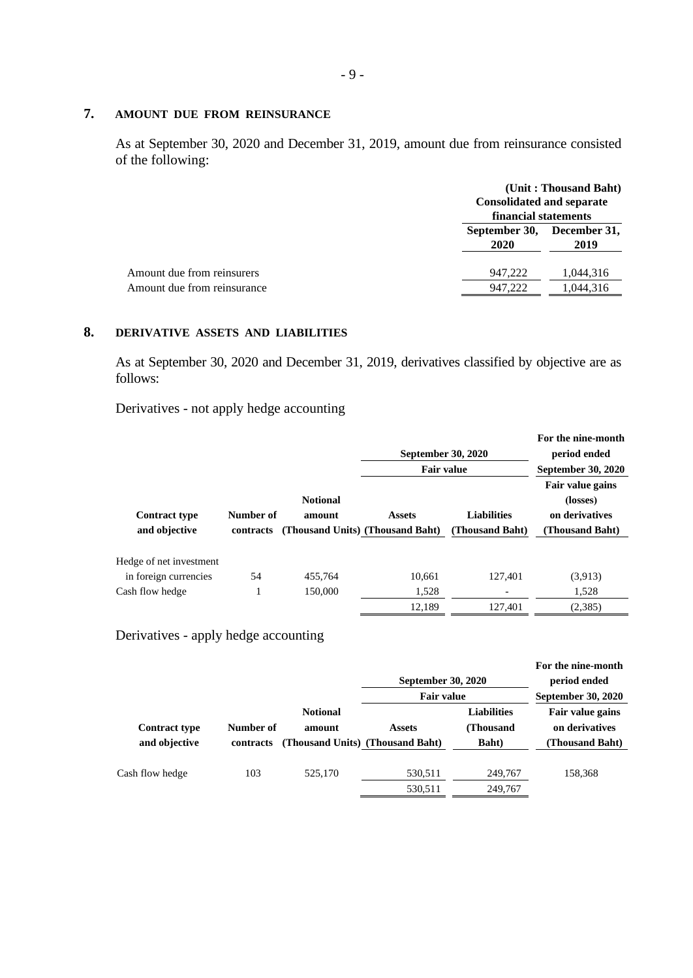## **7. AMOUNT DUE FROM REINSURANCE**

As at September 30, 2020 and December 31, 2019, amount due from reinsurance consisted of the following:

|                             | (Unit: Thousand Baht)<br><b>Consolidated and separate</b><br>financial statements |                      |  |
|-----------------------------|-----------------------------------------------------------------------------------|----------------------|--|
|                             | September 30,<br>2020                                                             | December 31,<br>2019 |  |
| Amount due from reinsurers  | 947.222                                                                           | 1.044.316            |  |
| Amount due from reinsurance | 947.222                                                                           | 1.044.316            |  |

# **8. DERIVATIVE ASSETS AND LIABILITIES**

As at September 30, 2020 and December 31, 2019, derivatives classified by objective are as follows:

Derivatives - not apply hedge accounting

|                                                  |                        |                                                               | September 30, 2020<br><b>Fair value</b> |                                       | For the nine-month<br>period ended<br><b>September 30, 2020</b>          |
|--------------------------------------------------|------------------------|---------------------------------------------------------------|-----------------------------------------|---------------------------------------|--------------------------------------------------------------------------|
| <b>Contract type</b><br>and objective            | Number of<br>contracts | <b>Notional</b><br>amount<br>(Thousand Units) (Thousand Baht) | <b>Assets</b>                           | <b>Liabilities</b><br>(Thousand Baht) | <b>Fair value gains</b><br>(losses)<br>on derivatives<br>(Thousand Baht) |
| Hedge of net investment<br>in foreign currencies | 54                     | 455.764                                                       | 10.661                                  | 127.401                               | (3,913)                                                                  |
| Cash flow hedge                                  |                        | 150,000                                                       | 1,528                                   |                                       | 1,528                                                                    |
|                                                  |                        |                                                               | 12,189                                  | 127.401                               | (2,385)                                                                  |

# Derivatives - apply hedge accounting

|                                       |                        |                                                               | September 30, 2020<br><b>Fair value</b> |                                                  | For the nine-month<br>period ended<br>September 30, 2020 |
|---------------------------------------|------------------------|---------------------------------------------------------------|-----------------------------------------|--------------------------------------------------|----------------------------------------------------------|
| <b>Contract type</b><br>and objective | Number of<br>contracts | <b>Notional</b><br>amount<br>(Thousand Units) (Thousand Baht) | <b>Assets</b>                           | <b>Liabilities</b><br>(Thousand<br><b>Baht</b> ) | Fair value gains<br>on derivatives<br>(Thousand Baht)    |
| Cash flow hedge                       | 103                    | 525,170                                                       | 530,511<br>530,511                      | 249,767<br>249,767                               | 158,368                                                  |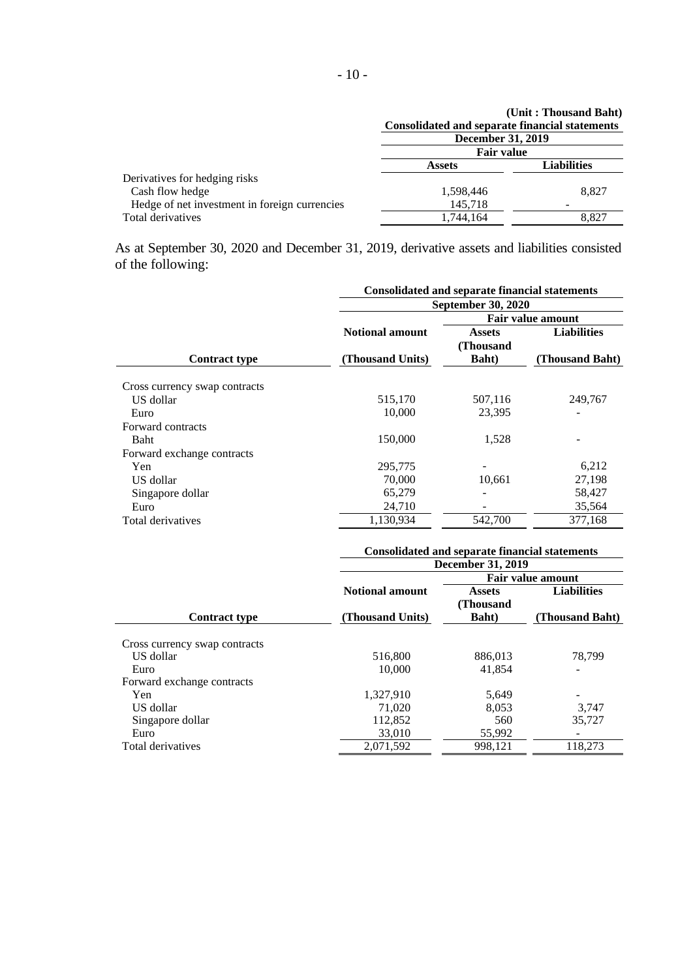|                                               | <b>Consolidated and separate financial statements</b> | (Unit: Thousand Baht) |  |
|-----------------------------------------------|-------------------------------------------------------|-----------------------|--|
|                                               | <b>December 31, 2019</b>                              |                       |  |
|                                               | <b>Fair value</b>                                     |                       |  |
|                                               | <b>Assets</b>                                         | <b>Liabilities</b>    |  |
| Derivatives for hedging risks                 |                                                       |                       |  |
| Cash flow hedge                               | 1,598,446                                             | 8,827                 |  |
| Hedge of net investment in foreign currencies | 145,718                                               |                       |  |
| Total derivatives                             | 1,744,164                                             | 8.827                 |  |

As at September 30, 2020 and December 31, 2019, derivative assets and liabilities consisted of the following:

|                               | <b>Consolidated and separate financial statements</b> |                            |                          |  |  |
|-------------------------------|-------------------------------------------------------|----------------------------|--------------------------|--|--|
|                               |                                                       | <b>September 30, 2020</b>  |                          |  |  |
|                               |                                                       |                            | <b>Fair value amount</b> |  |  |
|                               | <b>Notional amount</b>                                | <b>Assets</b><br>(Thousand | <b>Liabilities</b>       |  |  |
| <b>Contract type</b>          | (Thousand Units)                                      | <b>Baht</b> )              | (Thousand Baht)          |  |  |
| Cross currency swap contracts |                                                       |                            |                          |  |  |
| US dollar                     | 515,170                                               | 507,116                    | 249,767                  |  |  |
| Euro                          | 10,000                                                | 23,395                     |                          |  |  |
| Forward contracts             |                                                       |                            |                          |  |  |
| <b>Baht</b>                   | 150,000                                               | 1,528                      |                          |  |  |
| Forward exchange contracts    |                                                       |                            |                          |  |  |
| Yen                           | 295,775                                               |                            | 6,212                    |  |  |
| US dollar                     | 70,000                                                | 10,661                     | 27,198                   |  |  |
| Singapore dollar              | 65,279                                                |                            | 58,427                   |  |  |
| Euro                          | 24,710                                                |                            | 35,564                   |  |  |
| Total derivatives             | 1,130,934                                             | 542,700                    | 377,168                  |  |  |
|                               |                                                       |                            |                          |  |  |

|                               |                        | <b>Consolidated and separate financial statements</b> |                          |  |  |
|-------------------------------|------------------------|-------------------------------------------------------|--------------------------|--|--|
|                               |                        | <b>December 31, 2019</b>                              |                          |  |  |
|                               |                        |                                                       | <b>Fair value amount</b> |  |  |
|                               | <b>Notional amount</b> | <b>Assets</b><br>(Thousand                            | <b>Liabilities</b>       |  |  |
| <b>Contract type</b>          | (Thousand Units)       | <b>Baht</b> )                                         | (Thousand Baht)          |  |  |
| Cross currency swap contracts |                        |                                                       |                          |  |  |
| US dollar                     | 516,800                | 886,013                                               | 78,799                   |  |  |
| Euro                          | 10,000                 | 41.854                                                |                          |  |  |
| Forward exchange contracts    |                        |                                                       |                          |  |  |
| Yen                           | 1.327.910              | 5,649                                                 |                          |  |  |
| US dollar                     | 71,020                 | 8,053                                                 | 3,747                    |  |  |
| Singapore dollar              | 112,852                | 560                                                   | 35,727                   |  |  |
| Euro                          | 33,010                 | 55,992                                                |                          |  |  |
| Total derivatives             | 2,071,592              | 998,121                                               | 118,273                  |  |  |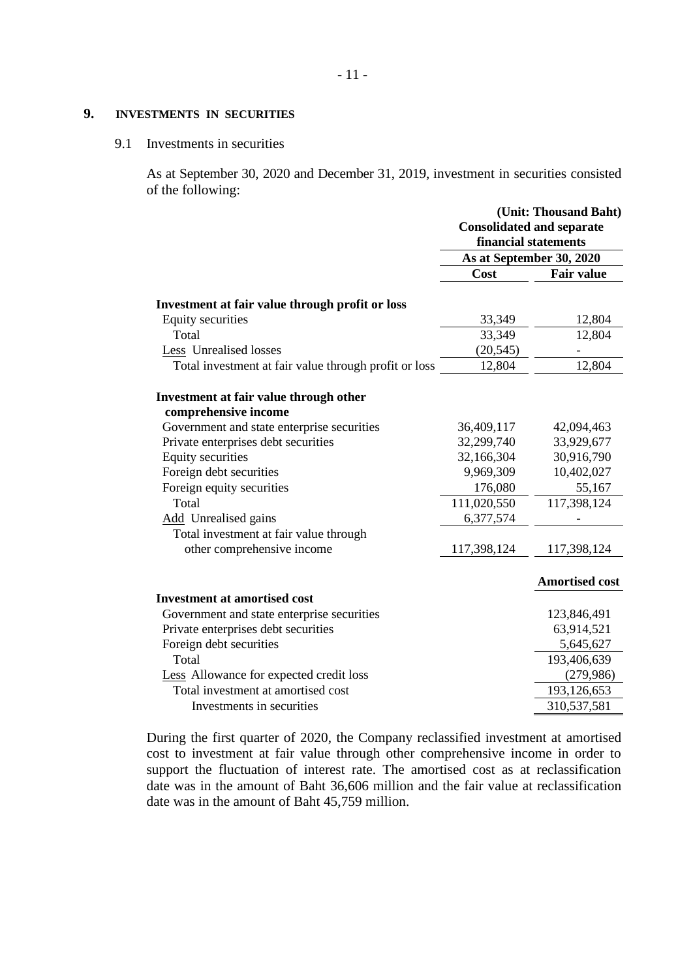- 11 -

# **9. INVESTMENTS IN SECURITIES**

#### 9.1 Investments in securities

As at September 30, 2020 and December 31, 2019, investment in securities consisted of the following:

|                                                       | (Unit: Thousand Baht)                                    |                          |  |
|-------------------------------------------------------|----------------------------------------------------------|--------------------------|--|
|                                                       | <b>Consolidated and separate</b><br>financial statements |                          |  |
|                                                       |                                                          |                          |  |
|                                                       |                                                          | As at September 30, 2020 |  |
|                                                       | Cost                                                     | <b>Fair value</b>        |  |
| Investment at fair value through profit or loss       |                                                          |                          |  |
| Equity securities                                     | 33,349                                                   | 12,804                   |  |
| Total                                                 | 33,349                                                   | 12,804                   |  |
| Less Unrealised losses                                | (20, 545)                                                |                          |  |
| Total investment at fair value through profit or loss | 12,804                                                   | 12,804                   |  |
| Investment at fair value through other                |                                                          |                          |  |
| comprehensive income                                  |                                                          |                          |  |
| Government and state enterprise securities            | 36,409,117                                               | 42,094,463               |  |
| Private enterprises debt securities                   | 32,299,740                                               | 33,929,677               |  |
| Equity securities                                     | 32,166,304                                               | 30,916,790               |  |
| Foreign debt securities                               | 9,969,309                                                | 10,402,027               |  |
| Foreign equity securities                             | 176,080                                                  | 55,167                   |  |
| Total                                                 | 111,020,550                                              | 117,398,124              |  |
| <b>Add</b> Unrealised gains                           | 6,377,574                                                |                          |  |
| Total investment at fair value through                |                                                          |                          |  |
| other comprehensive income                            | 117,398,124                                              | 117,398,124              |  |
|                                                       |                                                          | <b>Amortised cost</b>    |  |
| <b>Investment at amortised cost</b>                   |                                                          |                          |  |
| Government and state enterprise securities            |                                                          | 123,846,491              |  |
| Private enterprises debt securities                   |                                                          | 63,914,521               |  |
| Foreign debt securities                               |                                                          | 5,645,627                |  |
| Total                                                 |                                                          | 193,406,639              |  |
| Less Allowance for expected credit loss               |                                                          | (279,986)                |  |
| Total investment at amortised cost                    |                                                          | 193,126,653              |  |
| Investments in securities                             |                                                          | 310,537,581              |  |
|                                                       |                                                          |                          |  |

During the first quarter of 2020, the Company reclassified investment at amortised cost to investment at fair value through other comprehensive income in order to support the fluctuation of interest rate. The amortised cost as at reclassification date was in the amount of Baht 36,606 million and the fair value at reclassification date was in the amount of Baht 45,759 million.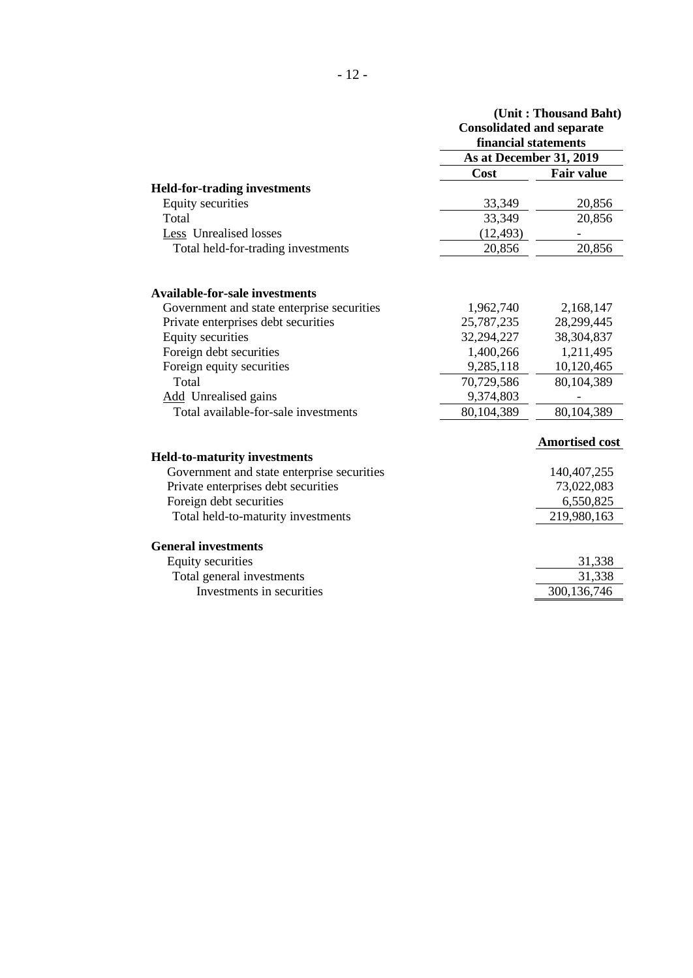|                                            | <b>Consolidated and separate</b><br>financial statements | (Unit: Thousand Baht) |
|--------------------------------------------|----------------------------------------------------------|-----------------------|
|                                            | As at December 31, 2019                                  |                       |
|                                            | Cost                                                     | <b>Fair value</b>     |
| <b>Held-for-trading investments</b>        |                                                          |                       |
| <b>Equity securities</b>                   | 33,349                                                   | 20,856                |
| Total                                      | 33,349                                                   | 20,856                |
| Less Unrealised losses                     | (12, 493)                                                |                       |
| Total held-for-trading investments         | 20,856                                                   | 20,856                |
| <b>Available-for-sale investments</b>      |                                                          |                       |
| Government and state enterprise securities | 1,962,740                                                | 2,168,147             |
| Private enterprises debt securities        | 25,787,235                                               | 28,299,445            |
| <b>Equity securities</b>                   | 32,294,227                                               | 38,304,837            |
| Foreign debt securities                    | 1,400,266                                                | 1,211,495             |
| Foreign equity securities                  | 9,285,118                                                | 10,120,465            |
| Total                                      | 70,729,586                                               | 80,104,389            |
| Add Unrealised gains                       | 9,374,803                                                |                       |
| Total available-for-sale investments       | 80,104,389                                               | 80,104,389            |
|                                            |                                                          | <b>Amortised cost</b> |
| <b>Held-to-maturity investments</b>        |                                                          |                       |
| Government and state enterprise securities |                                                          | 140,407,255           |
| Private enterprises debt securities        |                                                          | 73,022,083            |
| Foreign debt securities                    |                                                          | 6,550,825             |
| Total held-to-maturity investments         |                                                          | 219,980,163           |
| <b>General investments</b>                 |                                                          |                       |
| <b>Equity securities</b>                   |                                                          | 31,338                |
| Total general investments                  |                                                          | 31,338                |
| Investments in securities                  |                                                          | 300,136,746           |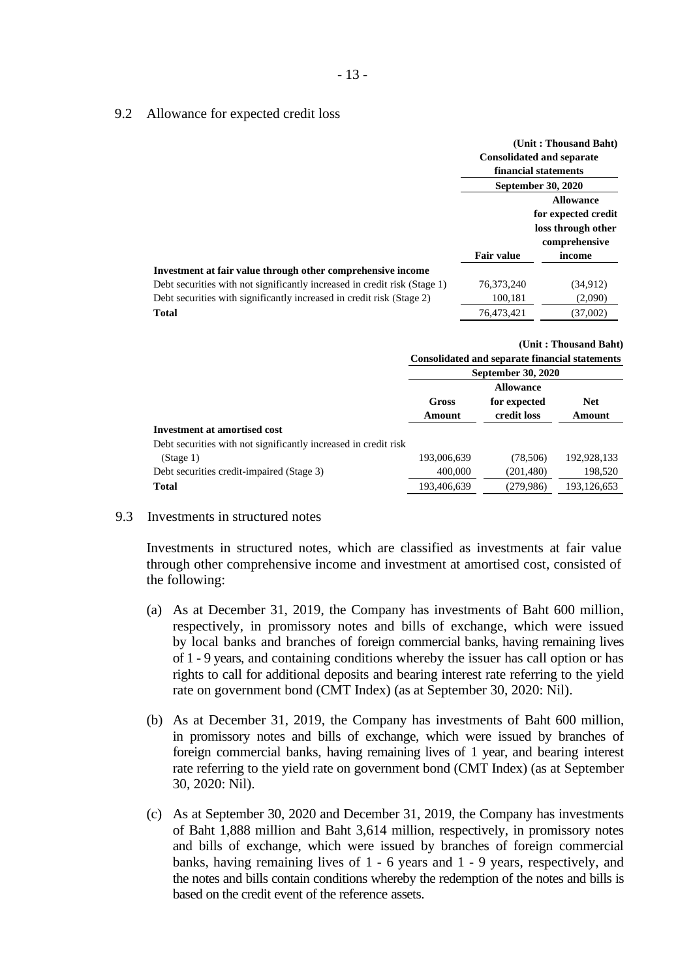#### 9.2 Allowance for expected credit loss

|                                                                                                                                                                                                                            |                                     | (Unit: Thousand Baht)<br><b>Consolidated and separate</b><br>financial statements<br><b>September 30, 2020</b> |
|----------------------------------------------------------------------------------------------------------------------------------------------------------------------------------------------------------------------------|-------------------------------------|----------------------------------------------------------------------------------------------------------------|
|                                                                                                                                                                                                                            | <b>Fair value</b>                   | <b>Allowance</b><br>for expected credit<br>loss through other<br>comprehensive                                 |
| Investment at fair value through other comprehensive income<br>Debt securities with not significantly increased in credit risk (Stage 1)<br>Debt securities with significantly increased in credit risk (Stage 2)<br>Total | 76,373,240<br>100,181<br>76.473.421 | income<br>(34, 912)<br>(2,090)<br>(37,002)                                                                     |

|                                                                 |             | <b>Consolidated and separate financial statements</b> | (Unit: Thousand Baht) |
|-----------------------------------------------------------------|-------------|-------------------------------------------------------|-----------------------|
|                                                                 |             | September 30, 2020                                    |                       |
|                                                                 |             | <b>Allowance</b>                                      |                       |
|                                                                 | Gross       | for expected                                          | <b>Net</b>            |
|                                                                 | Amount      | credit loss                                           | Amount                |
| <b>Investment at amortised cost</b>                             |             |                                                       |                       |
| Debt securities with not significantly increased in credit risk |             |                                                       |                       |
| (Stage 1)                                                       | 193,006,639 | (78,506)                                              | 192,928,133           |
| Debt securities credit-impaired (Stage 3)                       | 400,000     | (201, 480)                                            | 198,520               |
| <b>Total</b>                                                    | 193,406,639 | (279,986)                                             | 193,126,653           |

### 9.3 Investments in structured notes

Investments in structured notes, which are classified as investments at fair value through other comprehensive income and investment at amortised cost, consisted of the following:

- (a) As at December 31, 2019, the Company has investments of Baht 600 million, respectively, in promissory notes and bills of exchange, which were issued by local banks and branches of foreign commercial banks, having remaining lives of 1 - 9 years, and containing conditions whereby the issuer has call option or has rights to call for additional deposits and bearing interest rate referring to the yield rate on government bond (CMT Index) (as at September 30, 2020: Nil).
- (b) As at December 31, 2019, the Company has investments of Baht 600 million, in promissory notes and bills of exchange, which were issued by branches of foreign commercial banks, having remaining lives of 1 year, and bearing interest rate referring to the yield rate on government bond (CMT Index) (as at September 30, 2020: Nil).
- (c) As at September 30, 2020 and December 31, 2019, the Company has investments of Baht 1,888 million and Baht 3,614 million, respectively, in promissory notes and bills of exchange, which were issued by branches of foreign commercial banks, having remaining lives of 1 - 6 years and 1 - 9 years, respectively, and the notes and bills contain conditions whereby the redemption of the notes and bills is based on the credit event of the reference assets.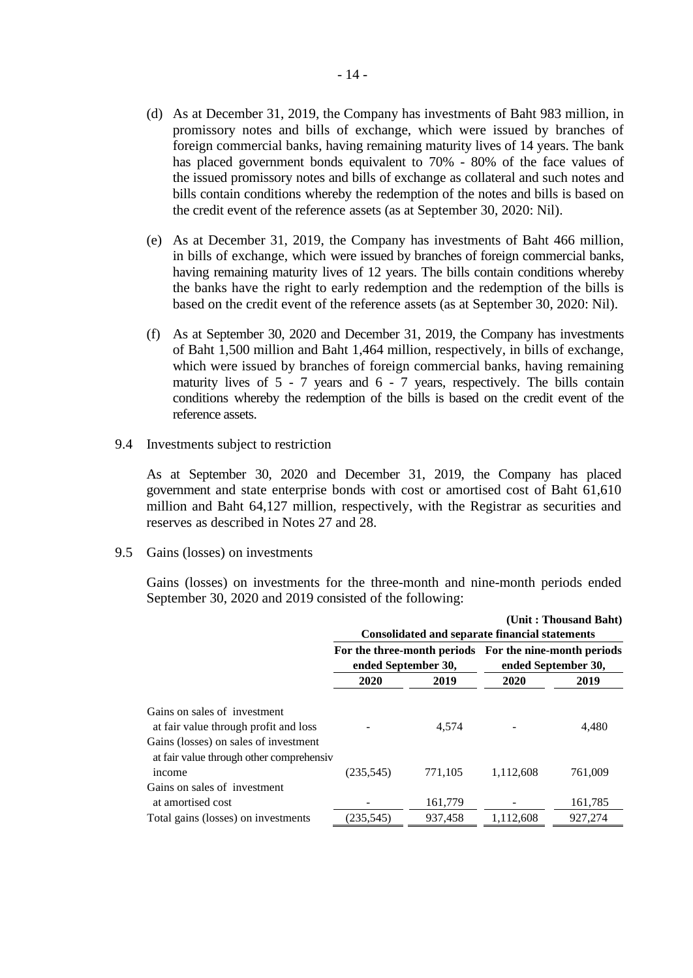- (d) As at December 31, 2019, the Company has investments of Baht 983 million, in promissory notes and bills of exchange, which were issued by branches of foreign commercial banks, having remaining maturity lives of 14 years. The bank has placed government bonds equivalent to 70% - 80% of the face values of the issued promissory notes and bills of exchange as collateral and such notes and bills contain conditions whereby the redemption of the notes and bills is based on the credit event of the reference assets (as at September 30, 2020: Nil).
- (e) As at December 31, 2019, the Company has investments of Baht 466 million, in bills of exchange, which were issued by branches of foreign commercial banks, having remaining maturity lives of 12 years. The bills contain conditions whereby the banks have the right to early redemption and the redemption of the bills is based on the credit event of the reference assets (as at September 30, 2020: Nil).
- (f) As at September 30, 2020 and December 31, 2019, the Company has investments of Baht 1,500 million and Baht 1,464 million, respectively, in bills of exchange, which were issued by branches of foreign commercial banks, having remaining maturity lives of 5 - 7 years and 6 - 7 years, respectively. The bills contain conditions whereby the redemption of the bills is based on the credit event of the reference assets.
- 9.4 Investments subject to restriction

As at September 30, 2020 and December 31, 2019, the Company has placed government and state enterprise bonds with cost or amortised cost of Baht 61,610 million and Baht 64,127 million, respectively, with the Registrar as securities and reserves as described in Notes 27 and 28.

9.5 Gains (losses) on investments

Gains (losses) on investments for the three-month and nine-month periods ended September 30, 2020 and 2019 consisted of the following:

|                                                                                    |                                                                               |         | <b>Consolidated and separate financial statements</b> | (Unit: Thousand Baht) |
|------------------------------------------------------------------------------------|-------------------------------------------------------------------------------|---------|-------------------------------------------------------|-----------------------|
|                                                                                    | For the three-month periods For the nine-month periods<br>ended September 30, |         | ended September 30,                                   |                       |
|                                                                                    | 2020                                                                          | 2019    | 2020                                                  | 2019                  |
| Gains on sales of investment                                                       |                                                                               |         |                                                       |                       |
| at fair value through profit and loss                                              |                                                                               | 4.574   |                                                       | 4,480                 |
| Gains (losses) on sales of investment<br>at fair value through other comprehensive |                                                                               |         |                                                       |                       |
| <i>ncome</i>                                                                       | (235, 545)                                                                    | 771,105 | 1,112,608                                             | 761,009               |
| Gains on sales of investment                                                       |                                                                               |         |                                                       |                       |
| at amortised cost                                                                  |                                                                               | 161,779 |                                                       | 161,785               |
| Total gains (losses) on investments                                                | (235,545)                                                                     | 937.458 | 1.112.608                                             | 927.274               |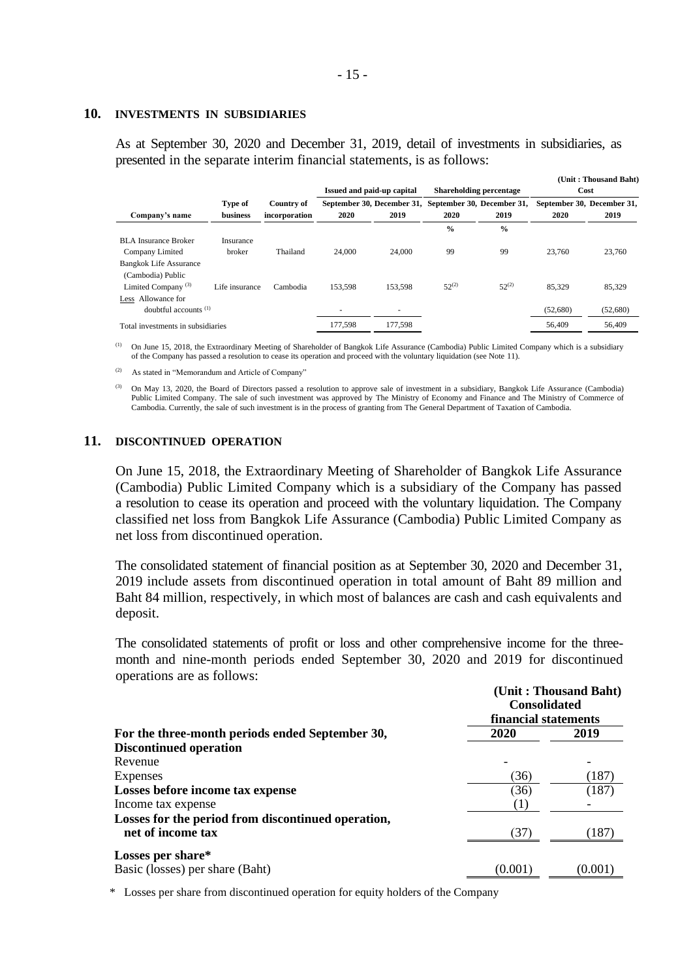#### **10. INVESTMENTS IN SUBSIDIARIES**

As at September 30, 2020 and December 31, 2019, detail of investments in subsidiaries, as presented in the separate interim financial statements, is as follows:

|                                   |                 |               |                            |                |                                |                            |                            | (Unit: Thousand Baht) |
|-----------------------------------|-----------------|---------------|----------------------------|----------------|--------------------------------|----------------------------|----------------------------|-----------------------|
|                                   |                 |               | Issued and paid-up capital |                | <b>Shareholding percentage</b> |                            | Cost                       |                       |
|                                   | Type of         | Country of    | September 30, December 31, |                |                                | September 30, December 31, | September 30, December 31, |                       |
| Company's name                    | <b>business</b> | incorporation | 2020                       | 2019           | 2020                           | 2019                       | 2020                       | 2019                  |
|                                   |                 |               |                            |                | $\frac{0}{0}$                  | $\frac{0}{0}$              |                            |                       |
| <b>BLA</b> Insurance Broker       | Insurance       |               |                            |                |                                |                            |                            |                       |
| Company Limited                   | broker          | Thailand      | 24,000                     | 24,000         | 99                             | 99                         | 23,760                     | 23,760                |
| <b>Bangkok Life Assurance</b>     |                 |               |                            |                |                                |                            |                            |                       |
| (Cambodia) Public                 |                 |               |                            |                |                                |                            |                            |                       |
| Limited Company <sup>(3)</sup>    | Life insurance  | Cambodia      | 153,598                    | 153,598        | $52^{(2)}$                     | $52^{(2)}$                 | 85.329                     | 85,329                |
| Less Allowance for                |                 |               |                            |                |                                |                            |                            |                       |
| doubtful accounts $(1)$           |                 |               | ۰                          | $\overline{a}$ |                                |                            | (52,680)                   | (52,680)              |
| Total investments in subsidiaries |                 |               | 177.598                    | 177.598        |                                |                            | 56,409                     | 56,409                |

(1) On June 15, 2018, the Extraordinary Meeting of Shareholder of Bangkok Life Assurance (Cambodia) Public Limited Company which is a subsidiary of the Company has passed a resolution to cease its operation and proceed with the voluntary liquidation (see Note 11).

(2) As stated in "Memorandum and Article of Company"

(3) On May 13, 2020, the Board of Directors passed a resolution to approve sale of investment in a subsidiary, Bangkok Life Assurance (Cambodia) Public Limited Company. The sale of such investment was approved by The Ministry of Economy and Finance and The Ministry of Commerce of Cambodia. Currently, the sale of such investment is in the process of granting from The General Department of Taxation of Cambodia.

#### **11. DISCONTINUED OPERATION**

On June 15, 2018, the Extraordinary Meeting of Shareholder of Bangkok Life Assurance (Cambodia) Public Limited Company which is a subsidiary of the Company has passed a resolution to cease its operation and proceed with the voluntary liquidation. The Company classified net loss from Bangkok Life Assurance (Cambodia) Public Limited Company as net loss from discontinued operation.

The consolidated statement of financial position as at September 30, 2020 and December 31, 2019 include assets from discontinued operation in total amount of Baht 89 million and Baht 84 million, respectively, in which most of balances are cash and cash equivalents and deposit.

The consolidated statements of profit or loss and other comprehensive income for the threemonth and nine-month periods ended September 30, 2020 and 2019 for discontinued operations are as follows:

|                                                    |         | (Unit: Thousand Baht)<br><b>Consolidated</b><br>financial statements |  |  |
|----------------------------------------------------|---------|----------------------------------------------------------------------|--|--|
| For the three-month periods ended September 30,    | 2020    | 2019                                                                 |  |  |
| <b>Discontinued operation</b>                      |         |                                                                      |  |  |
| Revenue                                            |         |                                                                      |  |  |
| Expenses                                           | (36)    | (187)                                                                |  |  |
| Losses before income tax expense                   | (36)    | (187)                                                                |  |  |
| Income tax expense                                 | (1)     |                                                                      |  |  |
| Losses for the period from discontinued operation, |         |                                                                      |  |  |
| net of income tax                                  | (37)    | (187)                                                                |  |  |
| Losses per share*                                  |         |                                                                      |  |  |
| Basic (losses) per share (Baht)                    | (0.001) | (0.001)                                                              |  |  |

\* Losses per share from discontinued operation for equity holders of the Company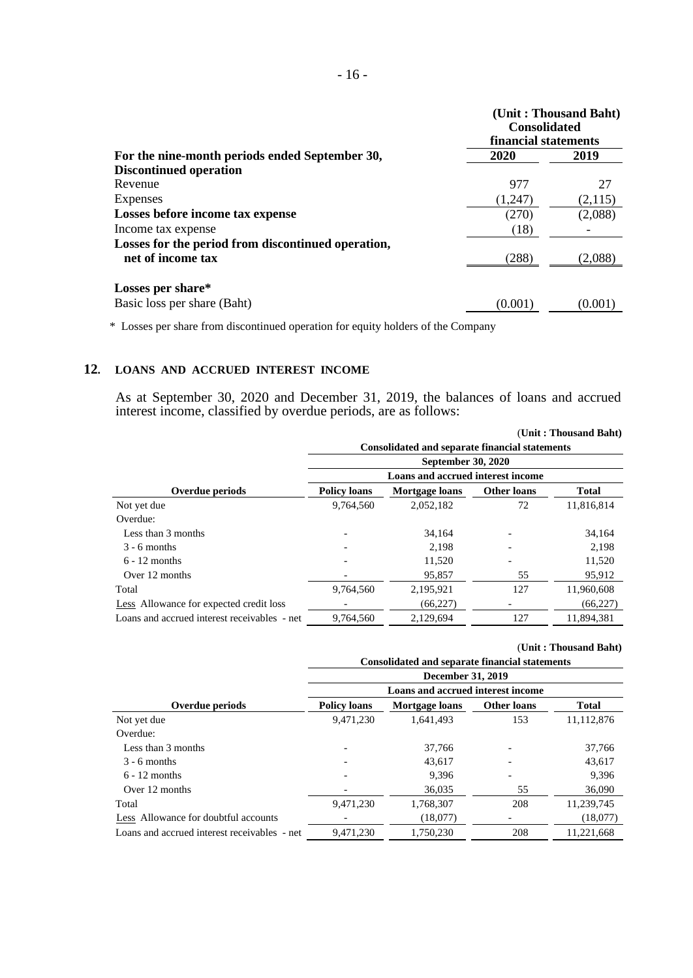|                                                                         |         | (Unit: Thousand Baht)<br><b>Consolidated</b><br>financial statements |  |  |
|-------------------------------------------------------------------------|---------|----------------------------------------------------------------------|--|--|
| For the nine-month periods ended September 30,                          | 2020    | 2019                                                                 |  |  |
| <b>Discontinued operation</b>                                           |         |                                                                      |  |  |
| Revenue                                                                 | 977     | 27                                                                   |  |  |
| Expenses                                                                | (1.247) | (2,115)                                                              |  |  |
| Losses before income tax expense                                        | (270)   | (2,088)                                                              |  |  |
| Income tax expense                                                      | (18)    |                                                                      |  |  |
| Losses for the period from discontinued operation,<br>net of income tax | (288)   | (2,088)                                                              |  |  |
| Losses per share*                                                       |         |                                                                      |  |  |
| Basic loss per share (Baht)                                             | (0.001) | (0.001                                                               |  |  |

\* Losses per share from discontinued operation for equity holders of the Company

# **12. LOANS AND ACCRUED INTEREST INCOME**

As at September 30, 2020 and December 31, 2019, the balances of loans and accrued interest income, classified by overdue periods, are as follows:

|                                              |                                                             |                                   |     | (Unit: Thousand Baht) |  |  |  |
|----------------------------------------------|-------------------------------------------------------------|-----------------------------------|-----|-----------------------|--|--|--|
|                                              | <b>Consolidated and separate financial statements</b>       |                                   |     |                       |  |  |  |
|                                              |                                                             | <b>September 30, 2020</b>         |     |                       |  |  |  |
|                                              |                                                             | Loans and accrued interest income |     |                       |  |  |  |
| Overdue periods                              | <b>Policy loans</b><br>Mortgage loans<br><b>Other loans</b> |                                   |     |                       |  |  |  |
| Not yet due                                  | 9,764,560                                                   | 2,052,182                         | 72  | 11.816.814            |  |  |  |
| Overdue:                                     |                                                             |                                   |     |                       |  |  |  |
| Less than 3 months                           |                                                             | 34.164                            |     | 34.164                |  |  |  |
| $3 - 6$ months                               |                                                             | 2.198                             |     | 2.198                 |  |  |  |
| $6 - 12$ months                              |                                                             | 11,520                            |     | 11,520                |  |  |  |
| Over 12 months                               |                                                             | 95,857                            | 55  | 95,912                |  |  |  |
| Total                                        | 9,764,560                                                   | 2,195,921                         | 127 | 11,960,608            |  |  |  |
| Less Allowance for expected credit loss      |                                                             | (66, 227)                         |     | (66, 227)             |  |  |  |
| Loans and accrued interest receivables - net | 9,764,560                                                   | 2.129.694                         | 127 | 11.894.381            |  |  |  |
|                                              |                                                             |                                   |     |                       |  |  |  |

|                                              | (Unit: Thousand Baht)<br><b>Consolidated and separate financial statements</b> |                                   |                    |              |  |  |
|----------------------------------------------|--------------------------------------------------------------------------------|-----------------------------------|--------------------|--------------|--|--|
|                                              |                                                                                | December 31, 2019                 |                    |              |  |  |
|                                              |                                                                                | Loans and accrued interest income |                    |              |  |  |
| Overdue periods                              | <b>Policy loans</b>                                                            | Mortgage loans                    | <b>Other loans</b> | <b>Total</b> |  |  |
| Not yet due                                  | 9,471,230                                                                      | 1.641.493                         | 153                | 11,112,876   |  |  |
| Overdue:                                     |                                                                                |                                   |                    |              |  |  |
| Less than 3 months                           |                                                                                | 37.766                            |                    | 37.766       |  |  |
| $3 - 6$ months                               |                                                                                | 43,617                            |                    | 43,617       |  |  |
| $6 - 12$ months                              |                                                                                | 9,396                             |                    | 9,396        |  |  |
| Over 12 months                               |                                                                                | 36,035                            | 55                 | 36,090       |  |  |
| Total                                        | 9,471,230                                                                      | 1,768,307                         | 208                | 11,239,745   |  |  |
| Less Allowance for doubtful accounts         |                                                                                | (18,077)                          | -                  | (18,077)     |  |  |
| Loans and accrued interest receivables - net | 9,471,230                                                                      | 1,750,230                         | 208                | 11,221,668   |  |  |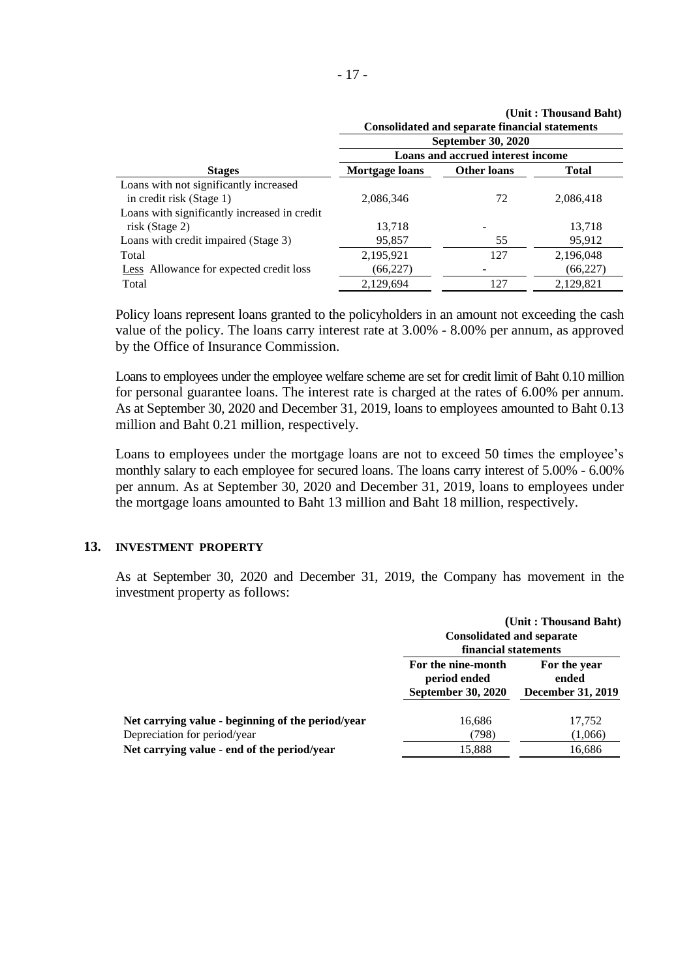|                                                | (Unit: Thousand Baht)<br><b>Consolidated and separate financial statements</b> |                                   |           |  |  |
|------------------------------------------------|--------------------------------------------------------------------------------|-----------------------------------|-----------|--|--|
|                                                |                                                                                | <b>September 30, 2020</b>         |           |  |  |
|                                                |                                                                                | Loans and accrued interest income |           |  |  |
| <b>Stages</b>                                  | Mortgage loans                                                                 | <b>Other loans</b>                | Total     |  |  |
| Loans with not significantly increased         |                                                                                |                                   |           |  |  |
| in credit risk (Stage 1)                       | 2.086.346                                                                      | 72                                | 2,086,418 |  |  |
| Loans with significantly increased in credit   |                                                                                |                                   |           |  |  |
| risk (Stage 2)                                 | 13.718                                                                         |                                   | 13.718    |  |  |
| Loans with credit impaired (Stage 3)           | 95,857                                                                         | 55                                | 95,912    |  |  |
| Total                                          | 2,195,921                                                                      | 127                               | 2,196,048 |  |  |
| <b>Less</b> Allowance for expected credit loss | (66, 227)                                                                      |                                   | (66, 227) |  |  |
| Total                                          | 2,129,694                                                                      | 127                               | 2,129,821 |  |  |

Policy loans represent loans granted to the policyholders in an amount not exceeding the cash value of the policy. The loans carry interest rate at 3.00% - 8.00% per annum, as approved by the Office of Insurance Commission.

Loans to employees under the employee welfare scheme are set for credit limit of Baht 0.10 million for personal guarantee loans. The interest rate is charged at the rates of 6.00% per annum. As at September 30, 2020 and December 31, 2019, loans to employees amounted to Baht 0.13 million and Baht 0.21 million, respectively.

Loans to employees under the mortgage loans are not to exceed 50 times the employee's monthly salary to each employee for secured loans. The loans carry interest of 5.00% - 6.00% per annum. As at September 30, 2020 and December 31, 2019, loans to employees under the mortgage loans amounted to Baht 13 million and Baht 18 million, respectively.

#### **13. INVESTMENT PROPERTY**

As at September 30, 2020 and December 31, 2019, the Company has movement in the investment property as follows:

|                                                                                                                                  | <b>Consolidated and separate</b><br>financial statements        | (Unit: Thousand Baht)                             |
|----------------------------------------------------------------------------------------------------------------------------------|-----------------------------------------------------------------|---------------------------------------------------|
|                                                                                                                                  | For the nine-month<br>period ended<br><b>September 30, 2020</b> | For the year<br>ended<br><b>December 31, 2019</b> |
| Net carrying value - beginning of the period/year<br>Depreciation for period/year<br>Net carrying value - end of the period/year | 16,686<br>(798)<br>15,888                                       | 17,752<br>(1,066)<br>16,686                       |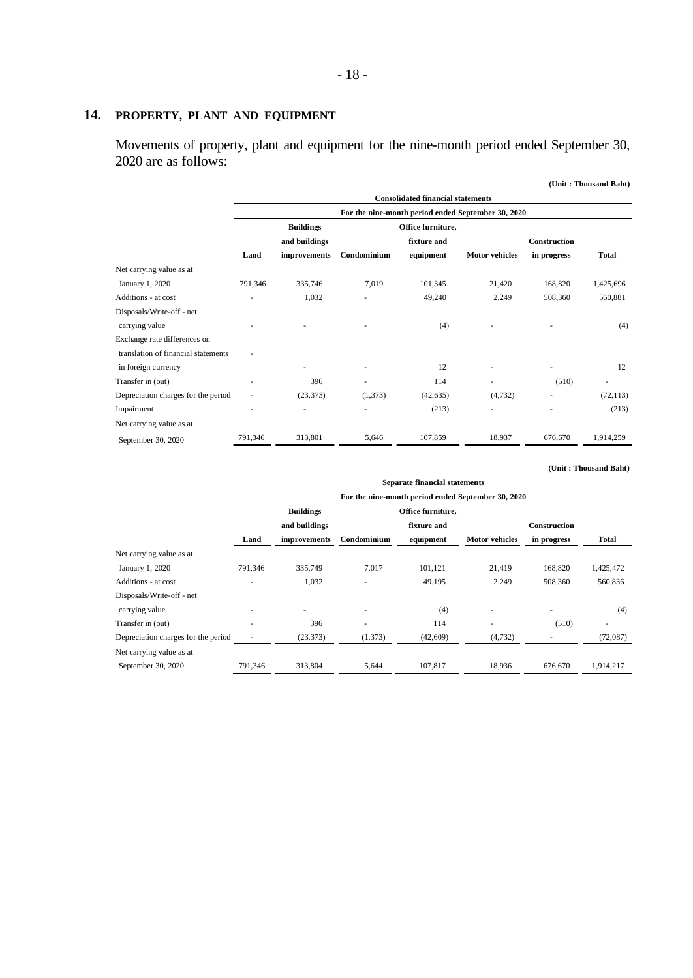# **14. PROPERTY, PLANT AND EQUIPMENT**

Movements of property, plant and equipment for the nine-month period ended September 30, 2020 are as follows:

|                                     |         |                  |             |                                                    |                       |                     | (Unit: Thousand Baht) |
|-------------------------------------|---------|------------------|-------------|----------------------------------------------------|-----------------------|---------------------|-----------------------|
|                                     |         |                  |             | <b>Consolidated financial statements</b>           |                       |                     |                       |
|                                     |         |                  |             | For the nine-month period ended September 30, 2020 |                       |                     |                       |
|                                     |         | <b>Buildings</b> |             | Office furniture,                                  |                       |                     |                       |
|                                     |         | and buildings    |             | fixture and                                        |                       | <b>Construction</b> |                       |
|                                     | Land    | improvements     | Condominium | equipment                                          | <b>Motor</b> vehicles | in progress         | <b>Total</b>          |
| Net carrying value as at            |         |                  |             |                                                    |                       |                     |                       |
| January 1, 2020                     | 791,346 | 335,746          | 7,019       | 101,345                                            | 21,420                | 168,820             | 1,425,696             |
| Additions - at cost                 |         | 1,032            |             | 49,240                                             | 2,249                 | 508,360             | 560,881               |
| Disposals/Write-off - net           |         |                  |             |                                                    |                       |                     |                       |
| carrying value                      |         |                  |             | (4)                                                |                       |                     | (4)                   |
| Exchange rate differences on        |         |                  |             |                                                    |                       |                     |                       |
| translation of financial statements |         |                  |             |                                                    |                       |                     |                       |
| in foreign currency                 |         |                  |             | 12                                                 |                       |                     | 12                    |
| Transfer in (out)                   |         | 396              |             | 114                                                |                       | (510)               |                       |
| Depreciation charges for the period |         | (23, 373)        | (1,373)     | (42, 635)                                          | (4,732)               |                     | (72, 113)             |
| Impairment                          |         |                  |             | (213)                                              |                       |                     | (213)                 |
| Net carrying value as at            |         |                  |             |                                                    |                       |                     |                       |
| September 30, 2020                  | 791,346 | 313,801          | 5,646       | 107,859                                            | 18,937                | 676,670             | 1,914,259             |

|                                     | <b>Separate financial statements</b>               |                          |             |                   |                       |                          |              |  |  |  |
|-------------------------------------|----------------------------------------------------|--------------------------|-------------|-------------------|-----------------------|--------------------------|--------------|--|--|--|
|                                     | For the nine-month period ended September 30, 2020 |                          |             |                   |                       |                          |              |  |  |  |
|                                     |                                                    | <b>Buildings</b>         |             | Office furniture, |                       |                          |              |  |  |  |
|                                     |                                                    | and buildings            |             | fixture and       |                       | <b>Construction</b>      |              |  |  |  |
|                                     | Land                                               | improvements             | Condominium | equipment         | <b>Motor vehicles</b> | in progress              | <b>Total</b> |  |  |  |
| Net carrying value as at            |                                                    |                          |             |                   |                       |                          |              |  |  |  |
| January 1, 2020                     | 791,346                                            | 335,749                  | 7,017       | 101,121           | 21,419                | 168,820                  | 1,425,472    |  |  |  |
| Additions - at cost                 |                                                    | 1,032                    |             | 49,195            | 2,249                 | 508,360                  | 560,836      |  |  |  |
| Disposals/Write-off - net           |                                                    |                          |             |                   |                       |                          |              |  |  |  |
| carrying value                      |                                                    | $\overline{\phantom{a}}$ | ٠           | (4)               | ٠                     | $\overline{\phantom{a}}$ | (4)          |  |  |  |
| Transfer in (out)                   |                                                    | 396                      |             | 114               | ٠                     | (510)                    |              |  |  |  |
| Depreciation charges for the period |                                                    | (23, 373)                | (1, 373)    | (42,609)          | (4,732)               |                          | (72,087)     |  |  |  |
| Net carrying value as at            |                                                    |                          |             |                   |                       |                          |              |  |  |  |
| September 30, 2020                  | 791,346                                            | 313,804                  | 5,644       | 107,817           | 18,936                | 676,670                  | 1,914,217    |  |  |  |

**(Unit : Thousand Baht)**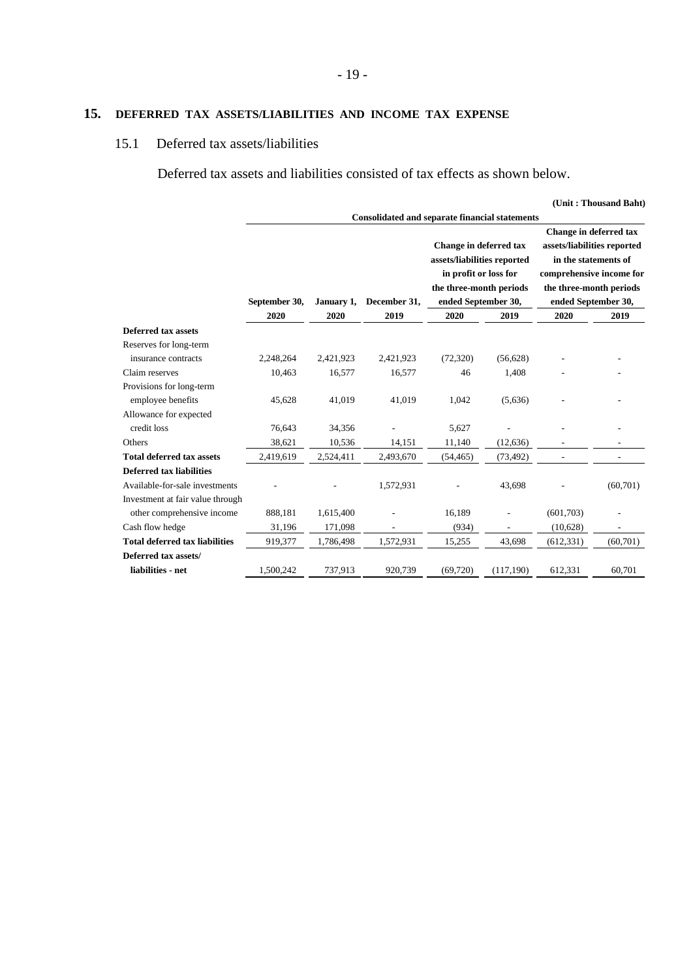# **15. DEFERRED TAX ASSETS/LIABILITIES AND INCOME TAX EXPENSE**

## 15.1 Deferred tax assets/liabilities

Deferred tax assets and liabilities consisted of tax effects as shown below.

|                                  |               |            |              |           |                                                                                                                                                                                           |            | (Unit: Thousand Baht)                                                                                                                                       |
|----------------------------------|---------------|------------|--------------|-----------|-------------------------------------------------------------------------------------------------------------------------------------------------------------------------------------------|------------|-------------------------------------------------------------------------------------------------------------------------------------------------------------|
|                                  | September 30, | January 1, | December 31, |           | <b>Consolidated and separate financial statements</b><br>Change in deferred tax<br>assets/liabilities reported<br>in profit or loss for<br>the three-month periods<br>ended September 30, |            | Change in deferred tax<br>assets/liabilities reported<br>in the statements of<br>comprehensive income for<br>the three-month periods<br>ended September 30, |
|                                  | 2020          | 2020       | 2019         | 2020      | 2019                                                                                                                                                                                      | 2020       | 2019                                                                                                                                                        |
| <b>Deferred tax assets</b>       |               |            |              |           |                                                                                                                                                                                           |            |                                                                                                                                                             |
| Reserves for long-term           |               |            |              |           |                                                                                                                                                                                           |            |                                                                                                                                                             |
| insurance contracts              | 2,248,264     | 2,421,923  | 2,421,923    | (72, 320) | (56, 628)                                                                                                                                                                                 |            |                                                                                                                                                             |
| Claim reserves                   | 10,463        | 16,577     | 16,577       | 46        | 1,408                                                                                                                                                                                     |            |                                                                                                                                                             |
| Provisions for long-term         |               |            |              |           |                                                                                                                                                                                           |            |                                                                                                                                                             |
| employee benefits                | 45,628        | 41,019     | 41,019       | 1,042     | (5,636)                                                                                                                                                                                   |            |                                                                                                                                                             |
| Allowance for expected           |               |            |              |           |                                                                                                                                                                                           |            |                                                                                                                                                             |
| credit loss                      | 76,643        | 34,356     |              | 5,627     |                                                                                                                                                                                           |            |                                                                                                                                                             |
| Others                           | 38,621        | 10,536     | 14,151       | 11,140    | (12, 636)                                                                                                                                                                                 |            |                                                                                                                                                             |
| <b>Total deferred tax assets</b> | 2,419,619     | 2,524,411  | 2,493,670    | (54, 465) | (73, 492)                                                                                                                                                                                 |            |                                                                                                                                                             |
| <b>Deferred tax liabilities</b>  |               |            |              |           |                                                                                                                                                                                           |            |                                                                                                                                                             |
| Available-for-sale investments   |               |            | 1,572,931    |           | 43,698                                                                                                                                                                                    |            | (60, 701)                                                                                                                                                   |
| Investment at fair value through |               |            |              |           |                                                                                                                                                                                           |            |                                                                                                                                                             |
| other comprehensive income       | 888,181       | 1,615,400  |              | 16,189    |                                                                                                                                                                                           | (601,703)  |                                                                                                                                                             |
| Cash flow hedge                  | 31,196        | 171,098    |              | (934)     |                                                                                                                                                                                           | (10,628)   |                                                                                                                                                             |
| Total deferred tax liabilities   | 919,377       | 1,786,498  | 1,572,931    | 15,255    | 43,698                                                                                                                                                                                    | (612, 331) | (60, 701)                                                                                                                                                   |
| Deferred tax assets/             |               |            |              |           |                                                                                                                                                                                           |            |                                                                                                                                                             |
| liabilities - net                | 1,500,242     | 737,913    | 920,739      | (69, 720) | (117,190)                                                                                                                                                                                 | 612,331    | 60,701                                                                                                                                                      |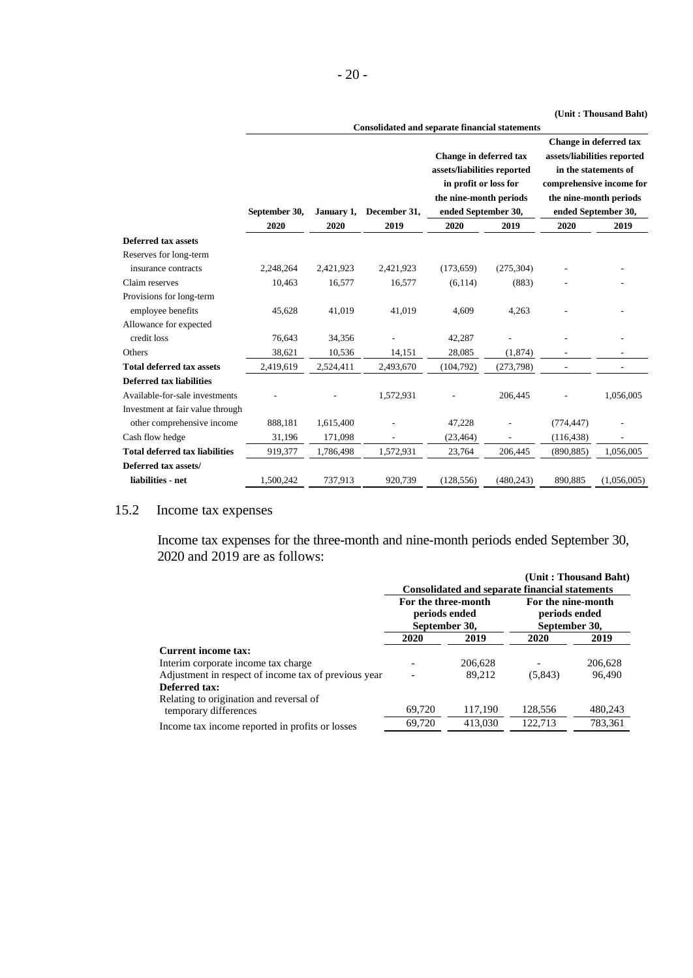| ۰.<br>× |  |
|---------|--|
|---------|--|

#### **(Unit : Thousand Baht)**

|                                       |                                                       |            |              |                             |            |                     | Cint : Thousand Dant        |  |
|---------------------------------------|-------------------------------------------------------|------------|--------------|-----------------------------|------------|---------------------|-----------------------------|--|
|                                       | <b>Consolidated and separate financial statements</b> |            |              |                             |            |                     |                             |  |
|                                       |                                                       |            |              |                             |            |                     | Change in deferred tax      |  |
|                                       |                                                       |            |              | Change in deferred tax      |            |                     | assets/liabilities reported |  |
|                                       |                                                       |            |              | assets/liabilities reported |            |                     | in the statements of        |  |
|                                       |                                                       |            |              | in profit or loss for       |            |                     | comprehensive income for    |  |
|                                       |                                                       |            |              | the nine-month periods      |            |                     | the nine-month periods      |  |
|                                       | September 30,                                         | January 1, | December 31, | ended September 30,         |            | ended September 30, |                             |  |
|                                       | 2020                                                  | 2020       | 2019         | 2020                        | 2019       | 2020                | 2019                        |  |
| Deferred tax assets                   |                                                       |            |              |                             |            |                     |                             |  |
| Reserves for long-term                |                                                       |            |              |                             |            |                     |                             |  |
| insurance contracts                   | 2,248,264                                             | 2,421,923  | 2,421,923    | (173, 659)                  | (275, 304) |                     |                             |  |
| Claim reserves                        | 10,463                                                | 16,577     | 16,577       | (6, 114)                    | (883)      |                     |                             |  |
| Provisions for long-term              |                                                       |            |              |                             |            |                     |                             |  |
| employee benefits                     | 45,628                                                | 41,019     | 41,019       | 4,609                       | 4,263      |                     |                             |  |
| Allowance for expected                |                                                       |            |              |                             |            |                     |                             |  |
| credit loss                           | 76,643                                                | 34,356     |              | 42,287                      |            |                     |                             |  |
| Others                                | 38,621                                                | 10,536     | 14,151       | 28,085                      | (1, 874)   |                     |                             |  |
| <b>Total deferred tax assets</b>      | 2,419,619                                             | 2,524,411  | 2,493,670    | (104, 792)                  | (273, 798) |                     |                             |  |
| <b>Deferred tax liabilities</b>       |                                                       |            |              |                             |            |                     |                             |  |
| Available-for-sale investments        |                                                       |            | 1,572,931    |                             | 206,445    |                     | 1,056,005                   |  |
| Investment at fair value through      |                                                       |            |              |                             |            |                     |                             |  |
| other comprehensive income            | 888,181                                               | 1,615,400  |              | 47,228                      |            | (774, 447)          |                             |  |
| Cash flow hedge                       | 31,196                                                | 171,098    |              | (23, 464)                   |            | (116, 438)          |                             |  |
| <b>Total deferred tax liabilities</b> | 919,377                                               | 1,786,498  | 1,572,931    | 23,764                      | 206,445    | (890, 885)          | 1,056,005                   |  |
| Deferred tax assets/                  |                                                       |            |              |                             |            |                     |                             |  |
| liabilities - net                     | 1,500,242                                             | 737,913    | 920,739      | (128, 556)                  | (480, 243) | 890,885             | (1,056,005)                 |  |

# 15.2 Income tax expenses

Income tax expenses for the three-month and nine-month periods ended September 30, 2020 and 2019 are as follows:

|                                                                  |                                                       |         |                                                       | (Unit: Thousand Baht) |
|------------------------------------------------------------------|-------------------------------------------------------|---------|-------------------------------------------------------|-----------------------|
|                                                                  |                                                       |         | <b>Consolidated and separate financial statements</b> |                       |
|                                                                  | For the three-month<br>periods ended<br>September 30, |         | For the nine-month<br>periods ended<br>September 30,  |                       |
|                                                                  | 2020                                                  | 2019    | 2020                                                  | 2019                  |
| <b>Current income tax:</b>                                       |                                                       |         |                                                       |                       |
| Interim corporate income tax charge.                             |                                                       | 206,628 |                                                       | 206,628               |
| Adjustment in respect of income tax of previous year             |                                                       | 89.212  | (5,843)                                               | 96,490                |
| Deferred tax:                                                    |                                                       |         |                                                       |                       |
| Relating to origination and reversal of<br>temporary differences | 69,720                                                | 117,190 | 128,556                                               | 480,243               |
| Income tax income reported in profits or losses                  | 69,720                                                | 413,030 | 122.713                                               | 783,361               |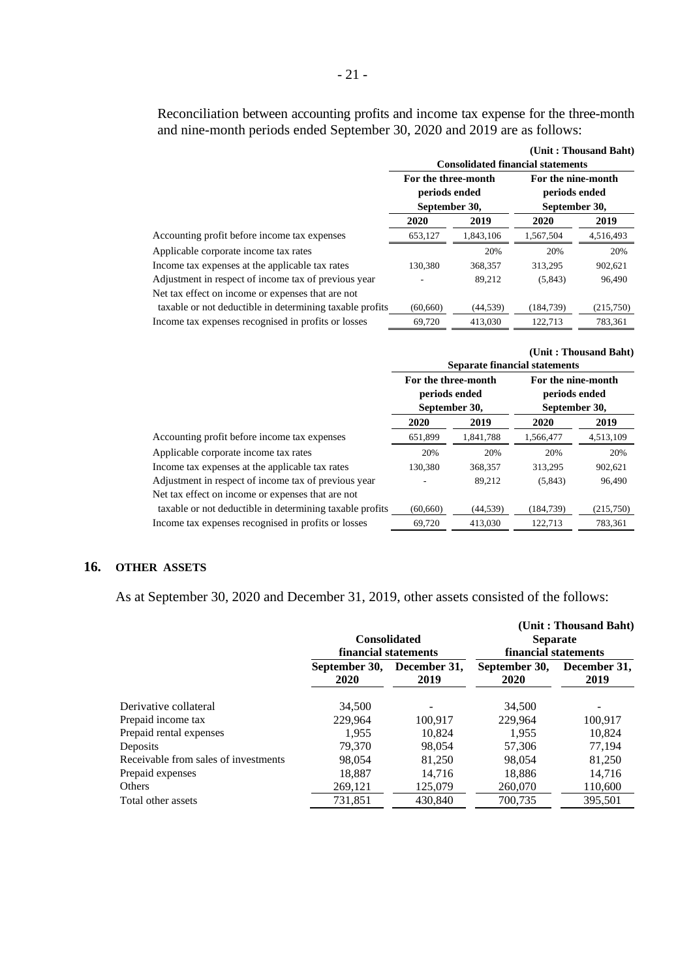Reconciliation between accounting profits and income tax expense for the three-month and nine-month periods ended September 30, 2020 and 2019 are as follows:

|                                                          |                                                       |           |                                                      | (Unit: Thousand Baht) |
|----------------------------------------------------------|-------------------------------------------------------|-----------|------------------------------------------------------|-----------------------|
|                                                          |                                                       |           | <b>Consolidated financial statements</b>             |                       |
|                                                          | For the three-month<br>periods ended<br>September 30, |           | For the nine-month<br>periods ended<br>September 30, |                       |
|                                                          | 2020                                                  | 2019      | 2020                                                 | 2019                  |
| Accounting profit before income tax expenses             | 653.127                                               | 1.843.106 | 1,567,504                                            | 4,516,493             |
| Applicable corporate income tax rates                    |                                                       | 20%       | 20%                                                  | 20%                   |
| Income tax expenses at the applicable tax rates          | 130.380                                               | 368,357   | 313.295                                              | 902,621               |
| Adjustment in respect of income tax of previous year     |                                                       | 89,212    | (5,843)                                              | 96,490                |
| Net tax effect on income or expenses that are not        |                                                       |           |                                                      |                       |
| taxable or not deductible in determining taxable profits | (60.660)                                              | (44, 539) | (184.739)                                            | (215,750)             |
| Income tax expenses recognised in profits or losses      | 69.720                                                | 413.030   | 122.713                                              | 783.361               |

|                 | (Unit: Thousand Baht) |  |
|-----------------|-----------------------|--|
| al atatana anta |                       |  |

|                                                          | <b>Separate financial statements</b> |           |                                                      |           |  |  |
|----------------------------------------------------------|--------------------------------------|-----------|------------------------------------------------------|-----------|--|--|
|                                                          | For the three-month<br>periods ended |           | For the nine-month<br>periods ended<br>September 30, |           |  |  |
|                                                          | September 30,                        |           |                                                      |           |  |  |
|                                                          | 2020                                 | 2019      | 2020                                                 | 2019      |  |  |
| Accounting profit before income tax expenses             | 651,899                              | 1,841,788 | 1,566,477                                            | 4,513,109 |  |  |
| Applicable corporate income tax rates                    | 20%                                  | 20%       | 20%                                                  | 20%       |  |  |
| Income tax expenses at the applicable tax rates          | 130,380                              | 368,357   | 313,295                                              | 902,621   |  |  |
| Adjustment in respect of income tax of previous year     |                                      | 89,212    | (5,843)                                              | 96,490    |  |  |
| Net tax effect on income or expenses that are not        |                                      |           |                                                      |           |  |  |
| taxable or not deductible in determining taxable profits | (60, 660)                            | (44, 539) | (184, 739)                                           | (215,750) |  |  |
| Income tax expenses recognised in profits or losses      | 69,720                               | 413,030   | 122.713                                              | 783,361   |  |  |

### **16. OTHER ASSETS**

As at September 30, 2020 and December 31, 2019, other assets consisted of the follows:

|                                      | <b>Consolidated</b>   |                      | <b>Separate</b>       | (Unit: Thousand Baht) |  |
|--------------------------------------|-----------------------|----------------------|-----------------------|-----------------------|--|
|                                      | financial statements  |                      | financial statements  |                       |  |
|                                      | September 30,<br>2020 | December 31,<br>2019 | September 30,<br>2020 | December 31,<br>2019  |  |
| Derivative collateral                | 34,500                |                      | 34,500                |                       |  |
| Prepaid income tax                   | 229.964               | 100,917              | 229,964               | 100,917               |  |
| Prepaid rental expenses              | 1.955                 | 10,824               | 1.955                 | 10.824                |  |
| Deposits                             | 79,370                | 98,054               | 57,306                | 77,194                |  |
| Receivable from sales of investments | 98,054                | 81,250               | 98,054                | 81,250                |  |
| Prepaid expenses                     | 18.887                | 14,716               | 18,886                | 14,716                |  |
| Others                               | 269,121               | 125,079              | 260,070               | 110,600               |  |
| Total other assets                   | 731,851               | 430,840              | 700.735               | 395,501               |  |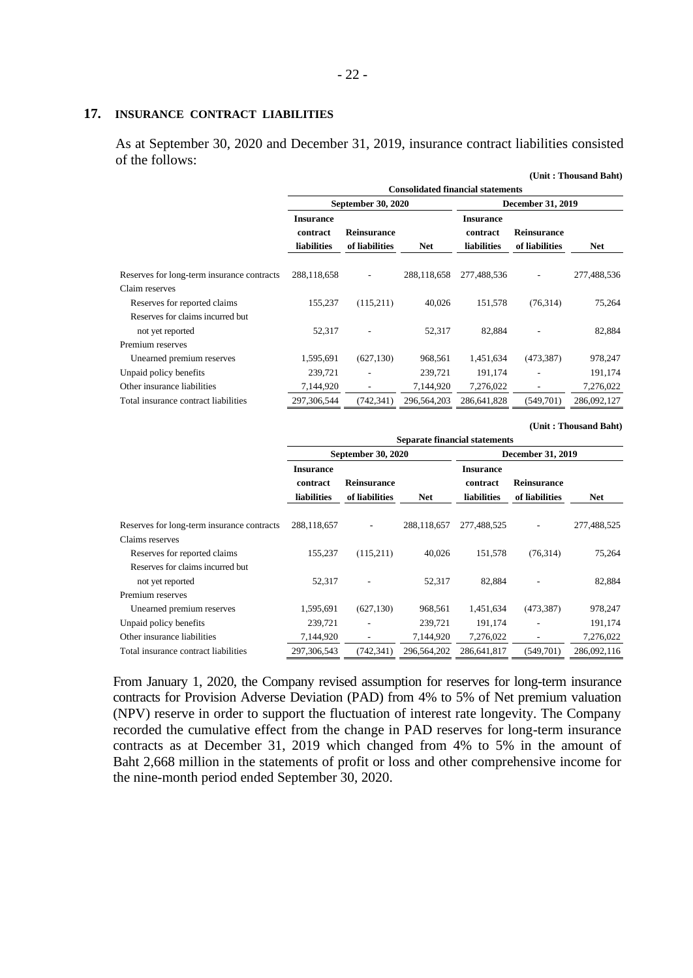#### **17. INSURANCE CONTRACT LIABILITIES**

As at September 30, 2020 and December 31, 2019, insurance contract liabilities consisted of the follows:

|                                            |                                                    |                                      |             |                                                    |                                      | (Unit: Thousand Baht) |  |  |  |
|--------------------------------------------|----------------------------------------------------|--------------------------------------|-------------|----------------------------------------------------|--------------------------------------|-----------------------|--|--|--|
|                                            | <b>Consolidated financial statements</b>           |                                      |             |                                                    |                                      |                       |  |  |  |
|                                            |                                                    | <b>September 30, 2020</b>            |             |                                                    | <b>December 31, 2019</b>             |                       |  |  |  |
|                                            | <b>Insurance</b><br>contract<br><b>liabilities</b> | <b>Reinsurance</b><br>of liabilities | <b>Net</b>  | <b>Insurance</b><br>contract<br><b>liabilities</b> | <b>Reinsurance</b><br>of liabilities | <b>Net</b>            |  |  |  |
| Reserves for long-term insurance contracts | 288,118,658                                        |                                      | 288,118,658 | 277,488,536                                        |                                      | 277,488,536           |  |  |  |
| Claim reserves                             |                                                    |                                      |             |                                                    |                                      |                       |  |  |  |
| Reserves for reported claims               | 155,237                                            | (115,211)                            | 40.026      | 151,578                                            | (76,314)                             | 75,264                |  |  |  |
| Reserves for claims incurred but           |                                                    |                                      |             |                                                    |                                      |                       |  |  |  |
| not yet reported                           | 52,317                                             |                                      | 52,317      | 82,884                                             |                                      | 82,884                |  |  |  |
| Premium reserves                           |                                                    |                                      |             |                                                    |                                      |                       |  |  |  |
| Unearned premium reserves                  | 1,595,691                                          | (627, 130)                           | 968,561     | 1,451,634                                          | (473, 387)                           | 978,247               |  |  |  |
| Unpaid policy benefits                     | 239,721                                            |                                      | 239,721     | 191,174                                            |                                      | 191,174               |  |  |  |
| Other insurance liabilities                | 7,144,920                                          | ٠                                    | 7,144,920   | 7,276,022                                          |                                      | 7,276,022             |  |  |  |
| Total insurance contract liabilities       | 297,306,544                                        | (742, 341)                           | 296,564,203 | 286,641,828                                        | (549,701)                            | 286,092,127           |  |  |  |

**(Unit : Thousand Baht)**

|                                                               | <b>Separate financial statements</b>               |                                      |             |                                                    |                                      |             |  |
|---------------------------------------------------------------|----------------------------------------------------|--------------------------------------|-------------|----------------------------------------------------|--------------------------------------|-------------|--|
|                                                               |                                                    | <b>September 30, 2020</b>            |             | December 31, 2019                                  |                                      |             |  |
|                                                               | <b>Insurance</b><br>contract<br><b>liabilities</b> | <b>Reinsurance</b><br>of liabilities | <b>Net</b>  | <b>Insurance</b><br>contract<br><b>liabilities</b> | <b>Reinsurance</b><br>of liabilities | <b>Net</b>  |  |
| Reserves for long-term insurance contracts<br>Claims reserves | 288,118,657                                        |                                      | 288,118,657 | 277,488,525                                        |                                      | 277,488,525 |  |
| Reserves for reported claims                                  | 155,237                                            | (115,211)                            | 40,026      | 151,578                                            | (76, 314)                            | 75,264      |  |
| Reserves for claims incurred but<br>not yet reported          | 52,317                                             |                                      | 52,317      | 82,884                                             |                                      | 82,884      |  |
| Premium reserves                                              |                                                    |                                      |             |                                                    |                                      |             |  |
| Unearned premium reserves                                     | 1,595,691                                          | (627, 130)                           | 968,561     | 1,451,634                                          | (473, 387)                           | 978,247     |  |
| Unpaid policy benefits                                        | 239,721                                            |                                      | 239,721     | 191,174                                            |                                      | 191,174     |  |
| Other insurance liabilities                                   | 7,144,920                                          |                                      | 7,144,920   | 7,276,022                                          |                                      | 7,276,022   |  |
| Total insurance contract liabilities                          | 297, 306, 543                                      | (742, 341)                           | 296,564,202 | 286,641,817                                        | (549,701)                            | 286,092,116 |  |

From January 1, 2020, the Company revised assumption for reserves for long-term insurance contracts for Provision Adverse Deviation (PAD) from 4% to 5% of Net premium valuation (NPV) reserve in order to support the fluctuation of interest rate longevity. The Company recorded the cumulative effect from the change in PAD reserves for long-term insurance contracts as at December 31, 2019 which changed from 4% to 5% in the amount of Baht 2,668 million in the statements of profit or loss and other comprehensive income for the nine-month period ended September 30, 2020.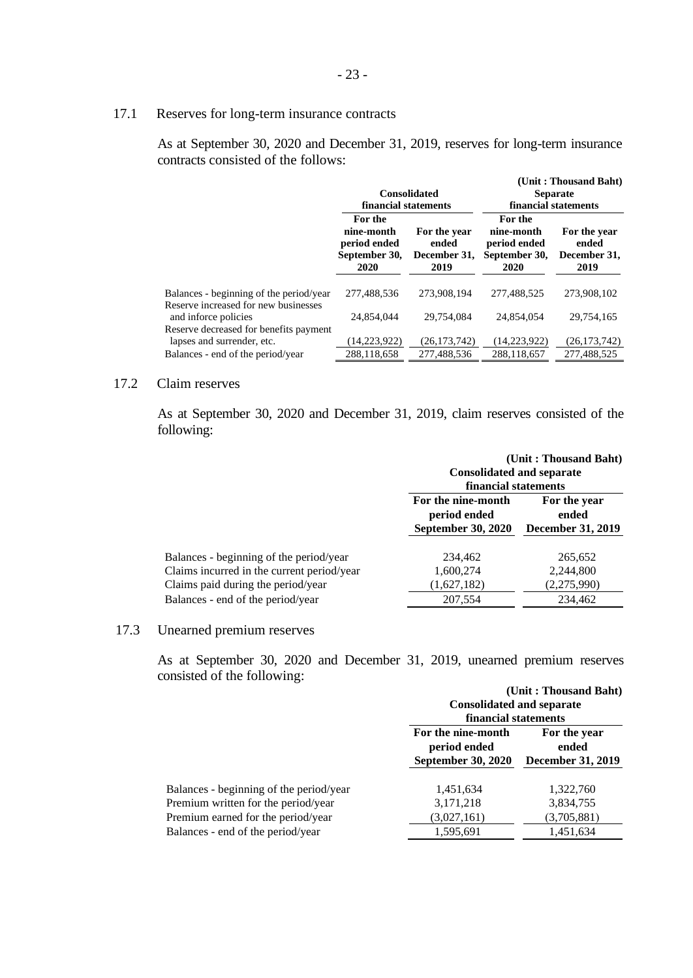# 17.1 Reserves for long-term insurance contracts

As at September 30, 2020 and December 31, 2019, reserves for long-term insurance contracts consisted of the follows:

|                                                                                 | financial statements                                           | <b>Consolidated</b>                           | (Unit: Thousand Baht)<br><b>Separate</b><br>financial statements |                                               |  |
|---------------------------------------------------------------------------------|----------------------------------------------------------------|-----------------------------------------------|------------------------------------------------------------------|-----------------------------------------------|--|
|                                                                                 | For the<br>nine-month<br>period ended<br>September 30,<br>2020 | For the year<br>ended<br>December 31,<br>2019 | For the<br>nine-month<br>period ended<br>September 30,<br>2020   | For the year<br>ended<br>December 31,<br>2019 |  |
| Balances - beginning of the period/year<br>Reserve increased for new businesses | 277.488.536                                                    | 273,908,194                                   | 277.488.525                                                      | 273,908,102                                   |  |
| and inforce policies<br>Reserve decreased for benefits payment                  | 24.854.044                                                     | 29.754.084                                    | 24,854,054                                                       | 29.754.165                                    |  |
| lapses and surrender, etc.                                                      | 14,223,922)                                                    | (26, 173, 742)                                | (14,223,922)                                                     | (26, 173, 742)                                |  |
| Balances - end of the period/year                                               | 288,118,658                                                    | 277,488,536                                   | 288,118,657                                                      | 277,488,525                                   |  |

# 17.2 Claim reserves

As at September 30, 2020 and December 31, 2019, claim reserves consisted of the following:

|                                            | <b>Consolidated and separate</b><br>financial statements        | (Unit: Thousand Baht)                             |  |
|--------------------------------------------|-----------------------------------------------------------------|---------------------------------------------------|--|
|                                            | For the nine-month<br>period ended<br><b>September 30, 2020</b> | For the year<br>ended<br><b>December 31, 2019</b> |  |
| Balances - beginning of the period/year    | 234,462                                                         | 265,652                                           |  |
| Claims incurred in the current period/year | 1,600,274                                                       | 2,244,800                                         |  |
| Claims paid during the period/year         | (1,627,182)                                                     | (2,275,990)                                       |  |
| Balances - end of the period/year          | 207,554                                                         | 234,462                                           |  |

## 17.3 Unearned premium reserves

As at September 30, 2020 and December 31, 2019, unearned premium reserves consisted of the following:

|                                         | (Unit: Thousand Baht)              |                          |  |  |  |
|-----------------------------------------|------------------------------------|--------------------------|--|--|--|
|                                         | <b>Consolidated and separate</b>   |                          |  |  |  |
|                                         | financial statements               |                          |  |  |  |
|                                         | For the nine-month<br>period ended | For the year<br>ended    |  |  |  |
|                                         | <b>September 30, 2020</b>          | <b>December 31, 2019</b> |  |  |  |
| Balances - beginning of the period/year | 1,451,634                          | 1,322,760                |  |  |  |
| Premium written for the period/year     | 3,171,218                          | 3,834,755                |  |  |  |
| Premium earned for the period/year      | (3,027,161)                        | (3,705,881)              |  |  |  |
| Balances - end of the period/year       | 1,595,691                          | 1,451,634                |  |  |  |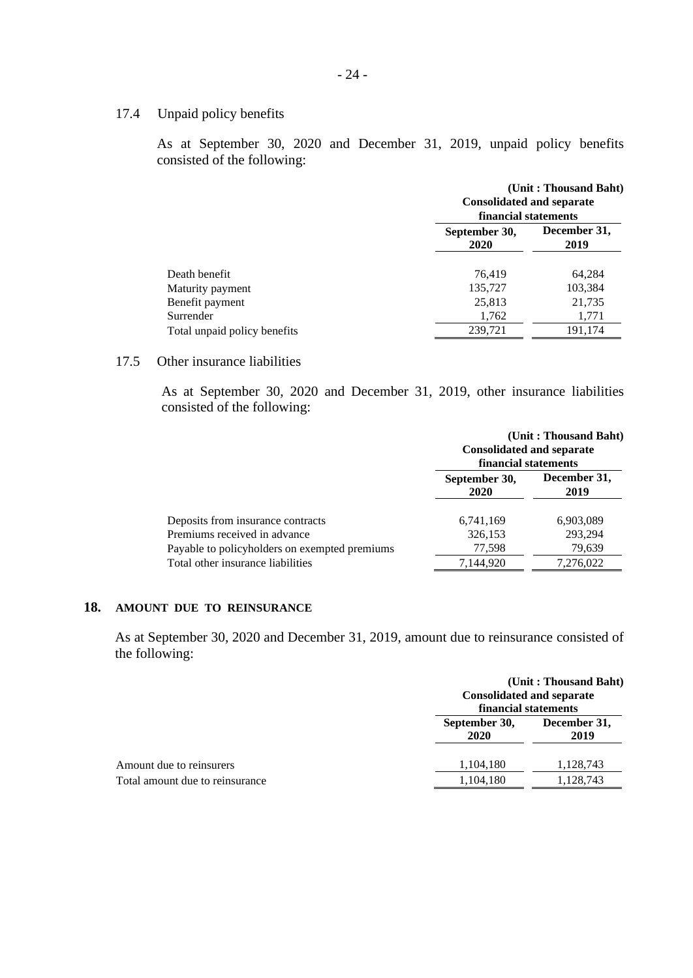## 17.4 Unpaid policy benefits

As at September 30, 2020 and December 31, 2019, unpaid policy benefits consisted of the following:

|                              | <b>Consolidated and separate</b><br>financial statements | (Unit: Thousand Baht) |  |
|------------------------------|----------------------------------------------------------|-----------------------|--|
|                              | September 30,<br>2020                                    | December 31,<br>2019  |  |
| Death benefit                | 76,419                                                   | 64.284                |  |
| Maturity payment             | 135,727                                                  | 103,384               |  |
| Benefit payment              | 25,813                                                   | 21,735                |  |
| Surrender                    | 1,762                                                    | 1,771                 |  |
| Total unpaid policy benefits | 239,721                                                  | 191,174               |  |

# 17.5 Other insurance liabilities

As at September 30, 2020 and December 31, 2019, other insurance liabilities consisted of the following:

|                                               | <b>Consolidated and separate</b><br>financial statements | (Unit: Thousand Baht) |
|-----------------------------------------------|----------------------------------------------------------|-----------------------|
|                                               | September 30,<br>2020                                    | December 31,<br>2019  |
| Deposits from insurance contracts             | 6,741,169                                                | 6,903,089             |
| Premiums received in advance                  | 326,153                                                  | 293,294               |
| Payable to policyholders on exempted premiums | 77,598                                                   | 79,639                |
| Total other insurance liabilities             | 7,144,920                                                | 7,276,022             |

# **18. AMOUNT DUE TO REINSURANCE**

As at September 30, 2020 and December 31, 2019, amount due to reinsurance consisted of the following:

|                                 | <b>Consolidated and separate</b><br>financial statements | (Unit: Thousand Baht) |  |
|---------------------------------|----------------------------------------------------------|-----------------------|--|
|                                 | September 30,<br>2020                                    | December 31,<br>2019  |  |
| Amount due to reinsurers        | 1,104,180                                                | 1,128,743             |  |
| Total amount due to reinsurance | 1,104,180                                                | 1,128,743             |  |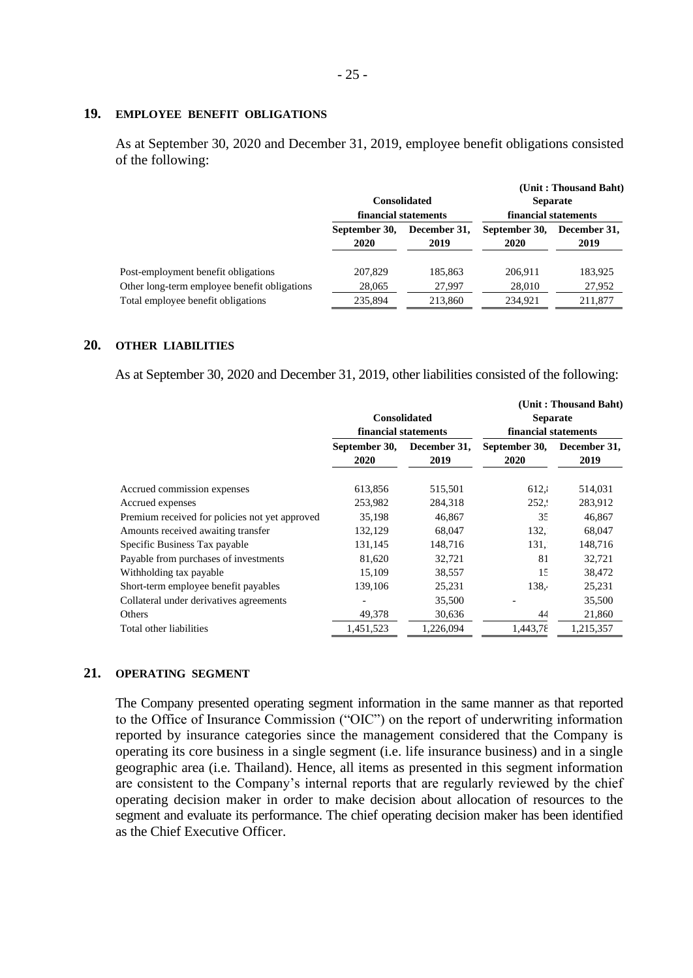#### **19. EMPLOYEE BENEFIT OBLIGATIONS**

As at September 30, 2020 and December 31, 2019, employee benefit obligations consisted of the following:

|                                              |                       | <b>Consolidated</b><br>financial statements | financial statements  | (Unit: Thousand Baht)<br><b>Separate</b> |
|----------------------------------------------|-----------------------|---------------------------------------------|-----------------------|------------------------------------------|
|                                              | September 30,<br>2020 | December 31,<br>2019                        | September 30,<br>2020 | December 31,<br>2019                     |
| Post-employment benefit obligations          | 207,829               | 185,863                                     | 206.911               | 183,925                                  |
| Other long-term employee benefit obligations | 28,065                | 27,997                                      | 28,010                | 27,952                                   |
| Total employee benefit obligations           | 235,894               | 213,860                                     | 234.921               | 211,877                                  |

#### **20. OTHER LIABILITIES**

As at September 30, 2020 and December 31, 2019, other liabilities consisted of the following:

|                                                |                       |                      |                       | (Unit: Thousand Baht) |
|------------------------------------------------|-----------------------|----------------------|-----------------------|-----------------------|
|                                                | <b>Consolidated</b>   |                      | <b>Separate</b>       |                       |
|                                                | financial statements  |                      | financial statements  |                       |
|                                                | September 30,<br>2020 | December 31,<br>2019 | September 30,<br>2020 | December 31,<br>2019  |
| Accrued commission expenses                    | 613,856               | 515,501              | 612,1                 | 514,031               |
| Accrued expenses                               | 253,982               | 284,318              | 252.9                 | 283,912               |
| Premium received for policies not yet approved | 35,198                | 46,867               | 35                    | 46,867                |
| Amounts received awaiting transfer             | 132,129               | 68,047               | 132.                  | 68,047                |
| Specific Business Tax payable                  | 131,145               | 148,716              | 131,                  | 148,716               |
| Payable from purchases of investments          | 81,620                | 32,721               | 81                    | 32,721                |
| Withholding tax payable                        | 15,109                | 38,557               | 15                    | 38,472                |
| Short-term employee benefit payables           | 139,106               | 25,231               | 138.4                 | 25,231                |
| Collateral under derivatives agreements        |                       | 35,500               |                       | 35,500                |
| Others                                         | 49,378                | 30,636               | 44                    | 21,860                |
| Total other liabilities                        | 1,451,523             | 1,226,094            | 1,443,78              | 1,215,357             |

### **21. OPERATING SEGMENT**

The Company presented operating segment information in the same manner as that reported to the Office of Insurance Commission ("OIC") on the report of underwriting information reported by insurance categories since the management considered that the Company is operating its core business in a single segment (i.e. life insurance business) and in a single geographic area (i.e. Thailand). Hence, all items as presented in this segment information are consistent to the Company's internal reports that are regularly reviewed by the chief operating decision maker in order to make decision about allocation of resources to the segment and evaluate its performance. The chief operating decision maker has been identified as the Chief Executive Officer.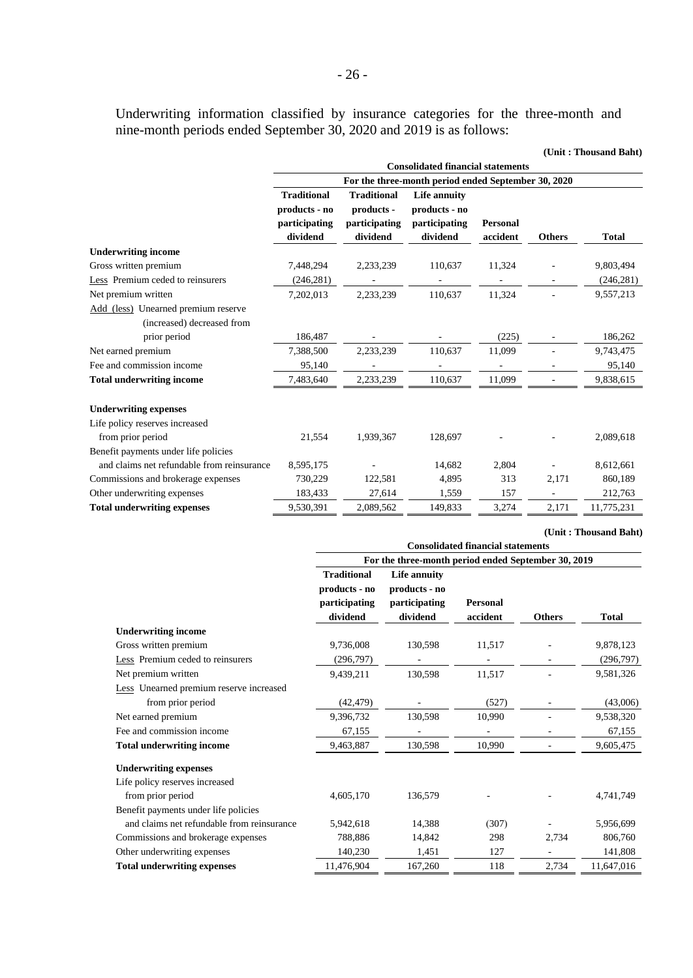Underwriting information classified by insurance categories for the three-month and nine-month periods ended September 30, 2020 and 2019 is as follows:

|                                            |                    |                                                     |                                          |                 |                          | (Unit: Thousand Baht) |  |
|--------------------------------------------|--------------------|-----------------------------------------------------|------------------------------------------|-----------------|--------------------------|-----------------------|--|
|                                            |                    |                                                     | <b>Consolidated financial statements</b> |                 |                          |                       |  |
|                                            |                    | For the three-month period ended September 30, 2020 |                                          |                 |                          |                       |  |
|                                            | <b>Traditional</b> | <b>Traditional</b>                                  | Life annuity                             |                 |                          |                       |  |
|                                            | products - no      | products -                                          | products - no                            |                 |                          |                       |  |
|                                            | participating      | participating                                       | participating                            | <b>Personal</b> |                          |                       |  |
|                                            | dividend           | dividend                                            | dividend                                 | accident        | <b>Others</b>            | <b>Total</b>          |  |
| <b>Underwriting income</b>                 |                    |                                                     |                                          |                 |                          |                       |  |
| Gross written premium                      | 7,448,294          | 2,233,239                                           | 110,637                                  | 11,324          |                          | 9,803,494             |  |
| Less Premium ceded to reinsurers           | (246, 281)         |                                                     |                                          |                 |                          | (246, 281)            |  |
| Net premium written                        | 7,202,013          | 2,233,239                                           | 110,637                                  | 11,324          | $\overline{\phantom{a}}$ | 9,557,213             |  |
| Add (less) Unearned premium reserve        |                    |                                                     |                                          |                 |                          |                       |  |
| (increased) decreased from                 |                    |                                                     |                                          |                 |                          |                       |  |
| prior period                               | 186,487            |                                                     |                                          | (225)           |                          | 186,262               |  |
| Net earned premium                         | 7,388,500          | 2,233,239                                           | 110,637                                  | 11,099          | ä,                       | 9,743,475             |  |
| Fee and commission income                  | 95,140             |                                                     |                                          |                 |                          | 95,140                |  |
| <b>Total underwriting income</b>           | 7,483,640          | 2,233,239                                           | 110,637                                  | 11,099          |                          | 9,838,615             |  |
| <b>Underwriting expenses</b>               |                    |                                                     |                                          |                 |                          |                       |  |
| Life policy reserves increased             |                    |                                                     |                                          |                 |                          |                       |  |
| from prior period                          | 21,554             | 1,939,367                                           | 128,697                                  |                 |                          | 2,089,618             |  |
| Benefit payments under life policies       |                    |                                                     |                                          |                 |                          |                       |  |
| and claims net refundable from reinsurance | 8,595,175          |                                                     | 14,682                                   | 2,804           |                          | 8,612,661             |  |
| Commissions and brokerage expenses         | 730,229            | 122,581                                             | 4,895                                    | 313             | 2,171                    | 860,189               |  |
| Other underwriting expenses                | 183,433            | 27,614                                              | 1,559                                    | 157             |                          | 212,763               |  |
| <b>Total underwriting expenses</b>         | 9,530,391          | 2,089,562                                           | 149,833                                  | 3,274           | 2,171                    | 11,775,231            |  |

**(Unit : Thousand Baht)**

|                                                | <b>Consolidated financial statements</b>                         |                                                            |                             |               |              |  |  |
|------------------------------------------------|------------------------------------------------------------------|------------------------------------------------------------|-----------------------------|---------------|--------------|--|--|
|                                                | For the three-month period ended September 30, 2019              |                                                            |                             |               |              |  |  |
|                                                | <b>Traditional</b><br>products - no<br>participating<br>dividend | Life annuity<br>products - no<br>participating<br>dividend | <b>Personal</b><br>accident | <b>Others</b> | <b>Total</b> |  |  |
| <b>Underwriting income</b>                     |                                                                  |                                                            |                             |               |              |  |  |
| Gross written premium                          | 9,736,008                                                        | 130,598                                                    | 11,517                      |               | 9,878,123    |  |  |
| Less Premium ceded to reinsurers               | (296,797)                                                        |                                                            |                             |               | (296,797)    |  |  |
| Net premium written                            | 9.439.211                                                        | 130.598                                                    | 11,517                      |               | 9,581,326    |  |  |
| <b>Less</b> Unearned premium reserve increased |                                                                  |                                                            |                             |               |              |  |  |
| from prior period                              | (42, 479)                                                        |                                                            | (527)                       |               | (43,006)     |  |  |
| Net earned premium                             | 9,396,732                                                        | 130,598                                                    | 10,990                      |               | 9,538,320    |  |  |
| Fee and commission income                      | 67,155                                                           |                                                            |                             |               | 67,155       |  |  |
| <b>Total underwriting income</b>               | 9,463,887                                                        | 130,598                                                    | 10.990                      |               | 9,605,475    |  |  |
| <b>Underwriting expenses</b>                   |                                                                  |                                                            |                             |               |              |  |  |
| Life policy reserves increased                 |                                                                  |                                                            |                             |               |              |  |  |
| from prior period                              | 4,605,170                                                        | 136,579                                                    |                             |               | 4,741,749    |  |  |
| Benefit payments under life policies           |                                                                  |                                                            |                             |               |              |  |  |
| and claims net refundable from reinsurance     | 5,942,618                                                        | 14,388                                                     | (307)                       |               | 5,956,699    |  |  |
| Commissions and brokerage expenses             | 788,886                                                          | 14,842                                                     | 298                         | 2,734         | 806,760      |  |  |
| Other underwriting expenses                    | 140,230                                                          | 1,451                                                      | 127                         |               | 141,808      |  |  |
| <b>Total underwriting expenses</b>             | 11,476,904                                                       | 167,260                                                    | 118                         | 2,734         | 11,647,016   |  |  |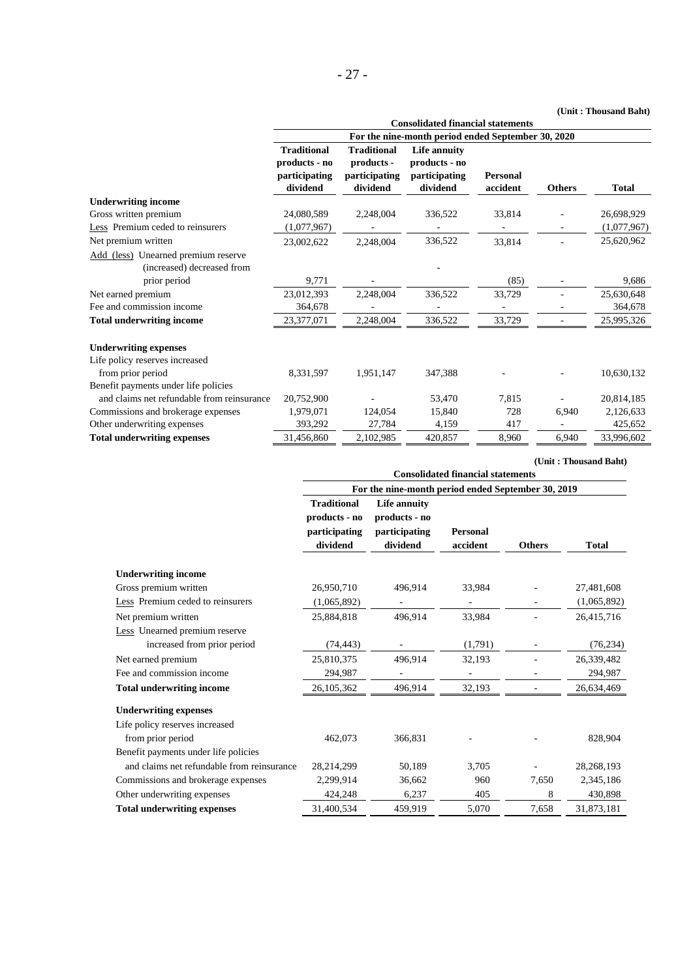#### **(Unit : Thousand Baht)**

**(Unit : Thousand Baht)**

|                                            |                    |                    |                                                    |                 |               | (Unit: Thousand Baht) |
|--------------------------------------------|--------------------|--------------------|----------------------------------------------------|-----------------|---------------|-----------------------|
|                                            |                    |                    | <b>Consolidated financial statements</b>           |                 |               |                       |
|                                            |                    |                    | For the nine-month period ended September 30, 2020 |                 |               |                       |
|                                            | <b>Traditional</b> | <b>Traditional</b> | Life annuity                                       |                 |               |                       |
|                                            | products - no      | products -         | products - no                                      |                 |               |                       |
|                                            | participating      | participating      | participating                                      | <b>Personal</b> |               |                       |
|                                            | dividend           | dividend           | dividend                                           | accident        | <b>Others</b> | <b>Total</b>          |
| <b>Underwriting income</b>                 |                    |                    |                                                    |                 |               |                       |
| Gross written premium                      | 24,080,589         | 2,248,004          | 336,522                                            | 33,814          |               | 26,698,929            |
| Less Premium ceded to reinsurers           | (1,077,967)        |                    |                                                    |                 |               | (1,077,967)           |
| Net premium written                        | 23,002,622         | 2,248,004          | 336,522                                            | 33,814          |               | 25,620,962            |
| Add (less) Unearned premium reserve        |                    |                    |                                                    |                 |               |                       |
| (increased) decreased from                 |                    |                    |                                                    |                 |               |                       |
| prior period                               | 9,771              |                    |                                                    | (85)            |               | 9,686                 |
| Net earned premium                         | 23,012,393         | 2,248,004          | 336,522                                            | 33,729          |               | 25,630,648            |
| Fee and commission income                  | 364,678            |                    |                                                    |                 |               | 364,678               |
| <b>Total underwriting income</b>           | 23,377,071         | 2,248,004          | 336,522                                            | 33,729          |               | 25,995,326            |
| <b>Underwriting expenses</b>               |                    |                    |                                                    |                 |               |                       |
| Life policy reserves increased             |                    |                    |                                                    |                 |               |                       |
| from prior period                          | 8,331,597          | 1,951,147          | 347,388                                            |                 |               | 10,630,132            |
| Benefit payments under life policies       |                    |                    |                                                    |                 |               |                       |
| and claims net refundable from reinsurance | 20,752,900         |                    | 53,470                                             | 7,815           |               | 20,814,185            |
| Commissions and brokerage expenses         | 1,979,071          | 124,054            | 15,840                                             | 728             | 6,940         | 2,126,633             |
| Other underwriting expenses                | 393,292            | 27,784             | 4,159                                              | 417             |               | 425,652               |
| <b>Total underwriting expenses</b>         | 31,456,860         | 2,102,985          | 420,857                                            | 8,960           | 6,940         | 33,996,602            |

|                                            | <b>Consolidated financial statements</b>                         |                                                            |                             |               |              |  |  |
|--------------------------------------------|------------------------------------------------------------------|------------------------------------------------------------|-----------------------------|---------------|--------------|--|--|
|                                            | For the nine-month period ended September 30, 2019               |                                                            |                             |               |              |  |  |
|                                            | <b>Traditional</b><br>products - no<br>participating<br>dividend | Life annuity<br>products - no<br>participating<br>dividend | <b>Personal</b><br>accident | <b>Others</b> | <b>Total</b> |  |  |
| <b>Underwriting income</b>                 |                                                                  |                                                            |                             |               |              |  |  |
| Gross premium written                      | 26,950,710                                                       | 496,914                                                    | 33,984                      |               | 27,481,608   |  |  |
| Less Premium ceded to reinsurers           | (1,065,892)                                                      |                                                            |                             |               | (1,065,892)  |  |  |
| Net premium written                        | 25,884,818                                                       | 496,914                                                    | 33,984                      |               | 26,415,716   |  |  |
| Less Unearned premium reserve              |                                                                  |                                                            |                             |               |              |  |  |
| increased from prior period                | (74, 443)                                                        |                                                            | (1,791)                     |               | (76, 234)    |  |  |
| Net earned premium                         | 25,810,375                                                       | 496,914                                                    | 32,193                      |               | 26,339,482   |  |  |
| Fee and commission income                  | 294,987                                                          |                                                            |                             |               | 294,987      |  |  |
| <b>Total underwriting income</b>           | 26,105,362                                                       | 496,914                                                    | 32,193                      |               | 26,634,469   |  |  |
| <b>Underwriting expenses</b>               |                                                                  |                                                            |                             |               |              |  |  |
| Life policy reserves increased             |                                                                  |                                                            |                             |               |              |  |  |
| from prior period                          | 462,073                                                          | 366,831                                                    |                             |               | 828,904      |  |  |
| Benefit payments under life policies       |                                                                  |                                                            |                             |               |              |  |  |
| and claims net refundable from reinsurance | 28,214,299                                                       | 50,189                                                     | 3,705                       |               | 28,268,193   |  |  |
| Commissions and brokerage expenses         | 2,299,914                                                        | 36,662                                                     | 960                         | 7,650         | 2,345,186    |  |  |
| Other underwriting expenses                | 424,248                                                          | 6,237                                                      | 405                         | 8             | 430,898      |  |  |
| <b>Total underwriting expenses</b>         | 31,400,534                                                       | 459,919                                                    | 5,070                       | 7,658         | 31,873,181   |  |  |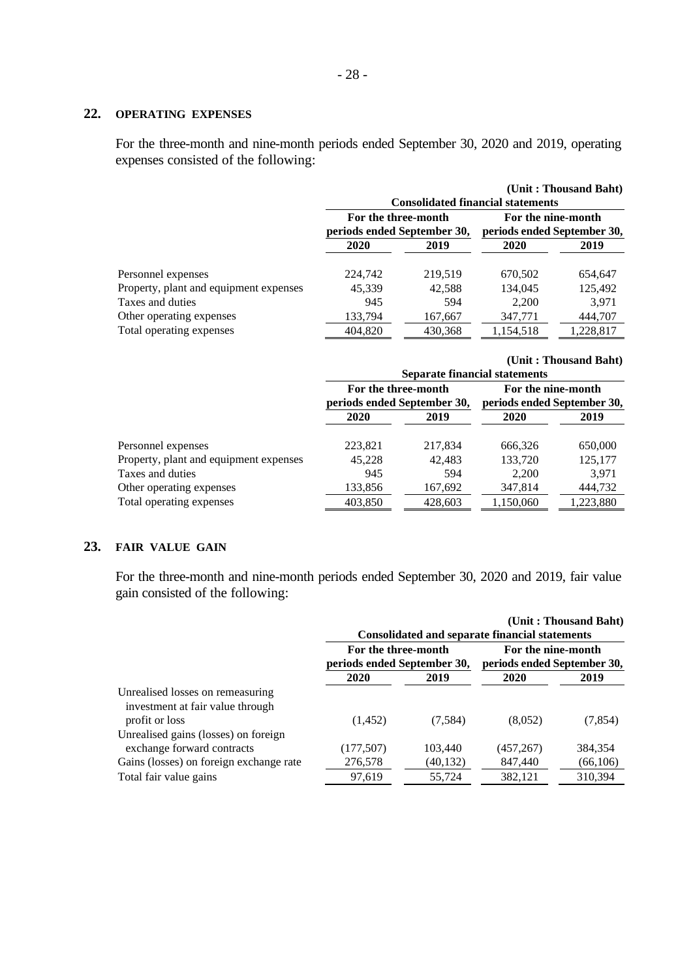# **22. OPERATING EXPENSES**

For the three-month and nine-month periods ended September 30, 2020 and 2019, operating expenses consisted of the following:

|                                        |                             |         |                                          | (Unit: Thousand Baht) |  |  |
|----------------------------------------|-----------------------------|---------|------------------------------------------|-----------------------|--|--|
|                                        |                             |         | <b>Consolidated financial statements</b> |                       |  |  |
|                                        | For the three-month         |         |                                          | For the nine-month    |  |  |
|                                        | periods ended September 30, |         | periods ended September 30,              |                       |  |  |
|                                        | 2020                        | 2019    | 2020                                     | 2019                  |  |  |
| Personnel expenses                     | 224,742                     | 219,519 | 670,502                                  | 654,647               |  |  |
| Property, plant and equipment expenses | 45,339                      | 42,588  | 134,045                                  | 125,492               |  |  |
| Taxes and duties                       | 945                         | 594     | 2,200                                    | 3,971                 |  |  |
| Other operating expenses               | 133,794                     | 167,667 | 347,771                                  | 444,707               |  |  |
| Total operating expenses               | 404,820                     | 430,368 | 1,154,518                                | 1,228,817             |  |  |

|                                        |                                                    | <b>Separate financial statements</b> |                                                   | (Unit: Thousand Baht) |  |
|----------------------------------------|----------------------------------------------------|--------------------------------------|---------------------------------------------------|-----------------------|--|
|                                        | For the three-month<br>periods ended September 30, |                                      | For the nine-month<br>periods ended September 30, |                       |  |
|                                        | 2020                                               | 2019                                 | 2020                                              | 2019                  |  |
| Personnel expenses                     | 223,821                                            | 217,834                              | 666,326                                           | 650,000               |  |
| Property, plant and equipment expenses | 45,228                                             | 42,483                               | 133,720                                           | 125,177               |  |
| Taxes and duties                       | 945                                                | 594                                  | 2,200                                             | 3,971                 |  |
| Other operating expenses               | 133,856                                            | 167,692                              | 347,814                                           | 444,732               |  |
| Total operating expenses               | 403,850                                            | 428,603                              | 1,150,060                                         | 1,223,880             |  |

# **23. FAIR VALUE GAIN**

For the three-month and nine-month periods ended September 30, 2020 and 2019, fair value gain consisted of the following:

|                                                                                        |                                                    |           | <b>Consolidated and separate financial statements</b> | (Unit: Thousand Baht) |  |
|----------------------------------------------------------------------------------------|----------------------------------------------------|-----------|-------------------------------------------------------|-----------------------|--|
|                                                                                        | For the three-month<br>periods ended September 30, |           | For the nine-month<br>periods ended September 30,     |                       |  |
|                                                                                        | 2020                                               | 2019      | 2020                                                  | 2019                  |  |
| Unrealised losses on remeasuring<br>investment at fair value through<br>profit or loss | (1,452)                                            | (7,584)   | (8,052)                                               | (7, 854)              |  |
| Unrealised gains (losses) on foreign<br>exchange forward contracts                     | (177, 507)                                         | 103,440   | (457, 267)                                            | 384,354               |  |
| Gains (losses) on foreign exchange rate                                                | 276,578                                            | (40, 132) | 847,440                                               | (66, 106)             |  |
| Total fair value gains                                                                 | 97,619                                             | 55,724    | 382,121                                               | 310,394               |  |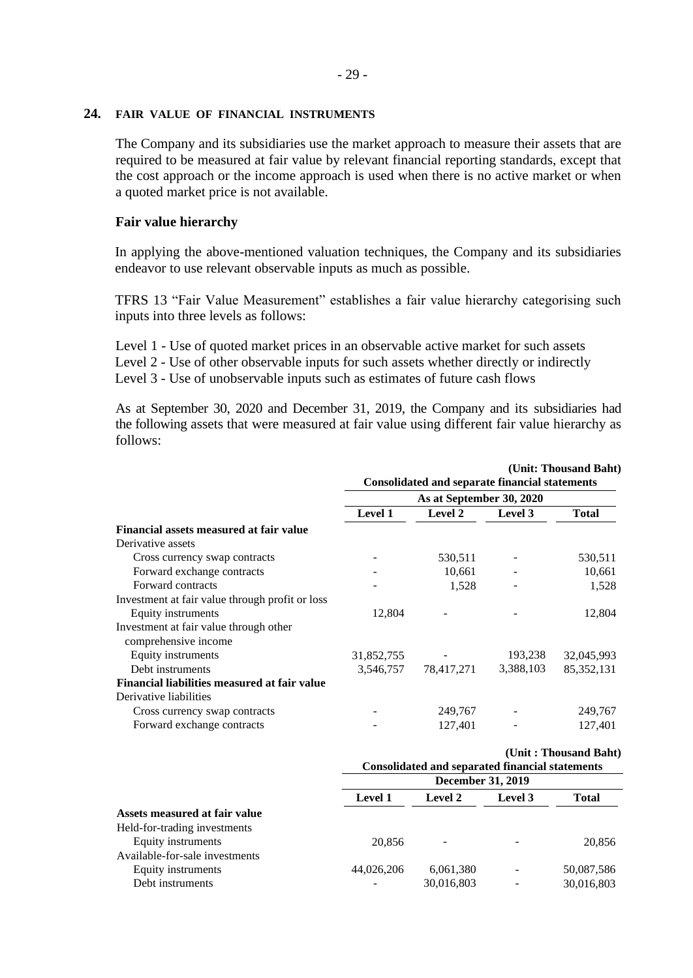# **24. FAIR VALUE OF FINANCIAL INSTRUMENTS**

The Company and its subsidiaries use the market approach to measure their assets that are required to be measured at fair value by relevant financial reporting standards, except that the cost approach or the income approach is used when there is no active market or when a quoted market price is not available.

# **Fair value hierarchy**

In applying the above-mentioned valuation techniques, the Company and its subsidiaries endeavor to use relevant observable inputs as much as possible.

TFRS 13 "Fair Value Measurement" establishes a fair value hierarchy categorising such inputs into three levels as follows:

Level 1 - Use of quoted market prices in an observable active market for such assets Level 2 - Use of other observable inputs for such assets whether directly or indirectly

Level 3 - Use of unobservable inputs such as estimates of future cash flows

As at September 30, 2020 and December 31, 2019, the Company and its subsidiaries had the following assets that were measured at fair value using different fair value hierarchy as follows:

|                                                 |                          | <b>Consolidated and separate financial statements</b>  |           | (Unit: Thousand Baht) |  |
|-------------------------------------------------|--------------------------|--------------------------------------------------------|-----------|-----------------------|--|
|                                                 | As at September 30, 2020 |                                                        |           |                       |  |
|                                                 | Level 1                  | Level 2                                                | Level 3   | <b>Total</b>          |  |
| Financial assets measured at fair value         |                          |                                                        |           |                       |  |
| Derivative assets                               |                          |                                                        |           |                       |  |
| Cross currency swap contracts                   |                          | 530,511                                                |           | 530,511               |  |
| Forward exchange contracts                      |                          | 10,661                                                 |           | 10,661                |  |
| Forward contracts                               |                          | 1,528                                                  |           | 1,528                 |  |
| Investment at fair value through profit or loss |                          |                                                        |           |                       |  |
| Equity instruments                              | 12,804                   |                                                        |           | 12,804                |  |
| Investment at fair value through other          |                          |                                                        |           |                       |  |
| comprehensive income                            |                          |                                                        |           |                       |  |
| Equity instruments                              | 31,852,755               |                                                        | 193,238   | 32,045,993            |  |
| Debt instruments                                | 3,546,757                | 78,417,271                                             | 3,388,103 | 85, 352, 131          |  |
| Financial liabilities measured at fair value    |                          |                                                        |           |                       |  |
| Derivative liabilities                          |                          |                                                        |           |                       |  |
| Cross currency swap contracts                   |                          | 249,767                                                |           | 249,767               |  |
| Forward exchange contracts                      |                          | 127,401                                                |           | 127,401               |  |
|                                                 |                          |                                                        |           | (Unit: Thousand Baht) |  |
|                                                 |                          | <b>Consolidated and separated financial statements</b> |           |                       |  |
|                                                 |                          | <b>December 31, 2019</b>                               |           |                       |  |
|                                                 | Level 1                  | Level 2                                                | Level 3   | <b>Total</b>          |  |
| Assets measured at fair value                   |                          |                                                        |           |                       |  |
| Held-for-trading investments                    |                          |                                                        |           |                       |  |
| Equity instruments                              | 20,856                   |                                                        |           | 20,856                |  |
| Available-for-sale investments                  |                          |                                                        |           |                       |  |
| Equity instruments                              | 44,026,206               | 6,061,380                                              |           | 50,087,586            |  |
| Debt instruments                                |                          | 30,016,803                                             |           | 30,016,803            |  |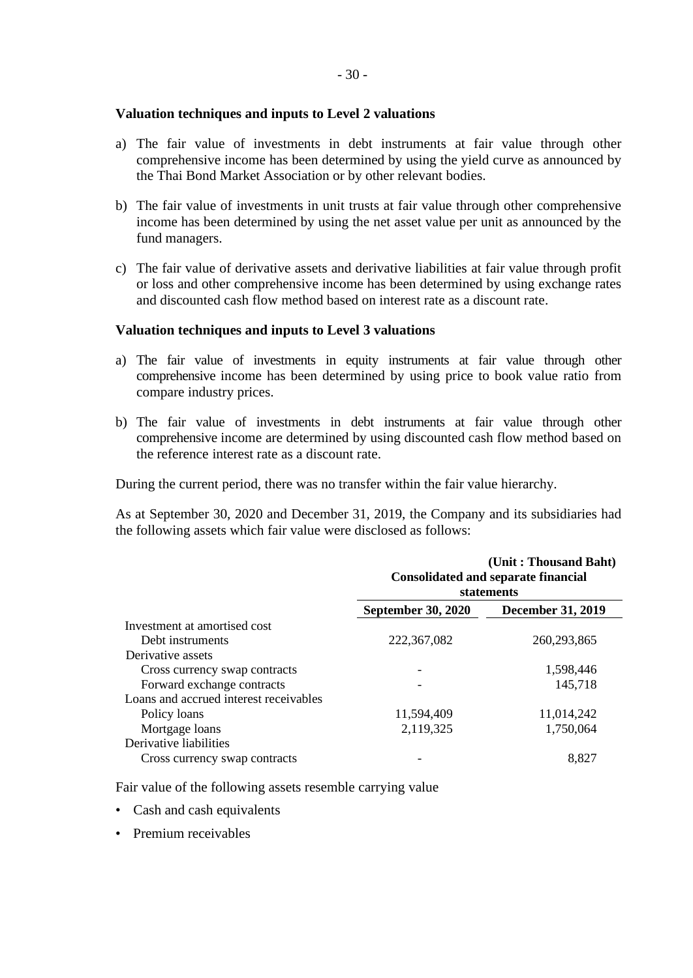# **Valuation techniques and inputs to Level 2 valuations**

- a) The fair value of investments in debt instruments at fair value through other comprehensive income has been determined by using the yield curve as announced by the Thai Bond Market Association or by other relevant bodies.
- b) The fair value of investments in unit trusts at fair value through other comprehensive income has been determined by using the net asset value per unit as announced by the fund managers.
- c) The fair value of derivative assets and derivative liabilities at fair value through profit or loss and other comprehensive income has been determined by using exchange rates and discounted cash flow method based on interest rate as a discount rate.

## **Valuation techniques and inputs to Level 3 valuations**

- a) The fair value of investments in equity instruments at fair value through other comprehensive income has been determined by using price to book value ratio from compare industry prices.
- b) The fair value of investments in debt instruments at fair value through other comprehensive income are determined by using discounted cash flow method based on the reference interest rate as a discount rate.

During the current period, there was no transfer within the fair value hierarchy.

As at September 30, 2020 and December 31, 2019, the Company and its subsidiaries had the following assets which fair value were disclosed as follows:

|                                        | (Unit: Thousand Baht)<br><b>Consolidated and separate financial</b><br><b>statements</b> |                          |  |  |
|----------------------------------------|------------------------------------------------------------------------------------------|--------------------------|--|--|
|                                        | <b>September 30, 2020</b>                                                                | <b>December 31, 2019</b> |  |  |
| Investment at amortised cost           |                                                                                          |                          |  |  |
| Debt instruments                       | 222, 367, 082                                                                            | 260, 293, 865            |  |  |
| Derivative assets                      |                                                                                          |                          |  |  |
| Cross currency swap contracts          |                                                                                          | 1,598,446                |  |  |
| Forward exchange contracts             |                                                                                          | 145,718                  |  |  |
| Loans and accrued interest receivables |                                                                                          |                          |  |  |
| Policy loans                           | 11,594,409                                                                               | 11,014,242               |  |  |
| Mortgage loans                         | 2,119,325                                                                                | 1,750,064                |  |  |
| Derivative liabilities                 |                                                                                          |                          |  |  |
| Cross currency swap contracts          |                                                                                          | 8,827                    |  |  |

Fair value of the following assets resemble carrying value

- Cash and cash equivalents
- Premium receivables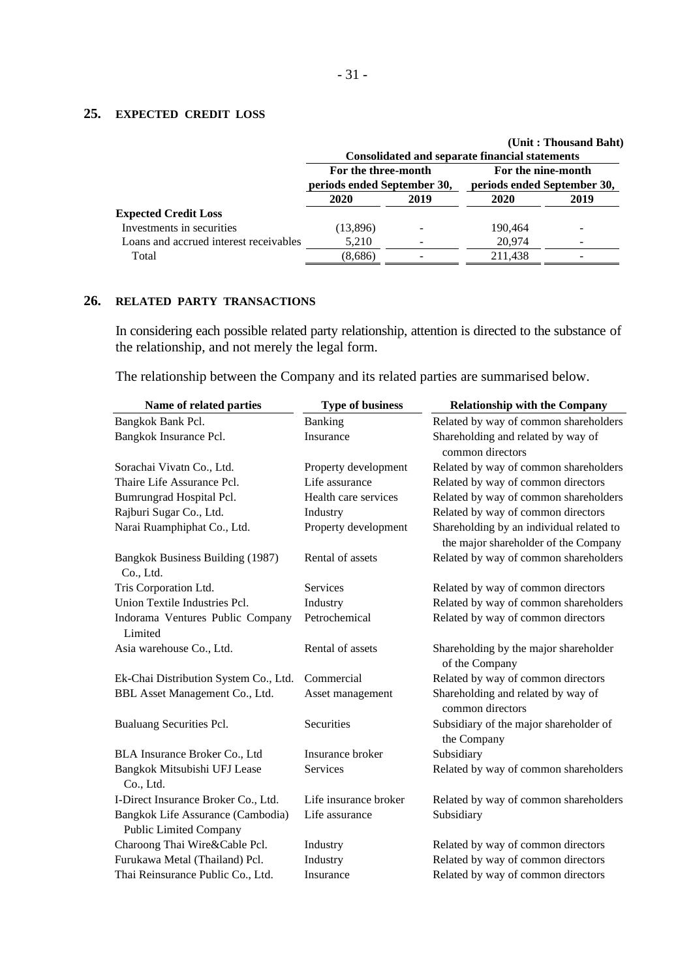# **25. EXPECTED CREDIT LOSS**

|                                        |                                                    |      | <b>Consolidated and separate financial statements</b> | (Unit: Thousand Baht) |  |
|----------------------------------------|----------------------------------------------------|------|-------------------------------------------------------|-----------------------|--|
|                                        | For the three-month<br>periods ended September 30, |      | For the nine-month<br>periods ended September 30,     |                       |  |
|                                        | 2020                                               | 2019 | 2020                                                  | 2019                  |  |
| <b>Expected Credit Loss</b>            |                                                    |      |                                                       |                       |  |
| Investments in securities              | (13,896)                                           |      | 190.464                                               |                       |  |
| Loans and accrued interest receivables | 5,210                                              |      | 20,974                                                |                       |  |
| Total                                  | (8,686)                                            |      | 211.438                                               |                       |  |

# **26. RELATED PARTY TRANSACTIONS**

In considering each possible related party relationship, attention is directed to the substance of the relationship, and not merely the legal form.

The relationship between the Company and its related parties are summarised below.

| Name of related parties                                            | <b>Type of business</b> | <b>Relationship with the Company</b>                                             |
|--------------------------------------------------------------------|-------------------------|----------------------------------------------------------------------------------|
| Bangkok Bank Pcl.                                                  | Banking                 | Related by way of common shareholders                                            |
| Bangkok Insurance Pcl.                                             | Insurance               | Shareholding and related by way of<br>common directors                           |
| Sorachai Vivatn Co., Ltd.                                          | Property development    | Related by way of common shareholders                                            |
| Thaire Life Assurance Pcl.                                         | Life assurance          | Related by way of common directors                                               |
| Bumrungrad Hospital Pcl.                                           | Health care services    | Related by way of common shareholders                                            |
| Rajburi Sugar Co., Ltd.                                            | Industry                | Related by way of common directors                                               |
| Narai Ruamphiphat Co., Ltd.                                        | Property development    | Shareholding by an individual related to<br>the major shareholder of the Company |
| Bangkok Business Building (1987)<br>Co., Ltd.                      | Rental of assets        | Related by way of common shareholders                                            |
| Tris Corporation Ltd.                                              | Services                | Related by way of common directors                                               |
| Union Textile Industries Pcl.                                      | Industry                | Related by way of common shareholders                                            |
| Indorama Ventures Public Company<br>Limited                        | Petrochemical           | Related by way of common directors                                               |
| Asia warehouse Co., Ltd.                                           | Rental of assets        | Shareholding by the major shareholder<br>of the Company                          |
| Ek-Chai Distribution System Co., Ltd.                              | Commercial              | Related by way of common directors                                               |
| BBL Asset Management Co., Ltd.                                     | Asset management        | Shareholding and related by way of<br>common directors                           |
| Bualuang Securities Pcl.                                           | Securities              | Subsidiary of the major shareholder of<br>the Company                            |
| BLA Insurance Broker Co., Ltd                                      | Insurance broker        | Subsidiary                                                                       |
| Bangkok Mitsubishi UFJ Lease<br>Co., Ltd.                          | <b>Services</b>         | Related by way of common shareholders                                            |
| I-Direct Insurance Broker Co., Ltd.                                | Life insurance broker   | Related by way of common shareholders                                            |
| Bangkok Life Assurance (Cambodia)<br><b>Public Limited Company</b> | Life assurance          | Subsidiary                                                                       |
| Charoong Thai Wire&Cable Pcl.                                      | Industry                | Related by way of common directors                                               |
| Furukawa Metal (Thailand) Pcl.                                     | Industry                | Related by way of common directors                                               |
| Thai Reinsurance Public Co., Ltd.                                  | Insurance               | Related by way of common directors                                               |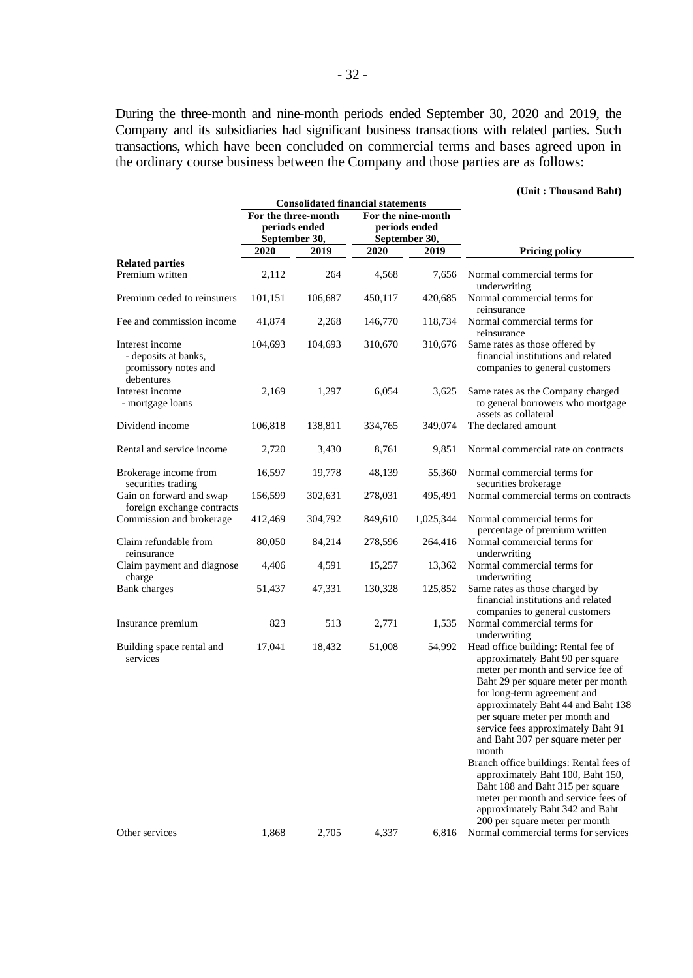During the three-month and nine-month periods ended September 30, 2020 and 2019, the Company and its subsidiaries had significant business transactions with related parties. Such transactions, which have been concluded on commercial terms and bases agreed upon in the ordinary course business between the Company and those parties are as follows:

#### **(Unit : Thousand Baht)**

|                                                                               |                                      | <b>Consolidated financial statements</b> |               |                                     |                                                                                                                                                                                                                                                                                                                                                                                                                                                                                                                                              |
|-------------------------------------------------------------------------------|--------------------------------------|------------------------------------------|---------------|-------------------------------------|----------------------------------------------------------------------------------------------------------------------------------------------------------------------------------------------------------------------------------------------------------------------------------------------------------------------------------------------------------------------------------------------------------------------------------------------------------------------------------------------------------------------------------------------|
|                                                                               | For the three-month<br>periods ended |                                          |               | For the nine-month<br>periods ended |                                                                                                                                                                                                                                                                                                                                                                                                                                                                                                                                              |
|                                                                               | September 30,                        |                                          | September 30, |                                     |                                                                                                                                                                                                                                                                                                                                                                                                                                                                                                                                              |
|                                                                               | 2020                                 | 2019                                     | 2020          | 2019                                | <b>Pricing policy</b>                                                                                                                                                                                                                                                                                                                                                                                                                                                                                                                        |
| <b>Related parties</b><br>Premium written                                     | 2,112                                | 264                                      | 4,568         | 7,656                               | Normal commercial terms for                                                                                                                                                                                                                                                                                                                                                                                                                                                                                                                  |
| Premium ceded to reinsurers                                                   | 101,151                              | 106,687                                  | 450,117       | 420,685                             | underwriting<br>Normal commercial terms for<br>reinsurance                                                                                                                                                                                                                                                                                                                                                                                                                                                                                   |
| Fee and commission income                                                     | 41,874                               | 2,268                                    | 146,770       | 118,734                             | Normal commercial terms for<br>reinsurance                                                                                                                                                                                                                                                                                                                                                                                                                                                                                                   |
| Interest income<br>- deposits at banks,<br>promissory notes and<br>debentures | 104,693                              | 104,693                                  | 310,670       | 310,676                             | Same rates as those offered by<br>financial institutions and related<br>companies to general customers                                                                                                                                                                                                                                                                                                                                                                                                                                       |
| Interest income<br>- mortgage loans                                           | 2,169                                | 1,297                                    | 6,054         | 3,625                               | Same rates as the Company charged<br>to general borrowers who mortgage<br>assets as collateral                                                                                                                                                                                                                                                                                                                                                                                                                                               |
| Dividend income                                                               | 106,818                              | 138,811                                  | 334,765       | 349,074                             | The declared amount                                                                                                                                                                                                                                                                                                                                                                                                                                                                                                                          |
| Rental and service income                                                     | 2,720                                | 3,430                                    | 8,761         | 9,851                               | Normal commercial rate on contracts                                                                                                                                                                                                                                                                                                                                                                                                                                                                                                          |
| Brokerage income from<br>securities trading                                   | 16,597                               | 19,778                                   | 48,139        | 55,360                              | Normal commercial terms for<br>securities brokerage                                                                                                                                                                                                                                                                                                                                                                                                                                                                                          |
| Gain on forward and swap<br>foreign exchange contracts                        | 156,599                              | 302,631                                  | 278,031       | 495,491                             | Normal commercial terms on contracts                                                                                                                                                                                                                                                                                                                                                                                                                                                                                                         |
| Commission and brokerage                                                      | 412,469                              | 304,792                                  | 849,610       | 1,025,344                           | Normal commercial terms for<br>percentage of premium written                                                                                                                                                                                                                                                                                                                                                                                                                                                                                 |
| Claim refundable from<br>reinsurance                                          | 80,050                               | 84,214                                   | 278,596       | 264,416                             | Normal commercial terms for<br>underwriting                                                                                                                                                                                                                                                                                                                                                                                                                                                                                                  |
| Claim payment and diagnose<br>charge                                          | 4,406                                | 4,591                                    | 15,257        | 13,362                              | Normal commercial terms for<br>underwriting                                                                                                                                                                                                                                                                                                                                                                                                                                                                                                  |
| <b>Bank</b> charges                                                           | 51,437                               | 47,331                                   | 130,328       | 125,852                             | Same rates as those charged by<br>financial institutions and related<br>companies to general customers                                                                                                                                                                                                                                                                                                                                                                                                                                       |
| Insurance premium                                                             | 823                                  | 513                                      | 2,771         | 1,535                               | Normal commercial terms for<br>underwriting                                                                                                                                                                                                                                                                                                                                                                                                                                                                                                  |
| Building space rental and<br>services                                         | 17,041                               | 18,432                                   | 51,008        | 54,992                              | Head office building: Rental fee of<br>approximately Baht 90 per square<br>meter per month and service fee of<br>Baht 29 per square meter per month<br>for long-term agreement and<br>approximately Baht 44 and Baht 138<br>per square meter per month and<br>service fees approximately Baht 91<br>and Baht 307 per square meter per<br>month<br>Branch office buildings: Rental fees of<br>approximately Baht 100, Baht 150,<br>Baht 188 and Baht 315 per square<br>meter per month and service fees of<br>approximately Baht 342 and Baht |
| Other services                                                                | 1,868                                | 2,705                                    | 4,337         | 6,816                               | 200 per square meter per month<br>Normal commercial terms for services                                                                                                                                                                                                                                                                                                                                                                                                                                                                       |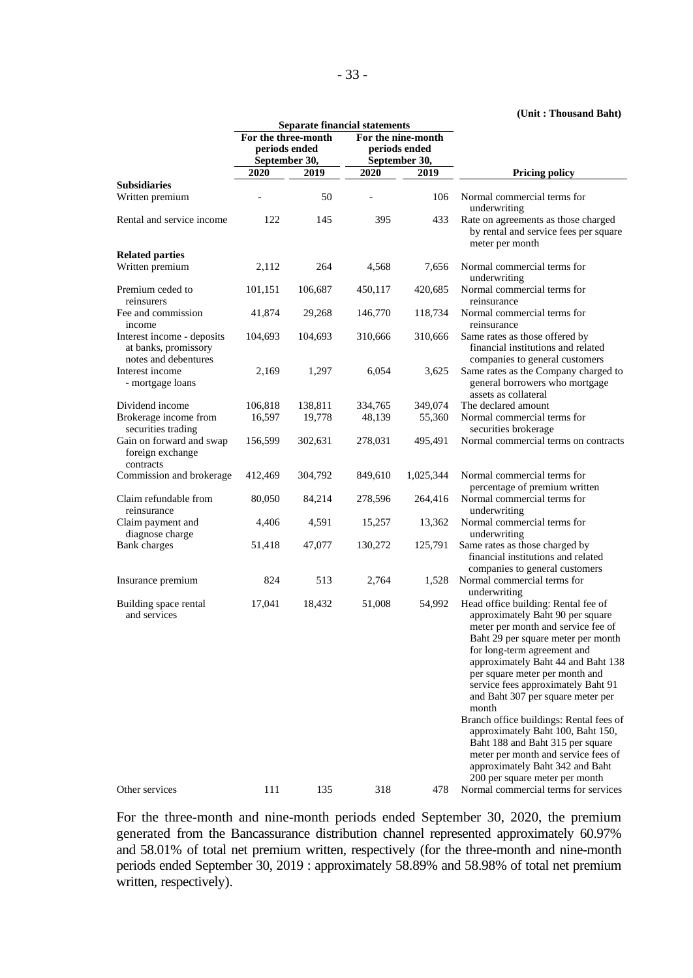#### **(Unit : Thousand Baht)**

|                                                                            |                                      |         | <b>Separate financial statements</b> |                                     |                                                                                                                                                                                                                                                                                                                                                |
|----------------------------------------------------------------------------|--------------------------------------|---------|--------------------------------------|-------------------------------------|------------------------------------------------------------------------------------------------------------------------------------------------------------------------------------------------------------------------------------------------------------------------------------------------------------------------------------------------|
|                                                                            | For the three-month<br>periods ended |         |                                      | For the nine-month<br>periods ended |                                                                                                                                                                                                                                                                                                                                                |
|                                                                            | September 30,                        |         |                                      | September 30,                       |                                                                                                                                                                                                                                                                                                                                                |
|                                                                            | 2020                                 | 2019    | 2020                                 | 2019                                | <b>Pricing policy</b>                                                                                                                                                                                                                                                                                                                          |
| <b>Subsidiaries</b><br>Written premium                                     |                                      | 50      |                                      | 106                                 | Normal commercial terms for<br>underwriting                                                                                                                                                                                                                                                                                                    |
| Rental and service income                                                  | 122                                  | 145     | 395                                  | 433                                 | Rate on agreements as those charged<br>by rental and service fees per square<br>meter per month                                                                                                                                                                                                                                                |
| <b>Related parties</b>                                                     |                                      |         |                                      |                                     |                                                                                                                                                                                                                                                                                                                                                |
| Written premium                                                            | 2,112                                | 264     | 4,568                                | 7,656                               | Normal commercial terms for<br>underwriting                                                                                                                                                                                                                                                                                                    |
| Premium ceded to<br>reinsurers                                             | 101,151                              | 106,687 | 450,117                              | 420,685                             | Normal commercial terms for<br>reinsurance                                                                                                                                                                                                                                                                                                     |
| Fee and commission<br>income                                               | 41,874                               | 29,268  | 146,770                              | 118,734                             | Normal commercial terms for<br>reinsurance                                                                                                                                                                                                                                                                                                     |
| Interest income - deposits<br>at banks, promissory<br>notes and debentures | 104,693                              | 104,693 | 310,666                              | 310,666                             | Same rates as those offered by<br>financial institutions and related<br>companies to general customers                                                                                                                                                                                                                                         |
| Interest income<br>- mortgage loans                                        | 2,169                                | 1,297   | 6,054                                | 3,625                               | Same rates as the Company charged to<br>general borrowers who mortgage<br>assets as collateral                                                                                                                                                                                                                                                 |
| Dividend income                                                            | 106,818                              | 138,811 | 334,765                              | 349,074                             | The declared amount                                                                                                                                                                                                                                                                                                                            |
| Brokerage income from<br>securities trading                                | 16,597                               | 19,778  | 48,139                               | 55,360                              | Normal commercial terms for<br>securities brokerage                                                                                                                                                                                                                                                                                            |
| Gain on forward and swap<br>foreign exchange<br>contracts                  | 156,599                              | 302,631 | 278,031                              | 495,491                             | Normal commercial terms on contracts                                                                                                                                                                                                                                                                                                           |
| Commission and brokerage                                                   | 412,469                              | 304,792 | 849,610                              | 1,025,344                           | Normal commercial terms for<br>percentage of premium written                                                                                                                                                                                                                                                                                   |
| Claim refundable from<br>reinsurance                                       | 80,050                               | 84,214  | 278,596                              | 264,416                             | Normal commercial terms for<br>underwriting                                                                                                                                                                                                                                                                                                    |
| Claim payment and<br>diagnose charge                                       | 4,406                                | 4,591   | 15,257                               | 13,362                              | Normal commercial terms for<br>underwriting                                                                                                                                                                                                                                                                                                    |
| Bank charges                                                               | 51,418                               | 47,077  | 130,272                              | 125,791                             | Same rates as those charged by<br>financial institutions and related<br>companies to general customers                                                                                                                                                                                                                                         |
| Insurance premium                                                          | 824                                  | 513     | 2,764                                | 1,528                               | Normal commercial terms for<br>underwriting                                                                                                                                                                                                                                                                                                    |
| Building space rental<br>and services                                      | 17,041                               | 18,432  | 51,008                               | 54,992                              | Head office building: Rental fee of<br>approximately Baht 90 per square<br>meter per month and service fee of<br>Baht 29 per square meter per month<br>for long-term agreement and<br>approximately Baht 44 and Baht 138<br>per square meter per month and<br>service fees approximately Baht 91<br>and Baht 307 per square meter per<br>month |
|                                                                            |                                      |         |                                      |                                     | Branch office buildings: Rental fees of<br>approximately Baht 100, Baht 150,<br>Baht 188 and Baht 315 per square<br>meter per month and service fees of<br>approximately Baht 342 and Baht<br>200 per square meter per month                                                                                                                   |
| Other services                                                             | 111                                  | 135     | 318                                  | 478                                 | Normal commercial terms for services                                                                                                                                                                                                                                                                                                           |

For the three-month and nine-month periods ended September 30, 2020, the premium generated from the Bancassurance distribution channel represented approximately 60.97% and 58.01% of total net premium written, respectively (for the three-month and nine-month periods ended September 30, 2019 : approximately 58.89% and 58.98% of total net premium written, respectively).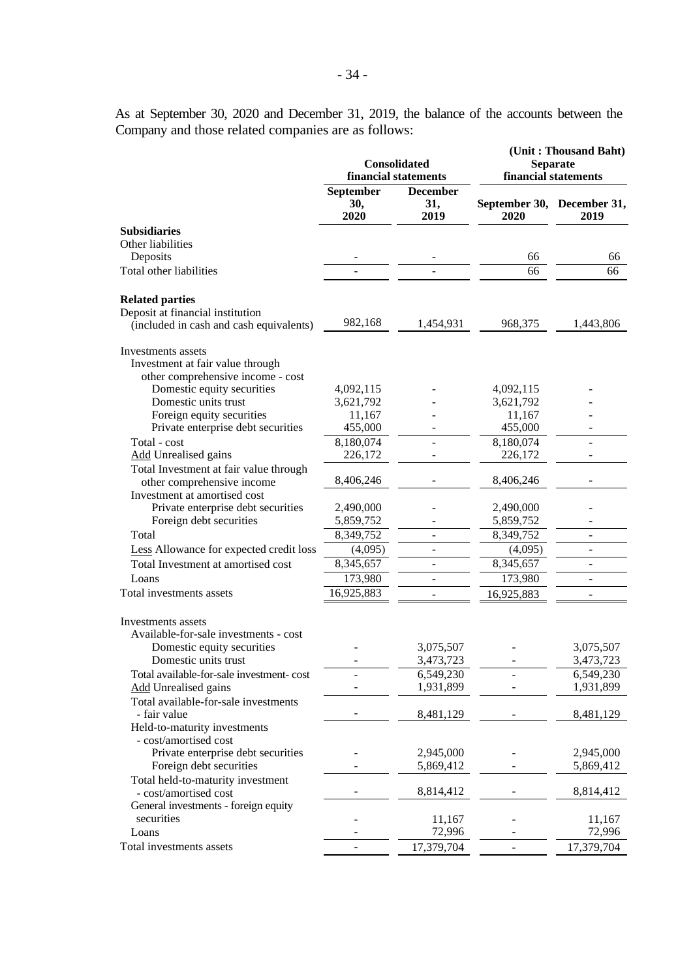As at September 30, 2020 and December 31, 2019, the balance of the accounts between the Company and those related companies are as follows:

|                                                                                                       | Consolidated<br>financial statements |                                | (Unit: Thousand Baht)<br><b>Separate</b><br>financial statements |                          |  |
|-------------------------------------------------------------------------------------------------------|--------------------------------------|--------------------------------|------------------------------------------------------------------|--------------------------|--|
|                                                                                                       | September<br>30,<br>2020             | <b>December</b><br>31,<br>2019 | September 30, December 31,<br>2020                               | 2019                     |  |
| <b>Subsidiaries</b>                                                                                   |                                      |                                |                                                                  |                          |  |
| Other liabilities<br>Deposits                                                                         |                                      |                                | 66                                                               | 66                       |  |
| Total other liabilities                                                                               |                                      |                                | 66                                                               | 66                       |  |
| <b>Related parties</b><br>Deposit at financial institution<br>(included in cash and cash equivalents) | 982,168                              | 1,454,931                      | 968,375                                                          | 1,443,806                |  |
| Investments assets<br>Investment at fair value through<br>other comprehensive income - cost           |                                      |                                |                                                                  |                          |  |
| Domestic equity securities                                                                            | 4,092,115                            |                                | 4,092,115                                                        |                          |  |
| Domestic units trust<br>Foreign equity securities                                                     | 3,621,792<br>11,167                  |                                | 3,621,792                                                        |                          |  |
| Private enterprise debt securities                                                                    | 455,000                              |                                | 11,167<br>455,000                                                |                          |  |
| Total - cost                                                                                          | 8,180,074                            |                                | 8,180,074                                                        | $\overline{\phantom{a}}$ |  |
| <b>Add</b> Unrealised gains                                                                           | 226,172                              |                                | 226,172                                                          |                          |  |
| Total Investment at fair value through                                                                |                                      |                                |                                                                  |                          |  |
| other comprehensive income<br>Investment at amortised cost                                            | 8,406,246                            |                                | 8,406,246                                                        |                          |  |
| Private enterprise debt securities                                                                    | 2,490,000                            |                                | 2,490,000                                                        |                          |  |
| Foreign debt securities                                                                               | 5,859,752                            |                                | 5,859,752                                                        |                          |  |
| Total                                                                                                 | 8,349,752                            |                                | 8,349,752                                                        | ÷,                       |  |
| Less Allowance for expected credit loss                                                               | (4,095)                              |                                | (4,095)                                                          | -                        |  |
| Total Investment at amortised cost                                                                    | 8,345,657                            | $\overline{\phantom{a}}$       | 8,345,657                                                        | $\blacksquare$           |  |
| Loans                                                                                                 | 173,980                              | L.                             | 173,980                                                          | ÷,                       |  |
| Total investments assets                                                                              | 16,925,883                           |                                | 16,925,883                                                       | ÷                        |  |
| Investments assets<br>Available-for-sale investments - cost                                           |                                      |                                |                                                                  |                          |  |
| Domestic equity securities                                                                            |                                      | 3,075,507                      |                                                                  | 3,075,507                |  |
| Domestic units trust                                                                                  |                                      | 3,473,723                      |                                                                  | 3,473,723                |  |
| Total available-for-sale investment- cost                                                             |                                      | 6,549,230<br>1,931,899         |                                                                  | 6,549,230<br>1,931,899   |  |
| <b>Add Unrealised gains</b><br>Total available-for-sale investments                                   |                                      |                                |                                                                  |                          |  |
| - fair value<br>Held-to-maturity investments                                                          |                                      | 8,481,129                      |                                                                  | 8,481,129                |  |
| - cost/amortised cost<br>Private enterprise debt securities<br>Foreign debt securities                |                                      | 2,945,000<br>5,869,412         |                                                                  | 2,945,000<br>5,869,412   |  |
| Total held-to-maturity investment                                                                     |                                      |                                |                                                                  |                          |  |
| - cost/amortised cost<br>General investments - foreign equity                                         |                                      | 8,814,412                      |                                                                  | 8,814,412                |  |
| securities                                                                                            |                                      | 11,167                         |                                                                  | 11,167                   |  |
| Loans                                                                                                 |                                      | 72,996                         |                                                                  | 72,996                   |  |
| Total investments assets                                                                              |                                      | 17,379,704                     |                                                                  | 17,379,704               |  |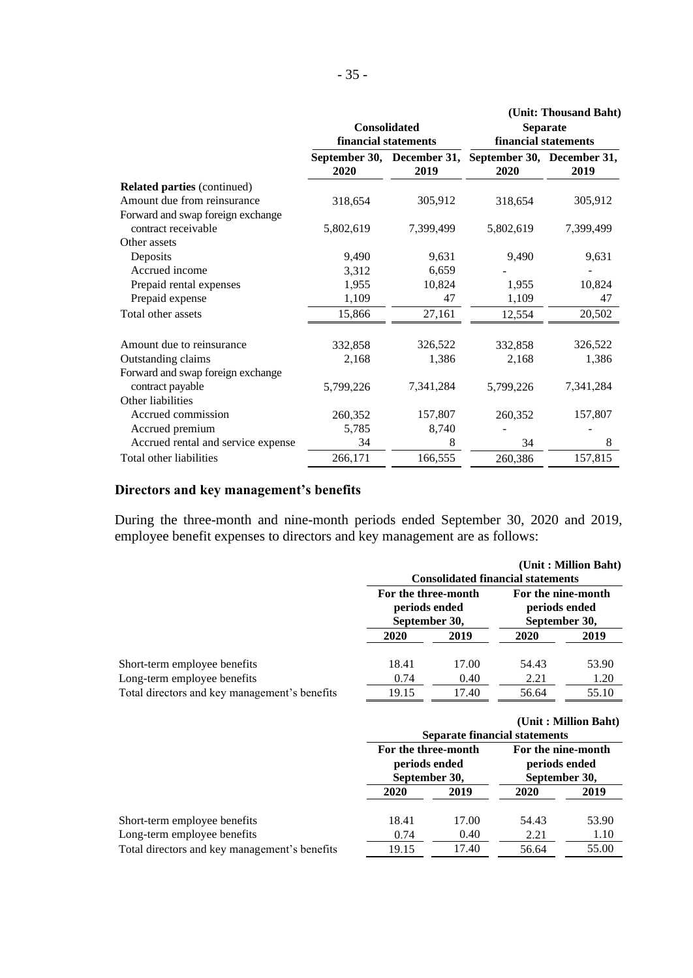|                                    | financial statements | <b>Consolidated</b>                | (Unit: Thousand Baht)<br><b>Separate</b><br>financial statements |           |  |
|------------------------------------|----------------------|------------------------------------|------------------------------------------------------------------|-----------|--|
|                                    | 2020                 | September 30, December 31,<br>2019 | September 30, December 31,<br>2020                               | 2019      |  |
| <b>Related parties (continued)</b> |                      |                                    |                                                                  |           |  |
| Amount due from reinsurance        | 318,654              | 305,912                            | 318,654                                                          | 305,912   |  |
| Forward and swap foreign exchange  |                      |                                    |                                                                  |           |  |
| contract receivable                | 5,802,619            | 7,399,499                          | 5,802,619                                                        | 7,399,499 |  |
| Other assets                       |                      |                                    |                                                                  |           |  |
| Deposits                           | 9,490                | 9,631                              | 9,490                                                            | 9,631     |  |
| Accrued income                     | 3,312                | 6,659                              |                                                                  |           |  |
| Prepaid rental expenses            | 1,955                | 10,824                             | 1,955                                                            | 10,824    |  |
| Prepaid expense                    | 1,109                | 47                                 | 1,109                                                            | 47        |  |
| Total other assets                 | 15,866               | 27,161                             | 12,554                                                           | 20,502    |  |
| Amount due to reinsurance          |                      | 326,522                            |                                                                  | 326,522   |  |
| Outstanding claims                 | 332,858<br>2,168     | 1,386                              | 332,858<br>2,168                                                 | 1,386     |  |
| Forward and swap foreign exchange  |                      |                                    |                                                                  |           |  |
| contract payable                   | 5,799,226            | 7,341,284                          | 5,799,226                                                        | 7,341,284 |  |
| Other liabilities                  |                      |                                    |                                                                  |           |  |
| Accrued commission                 | 260,352              | 157,807                            | 260,352                                                          | 157,807   |  |
| Accrued premium                    | 5,785                | 8,740                              |                                                                  |           |  |
| Accrued rental and service expense | 34                   | 8                                  | 34                                                               | 8         |  |
| Total other liabilities            | 266,171              | 166,555                            | 260,386                                                          | 157,815   |  |

# **Directors and key management's benefits**

During the three-month and nine-month periods ended September 30, 2020 and 2019, employee benefit expenses to directors and key management are as follows:

|                                               |                                                       |       | <b>Consolidated financial statements</b>             | (Unit: Million Baht) |  |
|-----------------------------------------------|-------------------------------------------------------|-------|------------------------------------------------------|----------------------|--|
|                                               | For the three-month<br>periods ended<br>September 30, |       | For the nine-month<br>periods ended<br>September 30, |                      |  |
|                                               | 2020                                                  | 2019  | 2020                                                 | 2019                 |  |
| Short-term employee benefits                  | 18.41                                                 | 17.00 | 54.43                                                | 53.90                |  |
| Long-term employee benefits                   | 0.74                                                  | 0.40  | 2.21                                                 | 1.20                 |  |
| Total directors and key management's benefits | 19.15                                                 | 17.40 | 56.64                                                | 55.10                |  |

|                                               |       |                                                                                                               | <b>Separate financial statements</b> | (Unit: Million Baht) |
|-----------------------------------------------|-------|---------------------------------------------------------------------------------------------------------------|--------------------------------------|----------------------|
|                                               |       | For the three-month<br>For the nine-month<br>periods ended<br>periods ended<br>September 30,<br>September 30, |                                      |                      |
|                                               | 2020  | 2019                                                                                                          | 2020                                 | 2019                 |
| Short-term employee benefits                  | 18.41 | 17.00                                                                                                         | 54.43                                | 53.90                |
| Long-term employee benefits                   | 0.74  | 0.40                                                                                                          | 2.21                                 | 1.10                 |
| Total directors and key management's benefits | 19.15 | 17.40                                                                                                         | 56.64                                | 55.00                |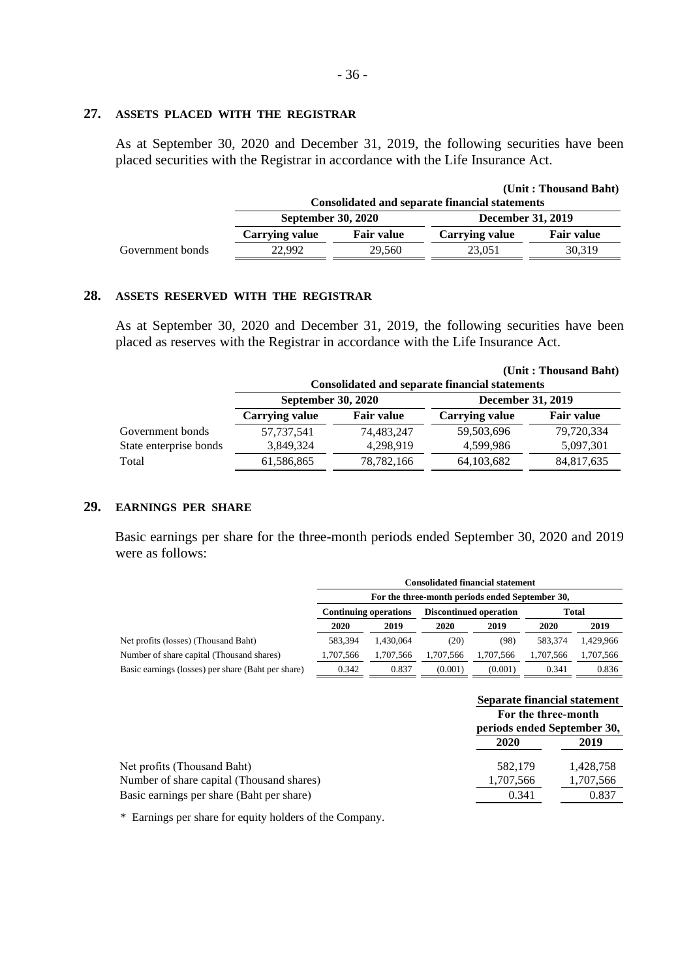#### **27. ASSETS PLACED WITH THE REGISTRAR**

As at September 30, 2020 and December 31, 2019, the following securities have been placed securities with the Registrar in accordance with the Life Insurance Act.

|                  |                                                       |                   |                          | (Unit: Thousand Baht) |  |
|------------------|-------------------------------------------------------|-------------------|--------------------------|-----------------------|--|
|                  | <b>Consolidated and separate financial statements</b> |                   |                          |                       |  |
|                  | <b>September 30, 2020</b>                             |                   | <b>December 31, 2019</b> |                       |  |
|                  | <b>Carrying value</b>                                 | <b>Fair value</b> | <b>Carrying value</b>    | <b>Fair value</b>     |  |
| Government bonds | 22.992                                                | 29.560            | 23,051                   | 30.319                |  |

### **28. ASSETS RESERVED WITH THE REGISTRAR**

As at September 30, 2020 and December 31, 2019, the following securities have been placed as reserves with the Registrar in accordance with the Life Insurance Act.

|                        |                           |                   | <b>Consolidated and separate financial statements</b> | (Unit: Thousand Baht) |
|------------------------|---------------------------|-------------------|-------------------------------------------------------|-----------------------|
|                        | <b>September 30, 2020</b> |                   | December 31, 2019                                     |                       |
|                        | <b>Carrying value</b>     | <b>Fair value</b> | <b>Carrying value</b>                                 | <b>Fair value</b>     |
| Government bonds       | 57, 737, 541              | 74,483,247        | 59,503,696                                            | 79,720,334            |
| State enterprise bonds | 3,849,324                 | 4,298,919         | 4.599.986                                             | 5,097,301             |
| Total                  | 61,586,865                | 78, 782, 166      | 64, 103, 682                                          | 84,817,635            |

## **29. EARNINGS PER SHARE**

Basic earnings per share for the three-month periods ended September 30, 2020 and 2019 were as follows:

|                                                    | <b>Consolidated financial statement</b>                |           |           |           |           |           |  |
|----------------------------------------------------|--------------------------------------------------------|-----------|-----------|-----------|-----------|-----------|--|
|                                                    | For the three-month periods ended September 30,        |           |           |           |           |           |  |
|                                                    | <b>Discontinued operation</b><br>Continuing operations |           |           |           | Total     |           |  |
|                                                    | 2020                                                   | 2019      | 2020      | 2019      | 2020      | 2019      |  |
| Net profits (losses) (Thousand Baht)               | 583.394                                                | 1.430.064 | (20)      | (98)      | 583.374   | 1.429.966 |  |
| Number of share capital (Thousand shares)          | 1,707,566                                              | 1,707,566 | 1.707.566 | 1.707.566 | 1.707.566 | 1,707,566 |  |
| Basic earnings (losses) per share (Baht per share) | 0.342                                                  | 0.837     | (0.001)   | (0.001)   | 0.341     | 0.836     |  |

|                                           | Separate financial statement                       |           |  |
|-------------------------------------------|----------------------------------------------------|-----------|--|
|                                           | For the three-month<br>periods ended September 30, |           |  |
|                                           | 2020                                               | 2019      |  |
| Net profits (Thousand Baht)               | 582,179                                            | 1.428.758 |  |
| Number of share capital (Thousand shares) | 1,707,566                                          | 1,707,566 |  |
| Basic earnings per share (Baht per share) | 0.341                                              | 0.837     |  |

\* Earnings per share for equity holders of the Company.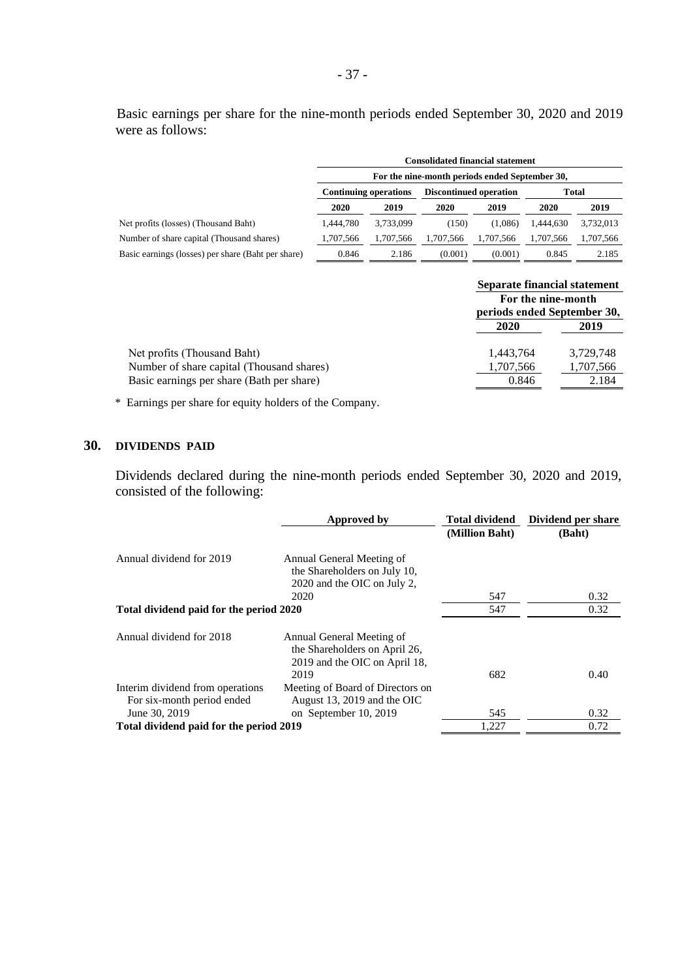Basic earnings per share for the nine-month periods ended September 30, 2020 and 2019 were as follows:

|                                                    | <b>Consolidated financial statement</b>                         |           |           |           |           |           |  |
|----------------------------------------------------|-----------------------------------------------------------------|-----------|-----------|-----------|-----------|-----------|--|
|                                                    | For the nine-month periods ended September 30,                  |           |           |           |           |           |  |
|                                                    | <b>Discontinued operation</b><br>Total<br>Continuing operations |           |           |           |           |           |  |
|                                                    | 2020                                                            | 2019      | 2020      | 2019      | 2020      | 2019      |  |
| Net profits (losses) (Thousand Baht)               | 1.444.780                                                       | 3,733,099 | (150)     | (1.086)   | 1.444.630 | 3,732,013 |  |
| Number of share capital (Thousand shares)          | 1,707,566                                                       | 1,707,566 | 1.707.566 | 1.707.566 | 1,707,566 | 1,707,566 |  |
| Basic earnings (losses) per share (Baht per share) | 0.846                                                           | 2.186     | (0.001)   | (0.001)   | 0.845     | 2.185     |  |

|                                           | Separate financial statement                      |           |  |
|-------------------------------------------|---------------------------------------------------|-----------|--|
|                                           | For the nine-month<br>periods ended September 30, |           |  |
|                                           | 2020                                              | 2019      |  |
| Net profits (Thousand Baht)               | 1,443,764                                         | 3,729,748 |  |
| Number of share capital (Thousand shares) | 1,707,566                                         | 1,707,566 |  |
| Basic earnings per share (Bath per share) | 0.846                                             | 2.184     |  |
|                                           |                                                   |           |  |

\* Earnings per share for equity holders of the Company.

## **30. DIVIDENDS PAID**

Dividends declared during the nine-month periods ended September 30, 2020 and 2019, consisted of the following:

|                                                                                 | Approved by                                                                                         | <b>Total dividend</b> | Dividend per share |
|---------------------------------------------------------------------------------|-----------------------------------------------------------------------------------------------------|-----------------------|--------------------|
|                                                                                 |                                                                                                     | (Million Baht)        | (Baht)             |
| Annual dividend for 2019                                                        | Annual General Meeting of<br>the Shareholders on July 10,<br>2020 and the OIC on July 2,            |                       |                    |
|                                                                                 | 2020                                                                                                | 547                   | 0.32               |
| Total dividend paid for the period 2020                                         |                                                                                                     | 547                   | 0.32               |
| Annual dividend for 2018                                                        | Annual General Meeting of<br>the Shareholders on April 26,<br>2019 and the OIC on April 18,<br>2019 | 682                   | 0.40               |
| Interim dividend from operations<br>For six-month period ended<br>June 30, 2019 | Meeting of Board of Directors on<br>August 13, 2019 and the OIC<br>on September 10, 2019            | 545                   | 0.32               |
| Total dividend paid for the period 2019                                         |                                                                                                     | 1,227                 | 0.72               |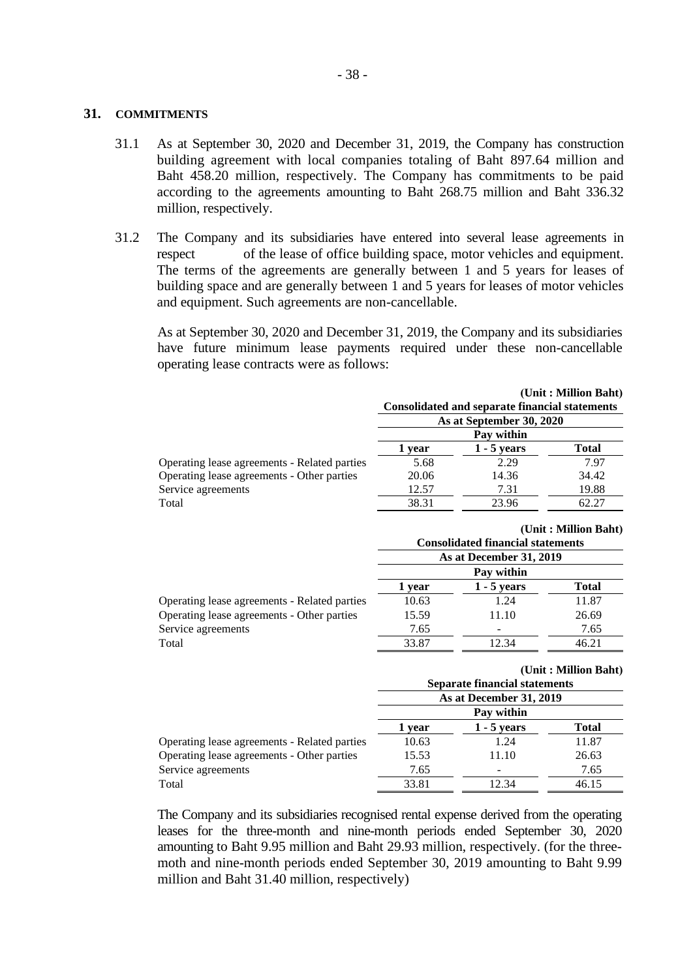#### **31. COMMITMENTS**

- 31.1 As at September 30, 2020 and December 31, 2019, the Company has construction building agreement with local companies totaling of Baht 897.64 million and Baht 458.20 million, respectively. The Company has commitments to be paid according to the agreements amounting to Baht 268.75 million and Baht 336.32 million, respectively.
- 31.2 The Company and its subsidiaries have entered into several lease agreements in respect of the lease of office building space, motor vehicles and equipment. The terms of the agreements are generally between 1 and 5 years for leases of building space and are generally between 1 and 5 years for leases of motor vehicles and equipment. Such agreements are non-cancellable.

As at September 30, 2020 and December 31, 2019, the Company and its subsidiaries have future minimum lease payments required under these non-cancellable operating lease contracts were as follows:

|                                              |                          |                                                       | (Unit: Million Baht) |  |
|----------------------------------------------|--------------------------|-------------------------------------------------------|----------------------|--|
|                                              |                          | <b>Consolidated and separate financial statements</b> |                      |  |
|                                              | As at September 30, 2020 |                                                       |                      |  |
|                                              | Pay within               |                                                       |                      |  |
|                                              | 1 vear                   | $1 - 5$ vears                                         | <b>Total</b>         |  |
| Operating lease agreements - Related parties | 5.68                     | 2.29                                                  | 7.97                 |  |
| Operating lease agreements - Other parties   | 20.06                    | 14.36                                                 | 34.42                |  |
| Service agreements                           | 12.57                    | 7.31                                                  | 19.88                |  |
| Total                                        | 38.31                    | 23.96                                                 | 62.27                |  |

|                                              |        | <b>Consolidated financial statements</b> | (Unit: Million Baht) |
|----------------------------------------------|--------|------------------------------------------|----------------------|
|                                              |        | As at December 31, 2019                  |                      |
|                                              |        | Pay within                               |                      |
|                                              | 1 year | $1 - 5$ years                            | <b>Total</b>         |
| Operating lease agreements - Related parties | 10.63  | 1.24                                     | 11.87                |
| Operating lease agreements - Other parties   | 15.59  | 11.10                                    | 26.69                |
| Service agreements                           | 7.65   |                                          | 7.65                 |
| Total                                        | 33.87  | 12.34                                    | 46.21                |
|                                              |        |                                          |                      |

#### **(Unit : Million Baht)**

|                                              | <b>Separate financial statements</b><br>As at December 31, 2019 |               |              |  |
|----------------------------------------------|-----------------------------------------------------------------|---------------|--------------|--|
|                                              |                                                                 |               |              |  |
|                                              | Pay within                                                      |               |              |  |
|                                              | 1 vear                                                          | $1 - 5$ years | <b>Total</b> |  |
| Operating lease agreements - Related parties | 10.63                                                           | 1.24          | 11.87        |  |
| Operating lease agreements - Other parties   | 15.53                                                           | 11.10         | 26.63        |  |
| Service agreements                           | 7.65                                                            |               | 7.65         |  |
| Total                                        | 33.81                                                           | 12.34         | 46.15        |  |

The Company and its subsidiaries recognised rental expense derived from the operating leases for the three-month and nine-month periods ended September 30, 2020 amounting to Baht 9.95 million and Baht 29.93 million, respectively. (for the threemoth and nine-month periods ended September 30, 2019 amounting to Baht 9.99 million and Baht 31.40 million, respectively)